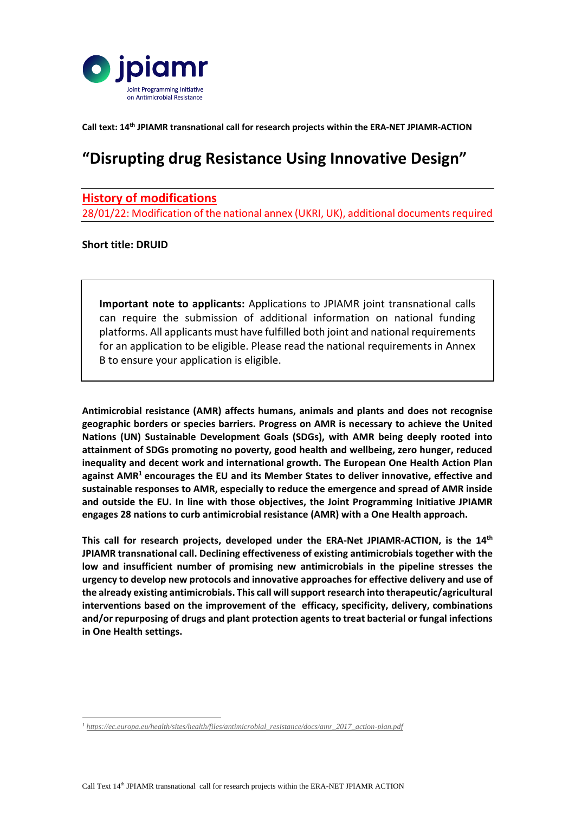

**Call text: 14 th JPIAMR transnational call for research projects within the ERA-NET JPIAMR-ACTION**

# **"Disrupting drug Resistance Using Innovative Design"**

## **History of modifications**

28/01/22: Modification of the national annex (UKRI, UK), additional documents required

## **Short title: DRUID**

-

**Important note to applicants:** Applications to JPIAMR joint transnational calls can require the submission of additional information on national funding platforms. All applicants must have fulfilled both joint and national requirements for an application to be eligible. Please read the national requirements in Annex B to ensure your application is eligible.

**Antimicrobial resistance (AMR) affects humans, animals and plants and does not recognise geographic borders or species barriers. Progress on AMR is necessary to achieve the United Nations (UN) Sustainable Development Goals (SDGs), with AMR being deeply rooted into attainment of SDGs promoting no poverty, good health and wellbeing, zero hunger, reduced inequality and decent work and international growth. The European One Health Action Plan against AMR<sup>1</sup> encourages the EU and its Member States to deliver innovative, effective and sustainable responses to AMR, especially to reduce the emergence and spread of AMR inside and outside the EU. In line with those objectives, the Joint Programming Initiative JPIAMR engages 28 nations to curb antimicrobial resistance (AMR) with a One Health approach.**

**This call for research projects, developed under the ERA-Net JPIAMR-ACTION, is the 14th JPIAMR transnational call. Declining effectiveness of existing antimicrobials together with the low and insufficient number of promising new antimicrobials in the pipeline stresses the urgency to develop new protocols and innovative approaches for effective delivery and use of the already existing antimicrobials. This call will support research into therapeutic/agricultural interventions based on the improvement of the efficacy, specificity, delivery, combinations and/or repurposing of drugs and plant protection agents to treat bacterial or fungal infections in One Health settings.**

*<sup>1</sup> [https://ec.europa.eu/health/sites/health/files/antimicrobial\\_resistance/docs/amr\\_2017\\_action-plan.pdf](https://ec.europa.eu/health/sites/health/files/antimicrobial_resistance/docs/amr_2017_action-plan.pdf)*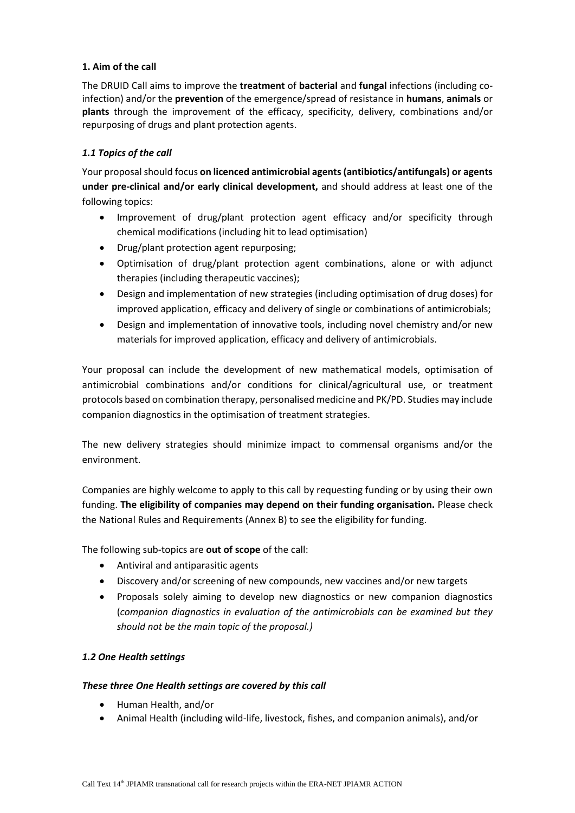## **1. Aim of the call**

The DRUID Call aims to improve the **treatment** of **bacterial** and **fungal** infections (including coinfection) and/or the **prevention** of the emergence/spread of resistance in **humans**, **animals** or **plants** through the improvement of the efficacy, specificity, delivery, combinations and/or repurposing of drugs and plant protection agents.

## *1.1 Topics of the call*

Your proposal should focus **on licenced antimicrobial agents(antibiotics/antifungals) or agents under pre-clinical and/or early clinical development,** and should address at least one of the following topics:

- Improvement of drug/plant protection agent efficacy and/or specificity through chemical modifications (including hit to lead optimisation)
- Drug/plant protection agent repurposing;
- Optimisation of drug/plant protection agent combinations, alone or with adjunct therapies (including therapeutic vaccines);
- Design and implementation of new strategies (including optimisation of drug doses) for improved application, efficacy and delivery of single or combinations of antimicrobials;
- Design and implementation of innovative tools, including novel chemistry and/or new materials for improved application, efficacy and delivery of antimicrobials.

Your proposal can include the development of new mathematical models, optimisation of antimicrobial combinations and/or conditions for clinical/agricultural use, or treatment protocols based on combination therapy, personalised medicine and PK/PD. Studies may include companion diagnostics in the optimisation of treatment strategies.

The new delivery strategies should minimize impact to commensal organisms and/or the environment.

Companies are highly welcome to apply to this call by requesting funding or by using their own funding. **The eligibility of companies may depend on their funding organisation.** Please check the National Rules and Requirements (Annex B) to see the eligibility for funding.

The following sub-topics are **out of scope** of the call:

- Antiviral and antiparasitic agents
- Discovery and/or screening of new compounds, new vaccines and/or new targets
- Proposals solely aiming to develop new diagnostics or new companion diagnostics (*companion diagnostics in evaluation of the antimicrobials can be examined but they should not be the main topic of the proposal.)*

## *1.2 One Health settings*

#### *These three One Health settings are covered by this call*

- Human Health, and/or
- Animal Health (including wild-life, livestock, fishes, and companion animals), and/or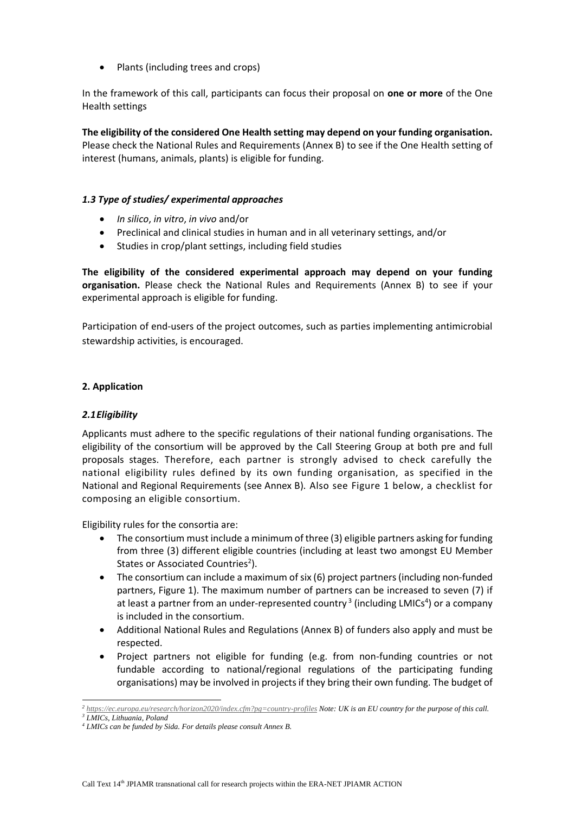• Plants (including trees and crops)

In the framework of this call, participants can focus their proposal on **one or more** of the One Health settings

**The eligibility of the considered One Health setting may depend on your funding organisation.**  Please check the National Rules and Requirements (Annex B) to see if the One Health setting of interest (humans, animals, plants) is eligible for funding.

#### *1.3 Type of studies/ experimental approaches*

- *In silico*, *in vitro*, *in vivo* and/or
- Preclinical and clinical studies in human and in all veterinary settings, and/or
- Studies in crop/plant settings, including field studies

**The eligibility of the considered experimental approach may depend on your funding organisation.** Please check the National Rules and Requirements (Annex B) to see if your experimental approach is eligible for funding.

Participation of end-users of the project outcomes, such as parties implementing antimicrobial stewardship activities, is encouraged.

## **2. Application**

#### *2.1Eligibility*

Applicants must adhere to the specific regulations of their national funding organisations. The eligibility of the consortium will be approved by the Call Steering Group at both pre and full proposals stages. Therefore, each partner is strongly advised to check carefully the national eligibility rules defined by its own funding organisation, as specified in the National and Regional Requirements (see Annex B). Also see Figure 1 below, a checklist for composing an eligible consortium.

Eligibility rules for the consortia are:

- The consortium must include a minimum of three (3) eligible partners asking for funding from three (3) different eligible countries (including at least two amongst EU Member States or Associated Countries<sup>2</sup>).
- The consortium can include a maximum of six (6) project partners (including non-funded partners, Figure 1). The maximum number of partners can be increased to seven (7) if at least a partner from an under-represented country<sup>3</sup> (including LMICs<sup>4</sup>) or a company is included in the consortium.
- Additional National Rules and Regulations (Annex B) of funders also apply and must be respected.
- Project partners not eligible for funding (e.g. from non-funding countries or not fundable according to national/regional regulations of the participating funding organisations) may be involved in projectsif they bring their own funding. The budget of

<sup>-</sup>*2 <https://ec.europa.eu/research/horizon2020/index.cfm?pg=country-profiles> Note: UK is an EU country for the purpose of this call.*

*<sup>3</sup> LMICs, Lithuania, Poland*

*<sup>4</sup> LMICs can be funded by Sida. For details please consult Annex B.*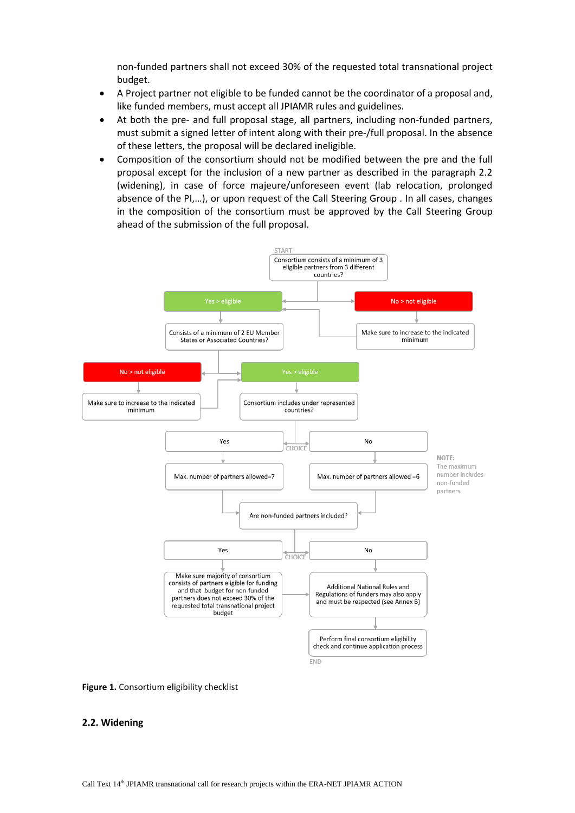non-funded partners shall not exceed 30% of the requested total transnational project budget.

- A Project partner not eligible to be funded cannot be the coordinator of a proposal and, like funded members, must accept all JPIAMR rules and guidelines.
- At both the pre- and full proposal stage, all partners, including non-funded partners, must submit a signed letter of intent along with their pre-/full proposal. In the absence of these letters, the proposal will be declared ineligible.
- Composition of the consortium should not be modified between the pre and the full proposal except for the inclusion of a new partner as described in the paragraph 2.2 (widening), in case of force majeure/unforeseen event (lab relocation, prolonged absence of the PI,…), or upon request of the Call Steering Group . In all cases, changes in the composition of the consortium must be approved by the Call Steering Group ahead of the submission of the full proposal.



**Figure 1.** Consortium eligibility checklist

#### **2.2. Widening**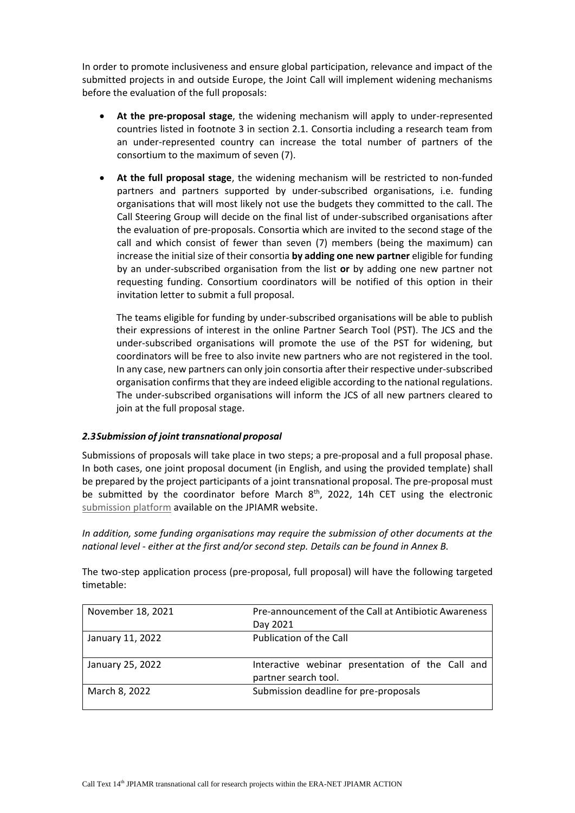In order to promote inclusiveness and ensure global participation, relevance and impact of the submitted projects in and outside Europe, the Joint Call will implement widening mechanisms before the evaluation of the full proposals:

- **At the pre-proposal stage**, the widening mechanism will apply to under-represented countries listed in footnote 3 in section 2.1. Consortia including a research team from an under-represented country can increase the total number of partners of the consortium to the maximum of seven (7).
- **At the full proposal stage**, the widening mechanism will be restricted to non-funded partners and partners supported by under-subscribed organisations, i.e. funding organisations that will most likely not use the budgets they committed to the call. The Call Steering Group will decide on the final list of under-subscribed organisations after the evaluation of pre-proposals. Consortia which are invited to the second stage of the call and which consist of fewer than seven (7) members (being the maximum) can increase the initial size of their consortia **by adding one new partner** eligible for funding by an under-subscribed organisation from the list **or** by adding one new partner not requesting funding. Consortium coordinators will be notified of this option in their invitation letter to submit a full proposal.

The teams eligible for funding by under-subscribed organisations will be able to publish their expressions of interest in the online Partner Search Tool (PST). The JCS and the under-subscribed organisations will promote the use of the PST for widening, but coordinators will be free to also invite new partners who are not registered in the tool. In any case, new partners can only join consortia after their respective under-subscribed organisation confirms that they are indeed eligible according to the national regulations. The under-subscribed organisations will inform the JCS of all new partners cleared to join at the full proposal stage.

#### *2.3Submission of joint transnational proposal*

Submissions of proposals will take place in two steps; a pre-proposal and a full proposal phase. In both cases, one joint proposal document (in English, and using the provided template) shall be prepared by the project participants of a joint transnational proposal. The pre-proposal must be submitted by the coordinator before March  $8<sup>th</sup>$ , 2022, 14h CET using the electronic [submission platform](https://ptoutline.eu/app/jpiamr2022_druid) available on the JPIAMR website.

*In addition, some funding organisations may require the submission of other documents at the national level - either at the first and/or second step. Details can be found in Annex B.* 

The two-step application process (pre-proposal, full proposal) will have the following targeted timetable:

| November 18, 2021 | Pre-announcement of the Call at Antibiotic Awareness                     |  |
|-------------------|--------------------------------------------------------------------------|--|
|                   | Day 2021                                                                 |  |
| January 11, 2022  | Publication of the Call                                                  |  |
| January 25, 2022  | Interactive webinar presentation of the Call and<br>partner search tool. |  |
| March 8, 2022     | Submission deadline for pre-proposals                                    |  |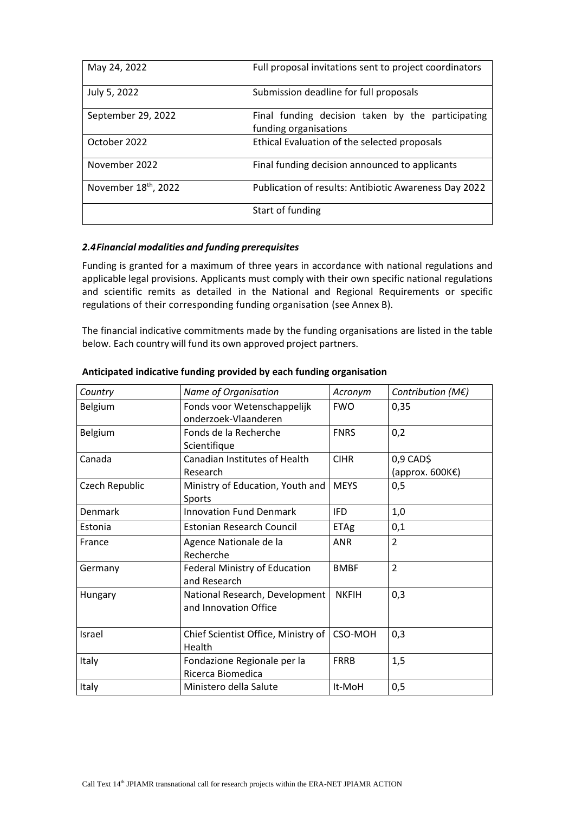| May 24, 2022                     | Full proposal invitations sent to project coordinators                     |
|----------------------------------|----------------------------------------------------------------------------|
| July 5, 2022                     | Submission deadline for full proposals                                     |
| September 29, 2022               | Final funding decision taken by the participating<br>funding organisations |
| October 2022                     | Ethical Evaluation of the selected proposals                               |
| November 2022                    | Final funding decision announced to applicants                             |
| November 18 <sup>th</sup> , 2022 | Publication of results: Antibiotic Awareness Day 2022                      |
|                                  | Start of funding                                                           |

#### *2.4Financial modalities and funding prerequisites*

Funding is granted for a maximum of three years in accordance with national regulations and applicable legal provisions. Applicants must comply with their own specific national regulations and scientific remits as detailed in the National and Regional Requirements or specific regulations of their corresponding funding organisation (see Annex B).

The financial indicative commitments made by the funding organisations are listed in the table below. Each country will fund its own approved project partners.

| Country        | Name of Organisation                                                           | Acronym      | Contribution (M€)  |
|----------------|--------------------------------------------------------------------------------|--------------|--------------------|
| Belgium        | Fonds voor Wetenschappelijk<br>onderzoek-Vlaanderen                            | <b>FWO</b>   | 0,35               |
| Belgium        | Fonds de la Recherche<br>Scientifique                                          | <b>FNRS</b>  | 0,2                |
| Canada         | <b>CIHR</b><br><b>Canadian Institutes of Health</b><br>$0,9$ CAD\$<br>Research |              | (approx. $600KE$ ) |
| Czech Republic | Ministry of Education, Youth and<br>Sports                                     | <b>MEYS</b>  | 0,5                |
| <b>Denmark</b> | <b>Innovation Fund Denmark</b>                                                 | <b>IFD</b>   | 1,0                |
| Estonia        | <b>Estonian Research Council</b>                                               | <b>ETAg</b>  | 0,1                |
| France         | Agence Nationale de la<br>Recherche                                            | <b>ANR</b>   | $\overline{2}$     |
| Germany        | Federal Ministry of Education<br>and Research                                  | <b>BMBF</b>  | $\overline{2}$     |
| Hungary        | National Research, Development<br>and Innovation Office                        | <b>NKFIH</b> | 0,3                |
| Israel         | Chief Scientist Office, Ministry of<br>Health                                  | CSO-MOH      | 0,3                |
| Italy          | Fondazione Regionale per la<br>Ricerca Biomedica                               | <b>FRRB</b>  | 1,5                |
| Italy          | Ministero della Salute                                                         | It-MoH       | 0,5                |

#### **Anticipated indicative funding provided by each funding organisation**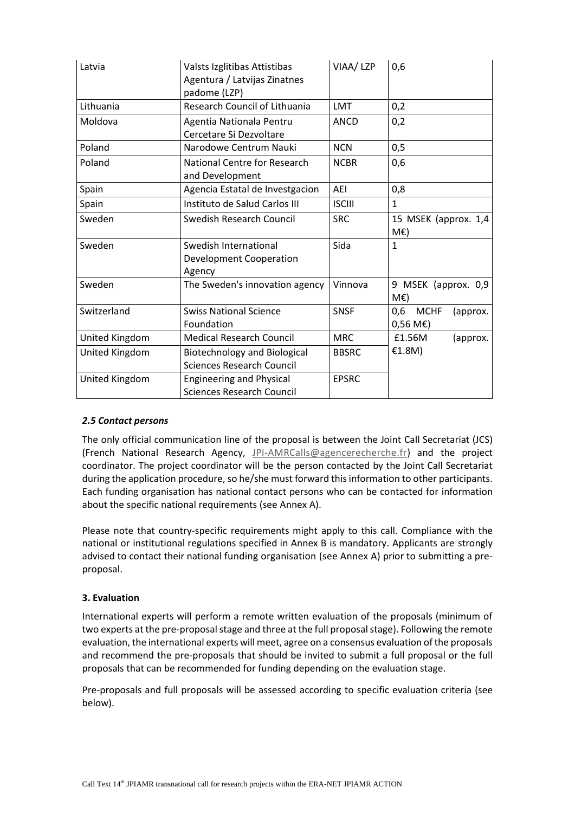| Latvia         | Valsts Izglitibas Attistibas<br>Agentura / Latvijas Zinatnes<br>padome (LZP) | VIAA/ LZP     | 0,6                                                        |  |
|----------------|------------------------------------------------------------------------------|---------------|------------------------------------------------------------|--|
| Lithuania      | Research Council of Lithuania                                                | <b>LMT</b>    | 0,2                                                        |  |
| Moldova        | Agentia Nationala Pentru<br>Cercetare Si Dezvoltare                          | <b>ANCD</b>   | 0,2                                                        |  |
| Poland         | Narodowe Centrum Nauki                                                       | <b>NCN</b>    | 0,5                                                        |  |
| Poland         | <b>National Centre for Research</b><br>and Development                       | <b>NCBR</b>   | 0,6                                                        |  |
| Spain          | Agencia Estatal de Investgacion                                              | AEI           | 0,8                                                        |  |
| Spain          | Instituto de Salud Carlos III                                                | <b>ISCIII</b> | $\mathbf{1}$                                               |  |
| Sweden         | Swedish Research Council                                                     | <b>SRC</b>    | 15 MSEK (approx. 1,4<br>$M\epsilon$ )                      |  |
| Sweden         | Swedish International<br>Development Cooperation<br>Agency                   | Sida          | $\mathbf{1}$                                               |  |
| Sweden         | The Sweden's innovation agency                                               | Vinnova       | 9 MSEK (approx. 0,9<br>$M\epsilon$ )                       |  |
| Switzerland    | <b>Swiss National Science</b><br>Foundation                                  | <b>SNSF</b>   | <b>MCHF</b><br>0,6<br>(approx.<br>$0,56 \text{ M}\epsilon$ |  |
| United Kingdom | <b>Medical Research Council</b>                                              | <b>MRC</b>    | £1.56M<br>(approx.                                         |  |
| United Kingdom | <b>Biotechnology and Biological</b><br><b>Sciences Research Council</b>      | <b>BBSRC</b>  | €1.8M)                                                     |  |
| United Kingdom | <b>Engineering and Physical</b><br><b>Sciences Research Council</b>          | <b>EPSRC</b>  |                                                            |  |

## *2.5 Contact persons*

The only official communication line of the proposal is between the Joint Call Secretariat (JCS) (French National Research Agency, [JPI-AMRCalls@agencerecherche.fr\)](mailto:JPI-AMRCalls@agencerecherche.fr) and the project coordinator. The project coordinator will be the person contacted by the Joint Call Secretariat during the application procedure, so he/she must forward this information to other participants. Each funding organisation has national contact persons who can be contacted for information about the specific national requirements (see Annex A).

Please note that country-specific requirements might apply to this call. Compliance with the national or institutional regulations specified in Annex B is mandatory. Applicants are strongly advised to contact their national funding organisation (see Annex A) prior to submitting a preproposal.

## **3. Evaluation**

International experts will perform a remote written evaluation of the proposals (minimum of two experts at the pre-proposal stage and three at the full proposal stage). Following the remote evaluation, the international experts will meet, agree on a consensus evaluation of the proposals and recommend the pre-proposals that should be invited to submit a full proposal or the full proposals that can be recommended for funding depending on the evaluation stage.

Pre-proposals and full proposals will be assessed according to specific evaluation criteria (see below).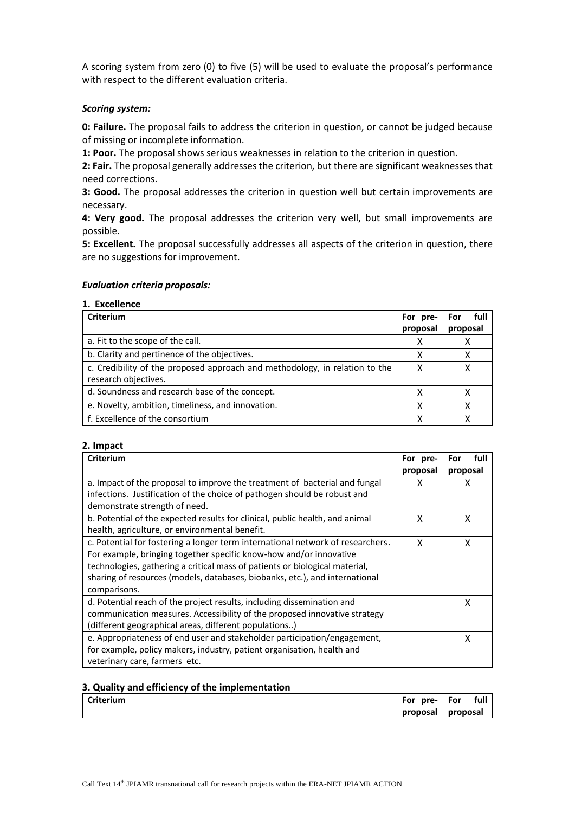A scoring system from zero (0) to five (5) will be used to evaluate the proposal's performance with respect to the different evaluation criteria.

#### *Scoring system:*

**0: Failure.** The proposal fails to address the criterion in question, or cannot be judged because of missing or incomplete information.

**1: Poor.** The proposal shows serious weaknesses in relation to the criterion in question.

**2: Fair.** The proposal generally addresses the criterion, but there are significant weaknesses that need corrections.

**3: Good.** The proposal addresses the criterion in question well but certain improvements are necessary.

**4: Very good.** The proposal addresses the criterion very well, but small improvements are possible.

**5: Excellent.** The proposal successfully addresses all aspects of the criterion in question, there are no suggestions for improvement.

#### *Evaluation criteria proposals:*

#### **1. Excellence**

| Criterium                                                                   |          | full<br>For |
|-----------------------------------------------------------------------------|----------|-------------|
|                                                                             | proposal | proposal    |
| a. Fit to the scope of the call.                                            | х        |             |
| b. Clarity and pertinence of the objectives.                                |          | х           |
| c. Credibility of the proposed approach and methodology, in relation to the |          | x           |
| research objectives.                                                        |          |             |
| d. Soundness and research base of the concept.                              |          | х           |
| e. Novelty, ambition, timeliness, and innovation.                           |          | х           |
| f. Excellence of the consortium                                             |          |             |

#### **2. Impact**

| <b>Criterium</b>                                                               | For pre- | full<br>For |
|--------------------------------------------------------------------------------|----------|-------------|
|                                                                                | proposal | proposal    |
| a. Impact of the proposal to improve the treatment of bacterial and fungal     | x        | х           |
| infections. Justification of the choice of pathogen should be robust and       |          |             |
| demonstrate strength of need.                                                  |          |             |
| b. Potential of the expected results for clinical, public health, and animal   | X        | x           |
| health, agriculture, or environmental benefit.                                 |          |             |
| c. Potential for fostering a longer term international network of researchers. | X        | x           |
| For example, bringing together specific know-how and/or innovative             |          |             |
| technologies, gathering a critical mass of patients or biological material,    |          |             |
| sharing of resources (models, databases, biobanks, etc.), and international    |          |             |
| comparisons.                                                                   |          |             |
| d. Potential reach of the project results, including dissemination and         |          | x           |
| communication measures. Accessibility of the proposed innovative strategy      |          |             |
| (different geographical areas, different populations)                          |          |             |
| e. Appropriateness of end user and stakeholder participation/engagement,       |          | x           |
| for example, policy makers, industry, patient organisation, health and         |          |             |
| veterinary care, farmers etc.                                                  |          |             |

#### **3. Quality and efficiency of the implementation**

| <b>Criterium</b> | For<br>pre- | For      | full |
|------------------|-------------|----------|------|
|                  | proposal    | proposal |      |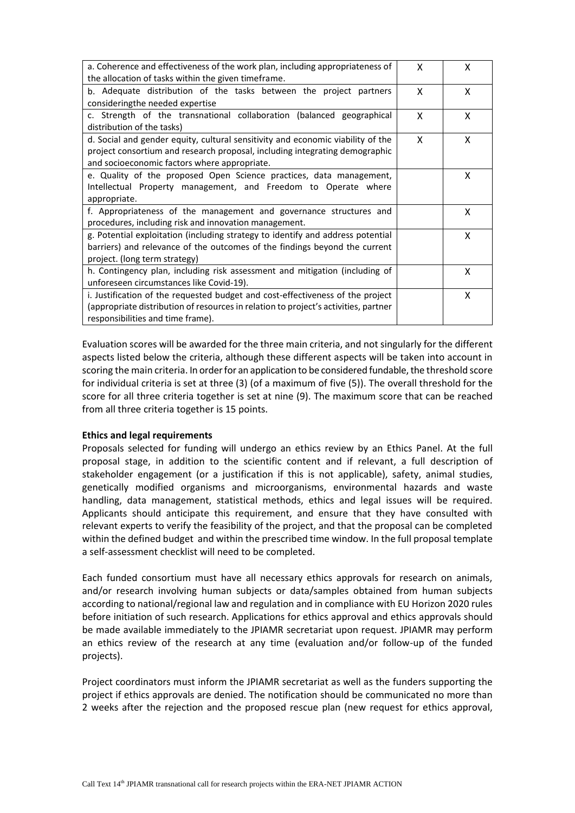| a. Coherence and effectiveness of the work plan, including appropriateness of<br>the allocation of tasks within the given timeframe.                                                                           | X | x |
|----------------------------------------------------------------------------------------------------------------------------------------------------------------------------------------------------------------|---|---|
| b. Adequate distribution of the tasks between the project partners<br>consideringthe needed expertise                                                                                                          | X | X |
| c. Strength of the transnational collaboration (balanced geographical<br>distribution of the tasks)                                                                                                            | X | X |
| d. Social and gender equity, cultural sensitivity and economic viability of the<br>project consortium and research proposal, including integrating demographic<br>and socioeconomic factors where appropriate. | X | X |
| e. Quality of the proposed Open Science practices, data management,<br>Intellectual Property management, and Freedom to Operate where<br>appropriate.                                                          |   | X |
| f. Appropriateness of the management and governance structures and<br>procedures, including risk and innovation management.                                                                                    |   | X |
| g. Potential exploitation (including strategy to identify and address potential<br>barriers) and relevance of the outcomes of the findings beyond the current<br>project. (long term strategy)                 |   | x |
| h. Contingency plan, including risk assessment and mitigation (including of<br>unforeseen circumstances like Covid-19).                                                                                        |   | X |
| i. Justification of the requested budget and cost-effectiveness of the project<br>(appropriate distribution of resources in relation to project's activities, partner<br>responsibilities and time frame).     |   | X |

Evaluation scores will be awarded for the three main criteria, and notsingularly for the different aspects listed below the criteria, although these different aspects will be taken into account in scoring the main criteria. In order for an application to be considered fundable, the threshold score for individual criteria is set at three (3) (of a maximum of five (5)). The overall threshold for the score for all three criteria together is set at nine (9). The maximum score that can be reached from all three criteria together is 15 points.

#### **Ethics and legal requirements**

Proposals selected for funding will undergo an ethics review by an Ethics Panel. At the full proposal stage, in addition to the scientific content and if relevant, a full description of stakeholder engagement (or a justification if this is not applicable), safety, animal studies, genetically modified organisms and microorganisms, environmental hazards and waste handling, data management, statistical methods, ethics and legal issues will be required. Applicants should anticipate this requirement, and ensure that they have consulted with relevant experts to verify the feasibility of the project, and that the proposal can be completed within the defined budget and within the prescribed time window. In the full proposal template a self-assessment checklist will need to be completed.

Each funded consortium must have all necessary ethics approvals for research on animals, and/or research involving human subjects or data/samples obtained from human subjects according to national/regional law and regulation and in compliance with EU Horizon 2020 rules before initiation of such research. Applications for ethics approval and ethics approvals should be made available immediately to the JPIAMR secretariat upon request. JPIAMR may perform an ethics review of the research at any time (evaluation and/or follow-up of the funded projects).

Project coordinators must inform the JPIAMR secretariat as well as the funders supporting the project if ethics approvals are denied. The notification should be communicated no more than 2 weeks after the rejection and the proposed rescue plan (new request for ethics approval,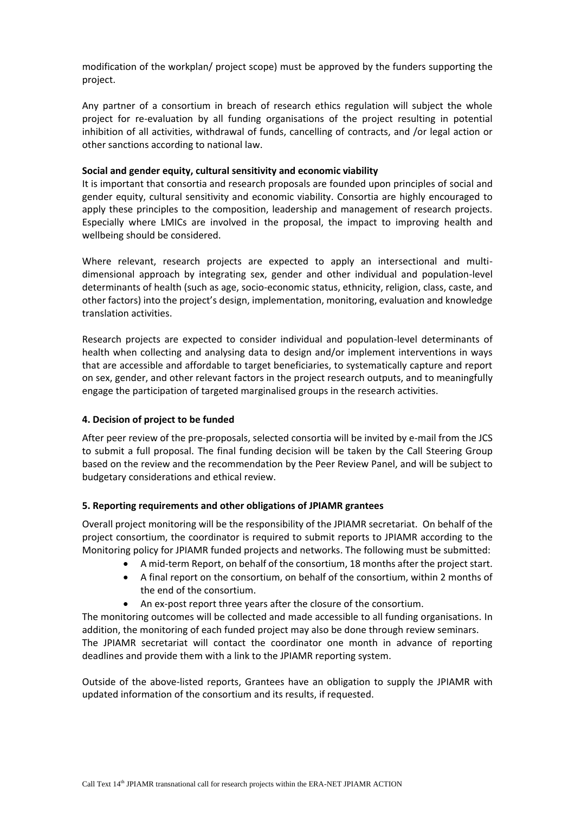modification of the workplan/ project scope) must be approved by the funders supporting the project.

Any partner of a consortium in breach of research ethics regulation will subject the whole project for re-evaluation by all funding organisations of the project resulting in potential inhibition of all activities, withdrawal of funds, cancelling of contracts, and /or legal action or other sanctions according to national law.

#### **Social and gender equity, cultural sensitivity and economic viability**

It is important that consortia and research proposals are founded upon principles of social and gender equity, cultural sensitivity and economic viability. Consortia are highly encouraged to apply these principles to the composition, leadership and management of research projects. Especially where LMICs are involved in the proposal, the impact to improving health and wellbeing should be considered.

Where relevant, research projects are expected to apply an intersectional and multidimensional approach by integrating sex, gender and other individual and population-level determinants of health (such as age, socio-economic status, ethnicity, religion, class, caste, and other factors) into the project's design, implementation, monitoring, evaluation and knowledge translation activities.

Research projects are expected to consider individual and population-level determinants of health when collecting and analysing data to design and/or implement interventions in ways that are accessible and affordable to target beneficiaries, to systematically capture and report on sex, gender, and other relevant factors in the project research outputs, and to meaningfully engage the participation of targeted marginalised groups in the research activities.

## **4. Decision of project to be funded**

After peer review of the pre-proposals, selected consortia will be invited by e-mail from the JCS to submit a full proposal. The final funding decision will be taken by the Call Steering Group based on the review and the recommendation by the Peer Review Panel, and will be subject to budgetary considerations and ethical review.

#### **5. Reporting requirements and other obligations of JPIAMR grantees**

Overall project monitoring will be the responsibility of the JPIAMR secretariat. On behalf of the project consortium, the coordinator is required to submit reports to JPIAMR according to the Monitoring policy for JPIAMR funded projects and networks. The following must be submitted:

- A mid-term Report, on behalf of the consortium, 18 months after the project start.
- A final report on the consortium, on behalf of the consortium, within 2 months of the end of the consortium.
- An ex-post report three years after the closure of the consortium.

The monitoring outcomes will be collected and made accessible to all funding organisations. In addition, the monitoring of each funded project may also be done through review seminars.

The JPIAMR secretariat will contact the coordinator one month in advance of reporting deadlines and provide them with a link to the JPIAMR reporting system.

Outside of the above-listed reports, Grantees have an obligation to supply the JPIAMR with updated information of the consortium and its results, if requested.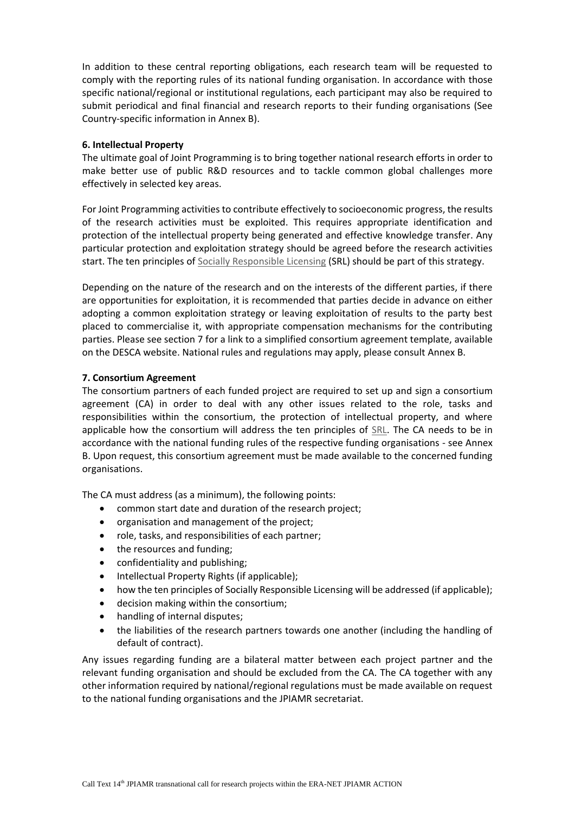In addition to these central reporting obligations, each research team will be requested to comply with the reporting rules of its national funding organisation. In accordance with those specific national/regional or institutional regulations, each participant may also be required to submit periodical and final financial and research reports to their funding organisations (See Country-specific information in Annex B).

#### **6. Intellectual Property**

The ultimate goal of Joint Programming is to bring together national research efforts in order to make better use of public R&D resources and to tackle common global challenges more effectively in selected key areas.

For Joint Programming activities to contribute effectively to socioeconomic progress, the results of the research activities must be exploited. This requires appropriate identification and protection of the intellectual property being generated and effective knowledge transfer. Any particular protection and exploitation strategy should be agreed before the research activities start. The ten principles of [Socially Responsible Licensing](https://www.nfu.nl/sites/default/files/2020-08/19.4511_Ten_principles_for_Socially_Responsible_Licensing_v19-12-2019.pdf) (SRL) should be part of this strategy.

Depending on the nature of the research and on the interests of the different parties, if there are opportunities for exploitation, it is recommended that parties decide in advance on either adopting a common exploitation strategy or leaving exploitation of results to the party best placed to commercialise it, with appropriate compensation mechanisms for the contributing parties. Please see section 7 for a link to a simplified consortium agreement template, available on the DESCA website. National rules and regulations may apply, please consult Annex B.

## **7. Consortium Agreement**

The consortium partners of each funded project are required to set up and sign a consortium agreement (CA) in order to deal with any other issues related to the role, tasks and responsibilities within the consortium, the protection of intellectual property, and where applicable how the consortium will address the ten principles of [SRL.](https://www.nfu.nl/sites/default/files/2020-08/19.4511_Ten_principles_for_Socially_Responsible_Licensing_v19-12-2019.pdf) The CA needs to be in accordance with the national funding rules of the respective funding organisations - see Annex B. Upon request, this consortium agreement must be made available to the concerned funding organisations.

The CA must address (as a minimum), the following points:

- common start date and duration of the research project;
- organisation and management of the project;
- role, tasks, and responsibilities of each partner;
- the resources and funding;
- confidentiality and publishing;
- Intellectual Property Rights (if applicable);
- how the ten principles of Socially Responsible Licensing will be addressed (if applicable);
- decision making within the consortium;
- handling of internal disputes;
- the liabilities of the research partners towards one another (including the handling of default of contract).

Any issues regarding funding are a bilateral matter between each project partner and the relevant funding organisation and should be excluded from the CA. The CA together with any other information required by national/regional regulations must be made available on request to the national funding organisations and the JPIAMR secretariat.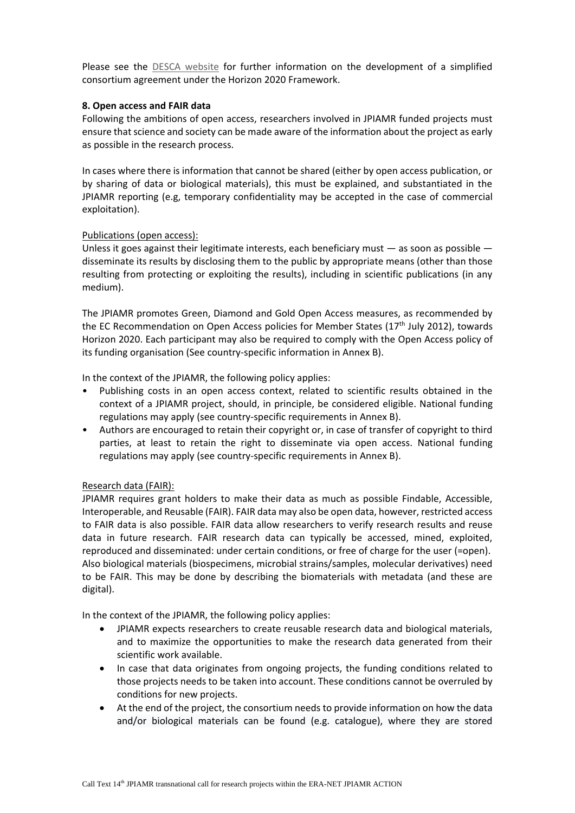Please see the [DESCA website](http://www.desca-2020.eu/) for further information on the development of a simplified consortium agreement under the Horizon 2020 Framework.

#### **8. Open access and FAIR data**

Following the ambitions of open access, researchers involved in JPIAMR funded projects must ensure that science and society can be made aware of the information about the project as early as possible in the research process.

In cases where there is information that cannot be shared (either by open access publication, or by sharing of data or biological materials), this must be explained, and substantiated in the JPIAMR reporting (e.g, temporary confidentiality may be accepted in the case of commercial exploitation).

## Publications (open access):

Unless it goes against their legitimate interests, each beneficiary must  $-$  as soon as possible  $$ disseminate its results by disclosing them to the public by appropriate means (other than those resulting from protecting or exploiting the results), including in scientific publications (in any medium).

The JPIAMR promotes Green, Diamond and Gold Open Access measures, as recommended by the EC Recommendation on Open Access policies for Member States ( $17<sup>th</sup>$  July 2012), towards Horizon 2020. Each participant may also be required to comply with the Open Access policy of its funding organisation (See country-specific information in Annex B).

In the context of the JPIAMR, the following policy applies:

- Publishing costs in an open access context, related to scientific results obtained in the context of a JPIAMR project, should, in principle, be considered eligible. National funding regulations may apply (see country-specific requirements in Annex B).
- Authors are encouraged to retain their copyright or, in case of transfer of copyright to third parties, at least to retain the right to disseminate via open access. National funding regulations may apply (see country-specific requirements in Annex B).

#### Research data (FAIR):

JPIAMR requires grant holders to make their data as much as possible Findable, Accessible, Interoperable, and Reusable (FAIR). FAIR data may also be open data, however, restricted access to FAIR data is also possible. FAIR data allow researchers to verify research results and reuse data in future research. FAIR research data can typically be accessed, mined, exploited, reproduced and disseminated: under certain conditions, or free of charge for the user (=open). Also biological materials (biospecimens, microbial strains/samples, molecular derivatives) need to be FAIR. This may be done by describing the biomaterials with metadata (and these are digital).

In the context of the JPIAMR, the following policy applies:

- JPIAMR expects researchers to create reusable research data and biological materials, and to maximize the opportunities to make the research data generated from their scientific work available.
- In case that data originates from ongoing projects, the funding conditions related to those projects needs to be taken into account. These conditions cannot be overruled by conditions for new projects.
- At the end of the project, the consortium needs to provide information on how the data and/or biological materials can be found (e.g. catalogue), where they are stored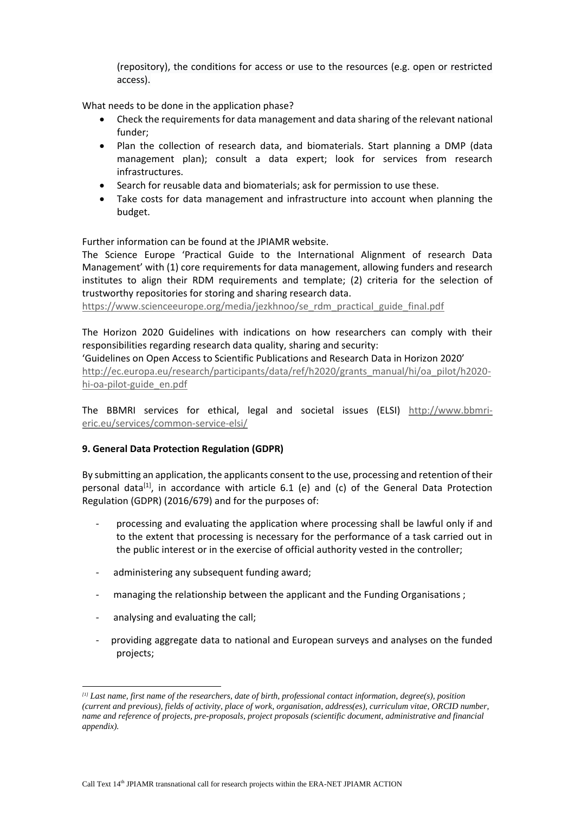(repository), the conditions for access or use to the resources (e.g. open or restricted access).

What needs to be done in the application phase?

- Check the requirements for data management and data sharing of the relevant national funder;
- Plan the collection of research data, and biomaterials. Start planning a DMP (data management plan); consult a data expert; look for services from research infrastructures.
- Search for reusable data and biomaterials; ask for permission to use these.
- Take costs for data management and infrastructure into account when planning the budget.

Further information can be found at the JPIAMR website.

The Science Europe 'Practical Guide to the International Alignment of research Data Management' with (1) core requirements for data management, allowing funders and research institutes to align their RDM requirements and template; (2) criteria for the selection of trustworthy repositories for storing and sharing research data.

[https://www.scienceeurope.org/media/jezkhnoo/se\\_rdm\\_practical\\_guide\\_final.pdf](https://www.scienceeurope.org/media/jezkhnoo/se_rdm_practical_guide_final.pdf) 

The Horizon 2020 Guidelines with indications on how researchers can comply with their responsibilities regarding research data quality, sharing and security:

'Guidelines on Open Access to Scientific Publications and Research Data in Horizon 2020' [http://ec.europa.eu/research/participants/data/ref/h2020/grants\\_manual/hi/oa\\_pilot/h2020](http://ec.europa.eu/research/participants/data/ref/h2020/grants_manual/hi/oa_pilot/h2020-hi-oa-pilot-guide_en.pdf) [hi-oa-pilot-guide\\_en.pdf](http://ec.europa.eu/research/participants/data/ref/h2020/grants_manual/hi/oa_pilot/h2020-hi-oa-pilot-guide_en.pdf)

The BBMRI services for ethical, legal and societal issues (ELSI) [http://www.bbmri](http://www.bbmri-eric.eu/services/common-service-elsi/)[eric.eu/services/common-service-elsi/](http://www.bbmri-eric.eu/services/common-service-elsi/)

#### **9. General Data Protection Regulation (GDPR)**

By submitting an application, the applicants consent to the use, processing and retention of their personal data<sup>[1]</sup>, in accordance with article 6.1 (e) and (c) of the General Data Protection Regulation (GDPR) (2016/679) and for the purposes of:

- processing and evaluating the application where processing shall be lawful only if and to the extent that processing is necessary for the performance of a task carried out in the public interest or in the exercise of official authority vested in the controller;
- administering any subsequent funding award;
- managing the relationship between the applicant and the Funding Organisations ;
- analysing and evaluating the call;

-

- providing aggregate data to national and European surveys and analyses on the funded projects;

*<sup>[1]</sup> Last name, first name of the researchers, date of birth, professional contact information, degree(s), position (current and previous), fields of activity, place of work, organisation, address(es), curriculum vitae, ORCID number, name and reference of projects, pre-proposals, project proposals (scientific document, administrative and financial appendix).*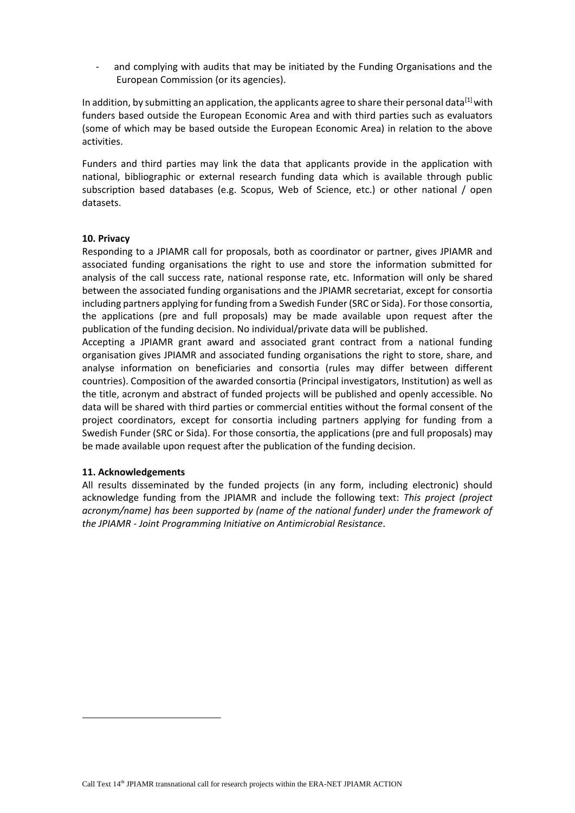and complying with audits that may be initiated by the Funding Organisations and the European Commission (or its agencies).

In addition, by submitting an application, the applicants agree to share their personal data<sup>[1]</sup> with funders based outside the European Economic Area and with third parties such as evaluators (some of which may be based outside the European Economic Area) in relation to the above activities.

Funders and third parties may link the data that applicants provide in the application with national, bibliographic or external research funding data which is available through public subscription based databases (e.g. Scopus, Web of Science, etc.) or other national / open datasets.

#### **10. Privacy**

Responding to a JPIAMR call for proposals, both as coordinator or partner, gives JPIAMR and associated funding organisations the right to use and store the information submitted for analysis of the call success rate, national response rate, etc. Information will only be shared between the associated funding organisations and the JPIAMR secretariat, except for consortia including partners applying for funding from a Swedish Funder (SRC or Sida). For those consortia, the applications (pre and full proposals) may be made available upon request after the publication of the funding decision. No individual/private data will be published.

Accepting a JPIAMR grant award and associated grant contract from a national funding organisation gives JPIAMR and associated funding organisations the right to store, share, and analyse information on beneficiaries and consortia (rules may differ between different countries). Composition of the awarded consortia (Principal investigators, Institution) as well as the title, acronym and abstract of funded projects will be published and openly accessible. No data will be shared with third parties or commercial entities without the formal consent of the project coordinators, except for consortia including partners applying for funding from a Swedish Funder (SRC or Sida). For those consortia, the applications (pre and full proposals) may be made available upon request after the publication of the funding decision.

#### **11. Acknowledgements**

-

All results disseminated by the funded projects (in any form, including electronic) should acknowledge funding from the JPIAMR and include the following text: *This project (project acronym/name) has been supported by (name of the national funder) under the framework of the JPIAMR - Joint Programming Initiative on Antimicrobial Resistance*.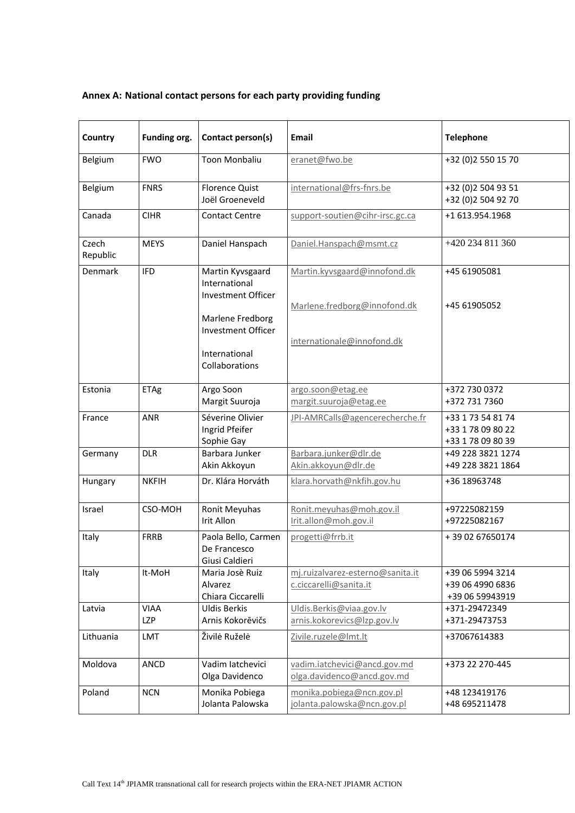# **Annex A: National contact persons for each party providing funding**

| Country           | Funding org.              | Contact person(s)                                                                                                                           | <b>Email</b>                                                                               | <b>Telephone</b>                                            |
|-------------------|---------------------------|---------------------------------------------------------------------------------------------------------------------------------------------|--------------------------------------------------------------------------------------------|-------------------------------------------------------------|
| Belgium           | <b>FWO</b>                | <b>Toon Monbaliu</b>                                                                                                                        | eranet@fwo.be                                                                              | +32 (0)2 550 15 70                                          |
| Belgium           | <b>FNRS</b>               | <b>Florence Quist</b><br>Joël Groeneveld                                                                                                    | international@frs-fnrs.be                                                                  | +32 (0)2 504 93 51<br>+32 (0)2 504 92 70                    |
| Canada            | <b>CIHR</b>               | <b>Contact Centre</b>                                                                                                                       | support-soutien@cihr-irsc.gc.ca                                                            | +1 613.954.1968                                             |
| Czech<br>Republic | <b>MEYS</b>               | Daniel Hanspach                                                                                                                             | Daniel.Hanspach@msmt.cz                                                                    | +420 234 811 360                                            |
| Denmark           | <b>IFD</b>                | Martin Kyvsgaard<br>International<br>Investment Officer<br>Marlene Fredborg<br><b>Investment Officer</b><br>International<br>Collaborations | Martin.kyvsgaard@innofond.dk<br>Marlene.fredborg@innofond.dk<br>internationale@innofond.dk | +45 61905081<br>+45 61905052                                |
| Estonia           | ETAg                      | Argo Soon<br>Margit Suuroja                                                                                                                 | argo.soon@etag.ee<br>margit.suuroja@etag.ee                                                | +372 730 0372<br>+372 731 7360                              |
| France            | ANR                       | Séverine Olivier<br>Ingrid Pfeifer<br>Sophie Gay                                                                                            | JPI-AMRCalls@agencerecherche.fr                                                            | +33 1 73 54 81 74<br>+33 1 78 09 80 22<br>+33 1 78 09 80 39 |
| Germany           | <b>DLR</b>                | Barbara Junker<br>Akin Akkoyun                                                                                                              | Barbara.junker@dlr.de<br>Akin.akkoyun@dlr.de                                               | +49 228 3821 1274<br>+49 228 3821 1864                      |
| Hungary           | <b>NKFIH</b>              | Dr. Klára Horváth                                                                                                                           | klara.horvath@nkfih.gov.hu                                                                 | +36 18963748                                                |
| Israel            | CSO-MOH                   | Ronit Meyuhas<br>Irit Allon                                                                                                                 | Ronit.meyuhas@moh.gov.il<br>Irit.allon@moh.gov.il                                          | +97225082159<br>+97225082167                                |
| Italy             | <b>FRRB</b>               | Paola Bello, Carmen<br>De Francesco<br>Giusi Caldieri                                                                                       | progetti@frrb.it                                                                           | +39 02 67650174                                             |
| Italy             | It-MoH                    | Maria Josè Ruiz<br>Alvarez<br>Chiara Ciccarelli                                                                                             | mj.ruizalvarez-esterno@sanita.it<br>c.ciccarelli@sanita.it                                 | +39 06 5994 3214<br>+39 06 4990 6836<br>+39 06 59943919     |
| Latvia            | <b>VIAA</b><br><b>LZP</b> | <b>Uldis Berkis</b><br>Arnis Kokorēvičs                                                                                                     | Uldis.Berkis@viaa.gov.lv<br>arnis.kokorevics@lzp.gov.lv                                    | +371-29472349<br>+371-29473753                              |
| Lithuania         | LMT                       | Živilė Ruželė                                                                                                                               | Zivile.ruzele@lmt.lt                                                                       | +37067614383                                                |
| Moldova           | ANCD                      | Vadim latchevici<br>Olga Davidenco                                                                                                          | vadim.iatchevici@ancd.gov.md<br>olga.davidenco@ancd.gov.md                                 | +373 22 270-445                                             |
| Poland            | <b>NCN</b>                | Monika Pobiega<br>Jolanta Palowska                                                                                                          | monika.pobiega@ncn.gov.pl<br>jolanta.palowska@ncn.gov.pl                                   | +48 123419176<br>+48 695211478                              |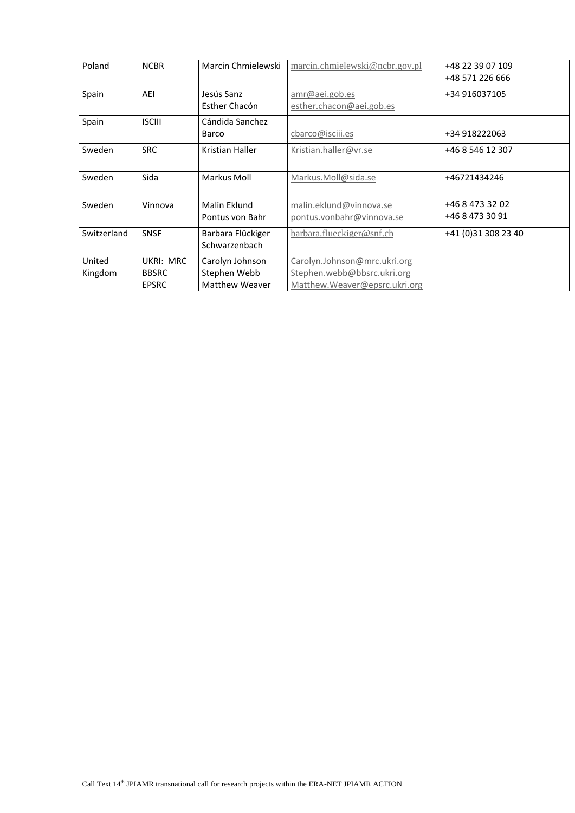| Poland            | <b>NCBR</b>                               | Marcin Chmielewski                                       | marcin.chmielewski@ncbr.gov.pl                                                               | +48 22 39 07 109<br>+48 571 226 666 |
|-------------------|-------------------------------------------|----------------------------------------------------------|----------------------------------------------------------------------------------------------|-------------------------------------|
| Spain             | AEI                                       | Jesús Sanz<br>Esther Chacón                              | amr@aei.gob.es<br>esther.chacon@aei.gob.es                                                   | +34 916037105                       |
| Spain             | <b>ISCIII</b>                             | Cándida Sanchez<br>Barco                                 | cbarco@isciii.es                                                                             | +34 918222063                       |
| Sweden            | <b>SRC</b>                                | Kristian Haller                                          | Kristian.haller@vr.se                                                                        | +46 8 546 12 307                    |
| Sweden            | Sida                                      | Markus Moll                                              | Markus.Moll@sida.se                                                                          | +46721434246                        |
| Sweden            | Vinnova                                   | Malin Eklund<br>Pontus von Bahr                          | malin.eklund@vinnova.se<br>pontus.vonbahr@vinnova.se                                         | +46 8 473 32 02<br>+46 8 473 30 91  |
| Switzerland       | SNSF                                      | Barbara Flückiger<br>Schwarzenbach                       | barbara.flueckiger@snf.ch                                                                    | +41 (0)31 308 23 40                 |
| United<br>Kingdom | UKRI: MRC<br><b>BBSRC</b><br><b>EPSRC</b> | Carolyn Johnson<br>Stephen Webb<br><b>Matthew Weaver</b> | Carolyn.Johnson@mrc.ukri.org<br>Stephen.webb@bbsrc.ukri.org<br>Matthew.Weaver@epsrc.ukri.org |                                     |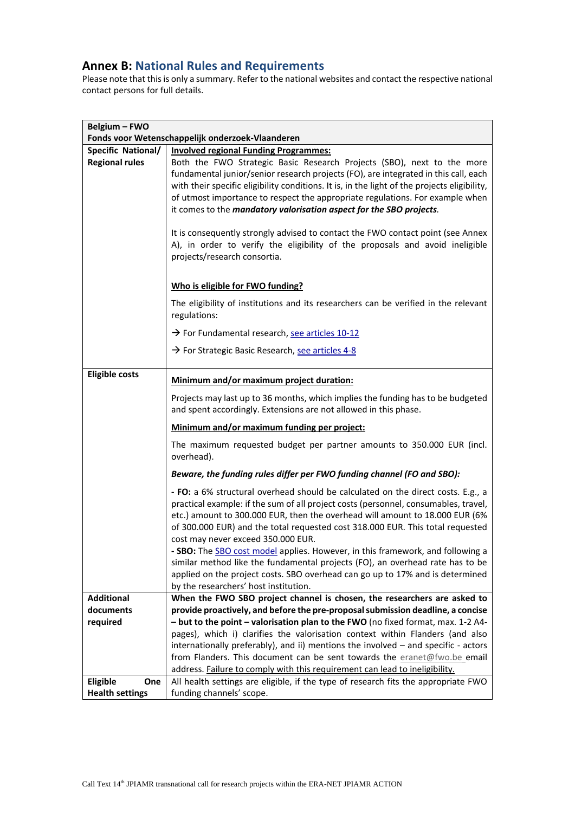# **Annex B: National Rules and Requirements**

Please note that this is only a summary. Refer to the national websites and contact the respective national contact persons for full details.

| Belgium - FWO          |                                                                                                                                                                                                                                                                                                                                                                                                                       |
|------------------------|-----------------------------------------------------------------------------------------------------------------------------------------------------------------------------------------------------------------------------------------------------------------------------------------------------------------------------------------------------------------------------------------------------------------------|
|                        | Fonds voor Wetenschappelijk onderzoek-Vlaanderen                                                                                                                                                                                                                                                                                                                                                                      |
| Specific National/     | <b>Involved regional Funding Programmes:</b>                                                                                                                                                                                                                                                                                                                                                                          |
| <b>Regional rules</b>  | Both the FWO Strategic Basic Research Projects (SBO), next to the more<br>fundamental junior/senior research projects (FO), are integrated in this call, each<br>with their specific eligibility conditions. It is, in the light of the projects eligibility,<br>of utmost importance to respect the appropriate regulations. For example when<br>it comes to the mandatory valorisation aspect for the SBO projects. |
|                        | It is consequently strongly advised to contact the FWO contact point (see Annex<br>A), in order to verify the eligibility of the proposals and avoid ineligible<br>projects/research consortia.                                                                                                                                                                                                                       |
|                        | Who is eligible for FWO funding?                                                                                                                                                                                                                                                                                                                                                                                      |
|                        | The eligibility of institutions and its researchers can be verified in the relevant<br>regulations:                                                                                                                                                                                                                                                                                                                   |
|                        | > For Fundamental research, see articles 10-12                                                                                                                                                                                                                                                                                                                                                                        |
|                        | → For Strategic Basic Research, see articles 4-8                                                                                                                                                                                                                                                                                                                                                                      |
| <b>Eligible costs</b>  | Minimum and/or maximum project duration:                                                                                                                                                                                                                                                                                                                                                                              |
|                        | Projects may last up to 36 months, which implies the funding has to be budgeted<br>and spent accordingly. Extensions are not allowed in this phase.                                                                                                                                                                                                                                                                   |
|                        | Minimum and/or maximum funding per project:                                                                                                                                                                                                                                                                                                                                                                           |
|                        | The maximum requested budget per partner amounts to 350.000 EUR (incl.<br>overhead).                                                                                                                                                                                                                                                                                                                                  |
|                        | Beware, the funding rules differ per FWO funding channel (FO and SBO):                                                                                                                                                                                                                                                                                                                                                |
|                        | - FO: a 6% structural overhead should be calculated on the direct costs. E.g., a<br>practical example: if the sum of all project costs (personnel, consumables, travel,<br>etc.) amount to 300.000 EUR, then the overhead will amount to 18.000 EUR (6%<br>of 300.000 EUR) and the total requested cost 318.000 EUR. This total requested<br>cost may never exceed 350.000 EUR.                                       |
|                        | - SBO: The SBO cost model applies. However, in this framework, and following a                                                                                                                                                                                                                                                                                                                                        |
|                        | similar method like the fundamental projects (FO), an overhead rate has to be<br>applied on the project costs. SBO overhead can go up to 17% and is determined                                                                                                                                                                                                                                                        |
|                        | by the researchers' host institution.                                                                                                                                                                                                                                                                                                                                                                                 |
| <b>Additional</b>      | When the FWO SBO project channel is chosen, the researchers are asked to                                                                                                                                                                                                                                                                                                                                              |
| documents              | provide proactively, and before the pre-proposal submission deadline, a concise                                                                                                                                                                                                                                                                                                                                       |
| required               | - but to the point - valorisation plan to the FWO (no fixed format, max. 1-2 A4-                                                                                                                                                                                                                                                                                                                                      |
|                        | pages), which i) clarifies the valorisation context within Flanders (and also                                                                                                                                                                                                                                                                                                                                         |
|                        | internationally preferably), and ii) mentions the involved - and specific - actors<br>from Flanders. This document can be sent towards the eranet@fwo.be email                                                                                                                                                                                                                                                        |
|                        | address. Failure to comply with this requirement can lead to ineligibility.                                                                                                                                                                                                                                                                                                                                           |
| <b>Eligible</b><br>One | All health settings are eligible, if the type of research fits the appropriate FWO                                                                                                                                                                                                                                                                                                                                    |
| <b>Health settings</b> | funding channels' scope.                                                                                                                                                                                                                                                                                                                                                                                              |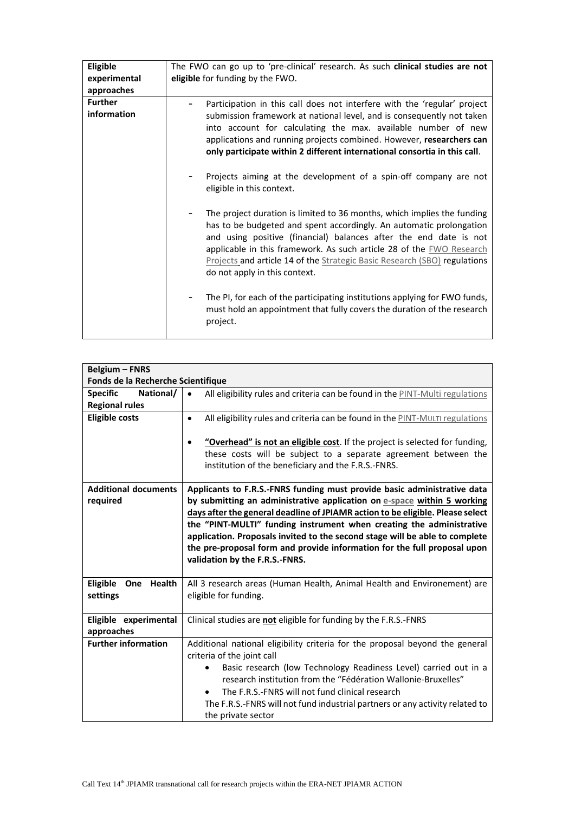| Eligible<br>experimental<br>approaches | The FWO can go up to 'pre-clinical' research. As such clinical studies are not<br>eligible for funding by the FWO.                                                                                                                                                                                                                                                                                        |
|----------------------------------------|-----------------------------------------------------------------------------------------------------------------------------------------------------------------------------------------------------------------------------------------------------------------------------------------------------------------------------------------------------------------------------------------------------------|
| <b>Further</b><br>information          | Participation in this call does not interfere with the 'regular' project<br>submission framework at national level, and is consequently not taken<br>into account for calculating the max. available number of new<br>applications and running projects combined. However, researchers can<br>only participate within 2 different international consortia in this call.                                   |
|                                        | Projects aiming at the development of a spin-off company are not<br>eligible in this context.                                                                                                                                                                                                                                                                                                             |
|                                        | The project duration is limited to 36 months, which implies the funding<br>has to be budgeted and spent accordingly. An automatic prolongation<br>and using positive (financial) balances after the end date is not<br>applicable in this framework. As such article 28 of the EWO Research<br>Projects and article 14 of the Strategic Basic Research (SBO) regulations<br>do not apply in this context. |
|                                        | The PI, for each of the participating institutions applying for FWO funds,<br>must hold an appointment that fully covers the duration of the research<br>project.                                                                                                                                                                                                                                         |

| <b>Belgium - FNRS</b>              |                                                                                            |
|------------------------------------|--------------------------------------------------------------------------------------------|
| Fonds de la Recherche Scientifique |                                                                                            |
| <b>Specific</b><br>National/       | All eligibility rules and criteria can be found in the PINT-Multi regulations<br>$\bullet$ |
| <b>Regional rules</b>              |                                                                                            |
| <b>Eligible costs</b>              | All eligibility rules and criteria can be found in the PINT-MULTI regulations<br>$\bullet$ |
|                                    |                                                                                            |
|                                    | "Overhead" is not an eligible cost. If the project is selected for funding,                |
|                                    | these costs will be subject to a separate agreement between the                            |
|                                    | institution of the beneficiary and the F.R.S.-FNRS.                                        |
| <b>Additional documents</b>        | Applicants to F.R.S.-FNRS funding must provide basic administrative data                   |
| required                           | by submitting an administrative application on e-space within 5 working                    |
|                                    | days after the general deadline of JPIAMR action to be eligible. Please select             |
|                                    | the "PINT-MULTI" funding instrument when creating the administrative                       |
|                                    | application. Proposals invited to the second stage will be able to complete                |
|                                    | the pre-proposal form and provide information for the full proposal upon                   |
|                                    | validation by the F.R.S.-FNRS.                                                             |
|                                    |                                                                                            |
| Eligible<br><b>Health</b><br>One   | All 3 research areas (Human Health, Animal Health and Environement) are                    |
| settings                           | eligible for funding.                                                                      |
|                                    |                                                                                            |
| Eligible experimental              | Clinical studies are not eligible for funding by the F.R.S.-FNRS                           |
| approaches                         |                                                                                            |
| <b>Further information</b>         | Additional national eligibility criteria for the proposal beyond the general               |
|                                    | criteria of the joint call                                                                 |
|                                    | Basic research (low Technology Readiness Level) carried out in a<br>$\bullet$              |
|                                    | research institution from the "Fédération Wallonie-Bruxelles"                              |
|                                    | The F.R.S.-FNRS will not fund clinical research<br>$\bullet$                               |
|                                    |                                                                                            |
|                                    | The F.R.S.-FNRS will not fund industrial partners or any activity related to               |
|                                    |                                                                                            |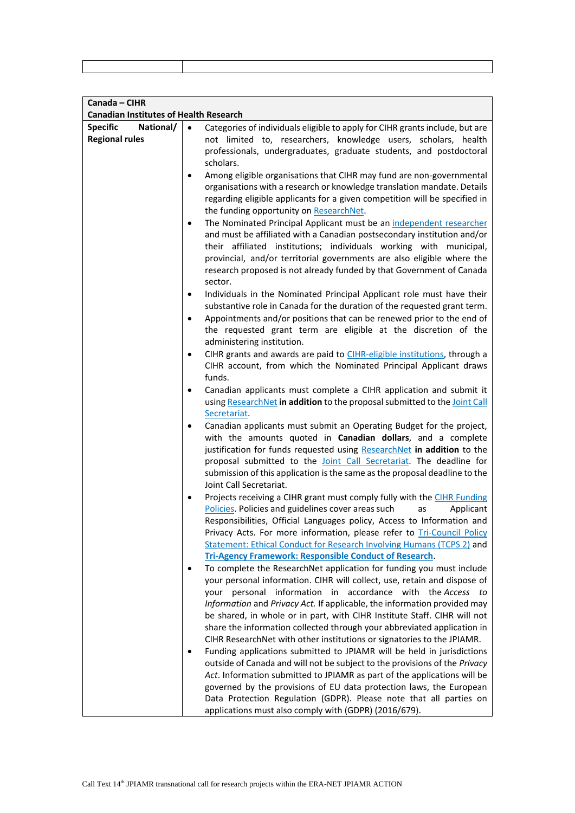| Canada - CIHR                                 |                                                                                                                                                                                                                                                                                                                                                                                                                                                                                                                                                                                                    |
|-----------------------------------------------|----------------------------------------------------------------------------------------------------------------------------------------------------------------------------------------------------------------------------------------------------------------------------------------------------------------------------------------------------------------------------------------------------------------------------------------------------------------------------------------------------------------------------------------------------------------------------------------------------|
| <b>Canadian Institutes of Health Research</b> |                                                                                                                                                                                                                                                                                                                                                                                                                                                                                                                                                                                                    |
| <b>Specific</b><br>National/                  | $\bullet$<br>Categories of individuals eligible to apply for CIHR grants include, but are                                                                                                                                                                                                                                                                                                                                                                                                                                                                                                          |
| <b>Regional rules</b>                         | not limited to, researchers, knowledge users, scholars, health<br>professionals, undergraduates, graduate students, and postdoctoral<br>scholars.                                                                                                                                                                                                                                                                                                                                                                                                                                                  |
|                                               | Among eligible organisations that CIHR may fund are non-governmental<br>$\bullet$<br>organisations with a research or knowledge translation mandate. Details<br>regarding eligible applicants for a given competition will be specified in<br>the funding opportunity on ResearchNet.                                                                                                                                                                                                                                                                                                              |
|                                               | The Nominated Principal Applicant must be an independent researcher<br>$\bullet$<br>and must be affiliated with a Canadian postsecondary institution and/or<br>their affiliated institutions; individuals working with municipal,<br>provincial, and/or territorial governments are also eligible where the<br>research proposed is not already funded by that Government of Canada<br>sector.                                                                                                                                                                                                     |
|                                               | Individuals in the Nominated Principal Applicant role must have their<br>$\bullet$<br>substantive role in Canada for the duration of the requested grant term.                                                                                                                                                                                                                                                                                                                                                                                                                                     |
|                                               | Appointments and/or positions that can be renewed prior to the end of<br>$\bullet$<br>the requested grant term are eligible at the discretion of the<br>administering institution.                                                                                                                                                                                                                                                                                                                                                                                                                 |
|                                               | CIHR grants and awards are paid to CIHR-eligible institutions, through a<br>٠<br>CIHR account, from which the Nominated Principal Applicant draws<br>funds.                                                                                                                                                                                                                                                                                                                                                                                                                                        |
|                                               | Canadian applicants must complete a CIHR application and submit it<br>٠<br>using ResearchNet in addition to the proposal submitted to the Joint Call<br>Secretariat.                                                                                                                                                                                                                                                                                                                                                                                                                               |
|                                               | Canadian applicants must submit an Operating Budget for the project,<br>$\bullet$<br>with the amounts quoted in Canadian dollars, and a complete<br>justification for funds requested using ResearchNet in addition to the<br>proposal submitted to the Joint Call Secretariat. The deadline for<br>submission of this application is the same as the proposal deadline to the<br>Joint Call Secretariat.                                                                                                                                                                                          |
|                                               | Projects receiving a CIHR grant must comply fully with the CIHR Funding<br>Policies. Policies and guidelines cover areas such<br>Applicant<br>as<br>Responsibilities, Official Languages policy, Access to Information and<br>Privacy Acts. For more information, please refer to <b>Tri-Council Policy</b><br>Statement: Ethical Conduct for Research Involving Humans (TCPS 2) and                                                                                                                                                                                                               |
|                                               | <b>Tri-Agency Framework: Responsible Conduct of Research.</b><br>To complete the ResearchNet application for funding you must include<br>your personal information. CIHR will collect, use, retain and dispose of<br>information in accordance with the Access to<br>personal<br>your<br>Information and Privacy Act. If applicable, the information provided may<br>be shared, in whole or in part, with CIHR Institute Staff. CIHR will not<br>share the information collected through your abbreviated application in<br>CIHR ResearchNet with other institutions or signatories to the JPIAMR. |
|                                               | Funding applications submitted to JPIAMR will be held in jurisdictions<br>outside of Canada and will not be subject to the provisions of the Privacy<br>Act. Information submitted to JPIAMR as part of the applications will be<br>governed by the provisions of EU data protection laws, the European<br>Data Protection Regulation (GDPR). Please note that all parties on<br>applications must also comply with (GDPR) (2016/679).                                                                                                                                                             |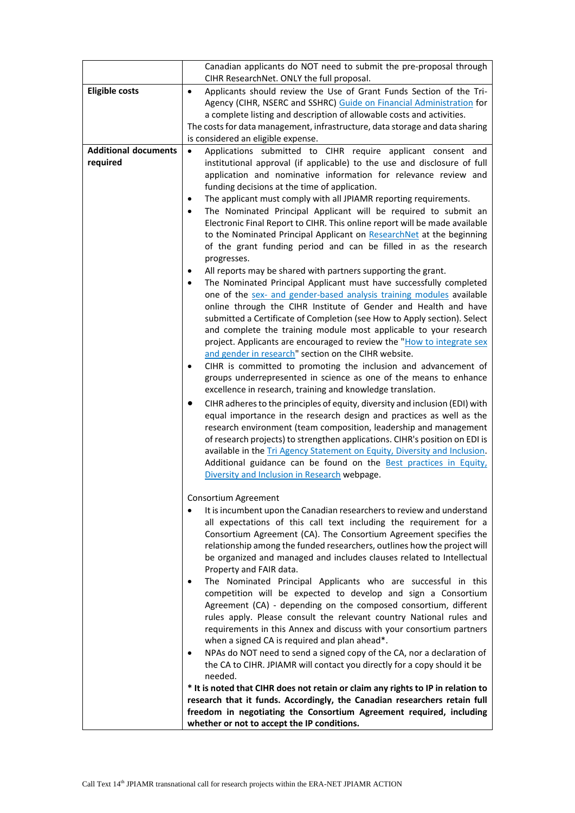|                             | Canadian applicants do NOT need to submit the pre-proposal through                                                                                            |
|-----------------------------|---------------------------------------------------------------------------------------------------------------------------------------------------------------|
|                             | CIHR ResearchNet. ONLY the full proposal.                                                                                                                     |
| <b>Eligible costs</b>       | Applicants should review the Use of Grant Funds Section of the Tri-<br>$\bullet$                                                                              |
|                             | Agency (CIHR, NSERC and SSHRC) Guide on Financial Administration for                                                                                          |
|                             | a complete listing and description of allowable costs and activities.                                                                                         |
|                             | The costs for data management, infrastructure, data storage and data sharing                                                                                  |
|                             | is considered an eligible expense.                                                                                                                            |
| <b>Additional documents</b> | Applications submitted to CIHR require applicant consent and<br>$\bullet$                                                                                     |
| required                    | institutional approval (if applicable) to the use and disclosure of full                                                                                      |
|                             | application and nominative information for relevance review and                                                                                               |
|                             | funding decisions at the time of application.                                                                                                                 |
|                             | The applicant must comply with all JPIAMR reporting requirements.<br>٠                                                                                        |
|                             | The Nominated Principal Applicant will be required to submit an                                                                                               |
|                             | Electronic Final Report to CIHR. This online report will be made available                                                                                    |
|                             | to the Nominated Principal Applicant on ResearchNet at the beginning                                                                                          |
|                             | of the grant funding period and can be filled in as the research<br>progresses.                                                                               |
|                             | All reports may be shared with partners supporting the grant.                                                                                                 |
|                             | The Nominated Principal Applicant must have successfully completed<br>$\bullet$                                                                               |
|                             | one of the sex- and gender-based analysis training modules available                                                                                          |
|                             | online through the CIHR Institute of Gender and Health and have                                                                                               |
|                             | submitted a Certificate of Completion (see How to Apply section). Select                                                                                      |
|                             | and complete the training module most applicable to your research                                                                                             |
|                             | project. Applicants are encouraged to review the "How to integrate sex                                                                                        |
|                             | and gender in research" section on the CIHR website.                                                                                                          |
|                             | CIHR is committed to promoting the inclusion and advancement of                                                                                               |
|                             | groups underrepresented in science as one of the means to enhance                                                                                             |
|                             | excellence in research, training and knowledge translation.                                                                                                   |
|                             | CIHR adheres to the principles of equity, diversity and inclusion (EDI) with<br>٠                                                                             |
|                             | equal importance in the research design and practices as well as the                                                                                          |
|                             | research environment (team composition, leadership and management                                                                                             |
|                             | of research projects) to strengthen applications. CIHR's position on EDI is                                                                                   |
|                             | available in the Tri Agency Statement on Equity, Diversity and Inclusion.                                                                                     |
|                             | Additional guidance can be found on the Best practices in Equity,                                                                                             |
|                             | Diversity and Inclusion in Research webpage.                                                                                                                  |
|                             | Consortium Agreement                                                                                                                                          |
|                             | It is incumbent upon the Canadian researchers to review and understand                                                                                        |
|                             | all expectations of this call text including the requirement for a                                                                                            |
|                             | Consortium Agreement (CA). The Consortium Agreement specifies the                                                                                             |
|                             | relationship among the funded researchers, outlines how the project will                                                                                      |
|                             | be organized and managed and includes clauses related to Intellectual                                                                                         |
|                             | Property and FAIR data.                                                                                                                                       |
|                             | The Nominated Principal Applicants who are successful in this                                                                                                 |
|                             | competition will be expected to develop and sign a Consortium                                                                                                 |
|                             | Agreement (CA) - depending on the composed consortium, different                                                                                              |
|                             | rules apply. Please consult the relevant country National rules and                                                                                           |
|                             | requirements in this Annex and discuss with your consortium partners                                                                                          |
|                             | when a signed CA is required and plan ahead*.                                                                                                                 |
|                             | NPAs do NOT need to send a signed copy of the CA, nor a declaration of                                                                                        |
|                             | the CA to CIHR. JPIAMR will contact you directly for a copy should it be                                                                                      |
|                             | needed.                                                                                                                                                       |
|                             | * It is noted that CIHR does not retain or claim any rights to IP in relation to<br>research that it funds. Accordingly, the Canadian researchers retain full |
|                             | freedom in negotiating the Consortium Agreement required, including                                                                                           |
|                             | whether or not to accept the IP conditions.                                                                                                                   |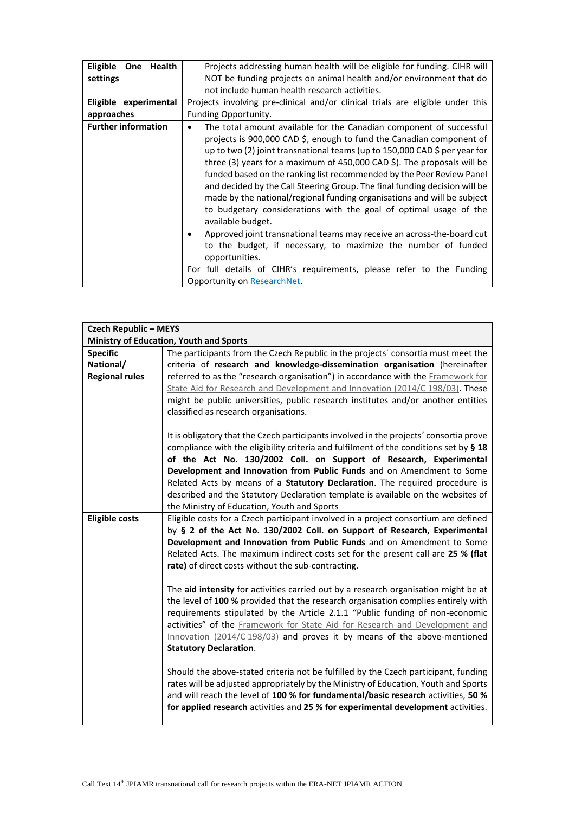| <b>Eligible</b>            | Projects addressing human health will be eligible for funding. CIHR will                                                                                                                                                                                                                                                                                                                                                                                                                                                                                                                                                                                                                                                                                                                                                                                                                                  |
|----------------------------|-----------------------------------------------------------------------------------------------------------------------------------------------------------------------------------------------------------------------------------------------------------------------------------------------------------------------------------------------------------------------------------------------------------------------------------------------------------------------------------------------------------------------------------------------------------------------------------------------------------------------------------------------------------------------------------------------------------------------------------------------------------------------------------------------------------------------------------------------------------------------------------------------------------|
| One Health                 | NOT be funding projects on animal health and/or environment that do                                                                                                                                                                                                                                                                                                                                                                                                                                                                                                                                                                                                                                                                                                                                                                                                                                       |
| settings                   | not include human health research activities.                                                                                                                                                                                                                                                                                                                                                                                                                                                                                                                                                                                                                                                                                                                                                                                                                                                             |
| Eligible experimental      | Projects involving pre-clinical and/or clinical trials are eligible under this                                                                                                                                                                                                                                                                                                                                                                                                                                                                                                                                                                                                                                                                                                                                                                                                                            |
| approaches                 | Funding Opportunity.                                                                                                                                                                                                                                                                                                                                                                                                                                                                                                                                                                                                                                                                                                                                                                                                                                                                                      |
| <b>Further information</b> | The total amount available for the Canadian component of successful<br>٠<br>projects is 900,000 CAD \$, enough to fund the Canadian component of<br>up to two (2) joint transnational teams (up to 150,000 CAD \$ per year for<br>three (3) years for a maximum of 450,000 CAD \$). The proposals will be<br>funded based on the ranking list recommended by the Peer Review Panel<br>and decided by the Call Steering Group. The final funding decision will be<br>made by the national/regional funding organisations and will be subject<br>to budgetary considerations with the goal of optimal usage of the<br>available budget.<br>Approved joint transnational teams may receive an across-the-board cut<br>to the budget, if necessary, to maximize the number of funded<br>opportunities.<br>For full details of CIHR's requirements, please refer to the Funding<br>Opportunity on ResearchNet. |

|                       | <b>Czech Republic - MEYS</b>                                                           |  |
|-----------------------|----------------------------------------------------------------------------------------|--|
|                       | <b>Ministry of Education, Youth and Sports</b>                                         |  |
| <b>Specific</b>       | The participants from the Czech Republic in the projects' consortia must meet the      |  |
| National/             | criteria of research and knowledge-dissemination organisation (hereinafter             |  |
| <b>Regional rules</b> | referred to as the "research organisation") in accordance with the Framework for       |  |
|                       | State Aid for Research and Development and Innovation (2014/C 198/03). These           |  |
|                       | might be public universities, public research institutes and/or another entities       |  |
|                       | classified as research organisations.                                                  |  |
|                       | It is obligatory that the Czech participants involved in the projects' consortia prove |  |
|                       | compliance with the eligibility criteria and fulfilment of the conditions set by § 18  |  |
|                       | of the Act No. 130/2002 Coll. on Support of Research, Experimental                     |  |
|                       | Development and Innovation from Public Funds and on Amendment to Some                  |  |
|                       | Related Acts by means of a Statutory Declaration. The required procedure is            |  |
|                       | described and the Statutory Declaration template is available on the websites of       |  |
|                       | the Ministry of Education, Youth and Sports                                            |  |
| <b>Eligible costs</b> | Eligible costs for a Czech participant involved in a project consortium are defined    |  |
|                       | by § 2 of the Act No. 130/2002 Coll. on Support of Research, Experimental              |  |
|                       | Development and Innovation from Public Funds and on Amendment to Some                  |  |
|                       | Related Acts. The maximum indirect costs set for the present call are 25 % (flat       |  |
|                       | rate) of direct costs without the sub-contracting.                                     |  |
|                       |                                                                                        |  |
|                       | The aid intensity for activities carried out by a research organisation might be at    |  |
|                       | the level of 100 % provided that the research organisation complies entirely with      |  |
|                       | requirements stipulated by the Article 2.1.1 "Public funding of non-economic           |  |
|                       | activities" of the Framework for State Aid for Research and Development and            |  |
|                       | Innovation (2014/C 198/03) and proves it by means of the above-mentioned               |  |
|                       | <b>Statutory Declaration.</b>                                                          |  |
|                       |                                                                                        |  |
|                       | Should the above-stated criteria not be fulfilled by the Czech participant, funding    |  |
|                       | rates will be adjusted appropriately by the Ministry of Education, Youth and Sports    |  |
|                       | and will reach the level of 100 % for fundamental/basic research activities, 50 %      |  |
|                       | for applied research activities and 25 % for experimental development activities.      |  |
|                       |                                                                                        |  |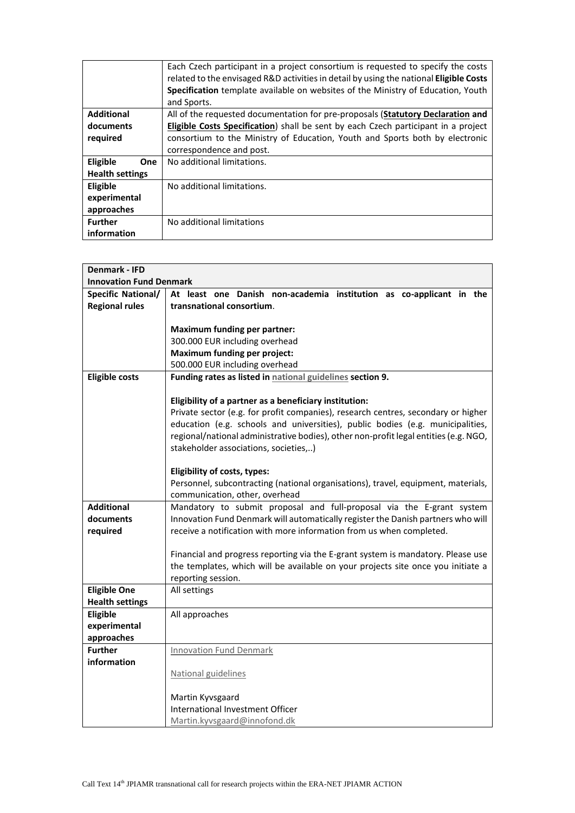|                        | Each Czech participant in a project consortium is requested to specify the costs<br>related to the envisaged R&D activities in detail by using the national Eligible Costs<br>Specification template available on websites of the Ministry of Education, Youth |
|------------------------|----------------------------------------------------------------------------------------------------------------------------------------------------------------------------------------------------------------------------------------------------------------|
|                        | and Sports.                                                                                                                                                                                                                                                    |
| <b>Additional</b>      | All of the requested documentation for pre-proposals (Statutory Declaration and                                                                                                                                                                                |
| documents              | <b>Eligible Costs Specification</b> ) shall be sent by each Czech participant in a project                                                                                                                                                                     |
| required               | consortium to the Ministry of Education, Youth and Sports both by electronic                                                                                                                                                                                   |
|                        | correspondence and post.                                                                                                                                                                                                                                       |
| Eligible<br>One        | No additional limitations.                                                                                                                                                                                                                                     |
| <b>Health settings</b> |                                                                                                                                                                                                                                                                |
| Eligible               | No additional limitations.                                                                                                                                                                                                                                     |
| experimental           |                                                                                                                                                                                                                                                                |
| approaches             |                                                                                                                                                                                                                                                                |
| <b>Further</b>         | No additional limitations                                                                                                                                                                                                                                      |
| information            |                                                                                                                                                                                                                                                                |

| <b>Denmark - IFD</b>      |                                                                                      |  |
|---------------------------|--------------------------------------------------------------------------------------|--|
|                           | <b>Innovation Fund Denmark</b>                                                       |  |
| <b>Specific National/</b> | At least one Danish non-academia institution as co-applicant in the                  |  |
| <b>Regional rules</b>     | transnational consortium.                                                            |  |
|                           |                                                                                      |  |
|                           | <b>Maximum funding per partner:</b>                                                  |  |
|                           | 300.000 EUR including overhead                                                       |  |
|                           | <b>Maximum funding per project:</b>                                                  |  |
|                           | 500.000 EUR including overhead                                                       |  |
| <b>Eligible costs</b>     | Funding rates as listed in national guidelines section 9.                            |  |
|                           |                                                                                      |  |
|                           | Eligibility of a partner as a beneficiary institution:                               |  |
|                           | Private sector (e.g. for profit companies), research centres, secondary or higher    |  |
|                           | education (e.g. schools and universities), public bodies (e.g. municipalities,       |  |
|                           | regional/national administrative bodies), other non-profit legal entities (e.g. NGO, |  |
|                           | stakeholder associations, societies,)                                                |  |
|                           |                                                                                      |  |
|                           | Eligibility of costs, types:                                                         |  |
|                           | Personnel, subcontracting (national organisations), travel, equipment, materials,    |  |
|                           | communication, other, overhead                                                       |  |
| <b>Additional</b>         | Mandatory to submit proposal and full-proposal via the E-grant system                |  |
| documents                 | Innovation Fund Denmark will automatically register the Danish partners who will     |  |
| required                  | receive a notification with more information from us when completed.                 |  |
|                           | Financial and progress reporting via the E-grant system is mandatory. Please use     |  |
|                           | the templates, which will be available on your projects site once you initiate a     |  |
|                           | reporting session.                                                                   |  |
| <b>Eligible One</b>       | All settings                                                                         |  |
| <b>Health settings</b>    |                                                                                      |  |
| Eligible                  | All approaches                                                                       |  |
| experimental              |                                                                                      |  |
| approaches                |                                                                                      |  |
| <b>Further</b>            | <b>Innovation Fund Denmark</b>                                                       |  |
| information               |                                                                                      |  |
|                           | National guidelines                                                                  |  |
|                           |                                                                                      |  |
|                           | Martin Kyvsgaard                                                                     |  |
|                           | International Investment Officer                                                     |  |
|                           | Martin.kyvsgaard@innofond.dk                                                         |  |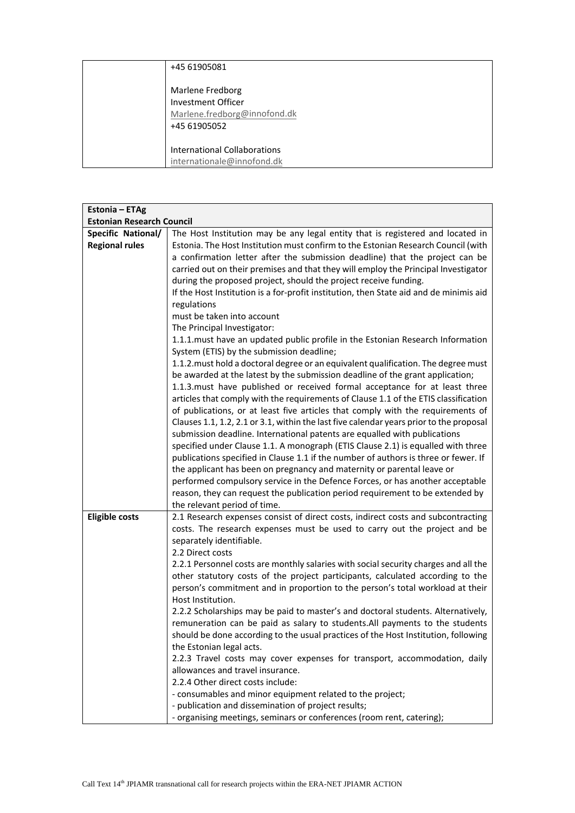| +45 61905081                                                                           |
|----------------------------------------------------------------------------------------|
| Marlene Fredborg<br>Investment Officer<br>Marlene.fredborg@innofond.dk<br>+45 61905052 |
| <b>International Collaborations</b><br>internationale@innofond.dk                      |

| Estonia - ETAg                   |                                                                                                                                                                                                                                                                                                                                                                                                                                                                                                                                                                                                                                                                                                                                                                                                                                                                                         |
|----------------------------------|-----------------------------------------------------------------------------------------------------------------------------------------------------------------------------------------------------------------------------------------------------------------------------------------------------------------------------------------------------------------------------------------------------------------------------------------------------------------------------------------------------------------------------------------------------------------------------------------------------------------------------------------------------------------------------------------------------------------------------------------------------------------------------------------------------------------------------------------------------------------------------------------|
| <b>Estonian Research Council</b> |                                                                                                                                                                                                                                                                                                                                                                                                                                                                                                                                                                                                                                                                                                                                                                                                                                                                                         |
| Specific National/               | The Host Institution may be any legal entity that is registered and located in                                                                                                                                                                                                                                                                                                                                                                                                                                                                                                                                                                                                                                                                                                                                                                                                          |
| <b>Regional rules</b>            | Estonia. The Host Institution must confirm to the Estonian Research Council (with<br>a confirmation letter after the submission deadline) that the project can be<br>carried out on their premises and that they will employ the Principal Investigator<br>during the proposed project, should the project receive funding.<br>If the Host Institution is a for-profit institution, then State aid and de minimis aid<br>regulations<br>must be taken into account<br>The Principal Investigator:<br>1.1.1. must have an updated public profile in the Estonian Research Information<br>System (ETIS) by the submission deadline;<br>1.1.2. must hold a doctoral degree or an equivalent qualification. The degree must<br>be awarded at the latest by the submission deadline of the grant application;<br>1.1.3. must have published or received formal acceptance for at least three |
|                                  | articles that comply with the requirements of Clause 1.1 of the ETIS classification<br>of publications, or at least five articles that comply with the requirements of<br>Clauses 1.1, 1.2, 2.1 or 3.1, within the last five calendar years prior to the proposal<br>submission deadline. International patents are equalled with publications<br>specified under Clause 1.1. A monograph (ETIS Clause 2.1) is equalled with three<br>publications specified in Clause 1.1 if the number of authors is three or fewer. If<br>the applicant has been on pregnancy and maternity or parental leave or<br>performed compulsory service in the Defence Forces, or has another acceptable<br>reason, they can request the publication period requirement to be extended by<br>the relevant period of time.                                                                                   |
| <b>Eligible costs</b>            | 2.1 Research expenses consist of direct costs, indirect costs and subcontracting<br>costs. The research expenses must be used to carry out the project and be<br>separately identifiable.<br>2.2 Direct costs                                                                                                                                                                                                                                                                                                                                                                                                                                                                                                                                                                                                                                                                           |
|                                  | 2.2.1 Personnel costs are monthly salaries with social security charges and all the<br>other statutory costs of the project participants, calculated according to the<br>person's commitment and in proportion to the person's total workload at their<br>Host Institution.                                                                                                                                                                                                                                                                                                                                                                                                                                                                                                                                                                                                             |
|                                  | 2.2.2 Scholarships may be paid to master's and doctoral students. Alternatively,<br>remuneration can be paid as salary to students. All payments to the students<br>should be done according to the usual practices of the Host Institution, following<br>the Estonian legal acts.                                                                                                                                                                                                                                                                                                                                                                                                                                                                                                                                                                                                      |
|                                  | 2.2.3 Travel costs may cover expenses for transport, accommodation, daily<br>allowances and travel insurance.                                                                                                                                                                                                                                                                                                                                                                                                                                                                                                                                                                                                                                                                                                                                                                           |
|                                  | 2.2.4 Other direct costs include:                                                                                                                                                                                                                                                                                                                                                                                                                                                                                                                                                                                                                                                                                                                                                                                                                                                       |
|                                  | - consumables and minor equipment related to the project;                                                                                                                                                                                                                                                                                                                                                                                                                                                                                                                                                                                                                                                                                                                                                                                                                               |
|                                  | - publication and dissemination of project results;                                                                                                                                                                                                                                                                                                                                                                                                                                                                                                                                                                                                                                                                                                                                                                                                                                     |
|                                  | - organising meetings, seminars or conferences (room rent, catering);                                                                                                                                                                                                                                                                                                                                                                                                                                                                                                                                                                                                                                                                                                                                                                                                                   |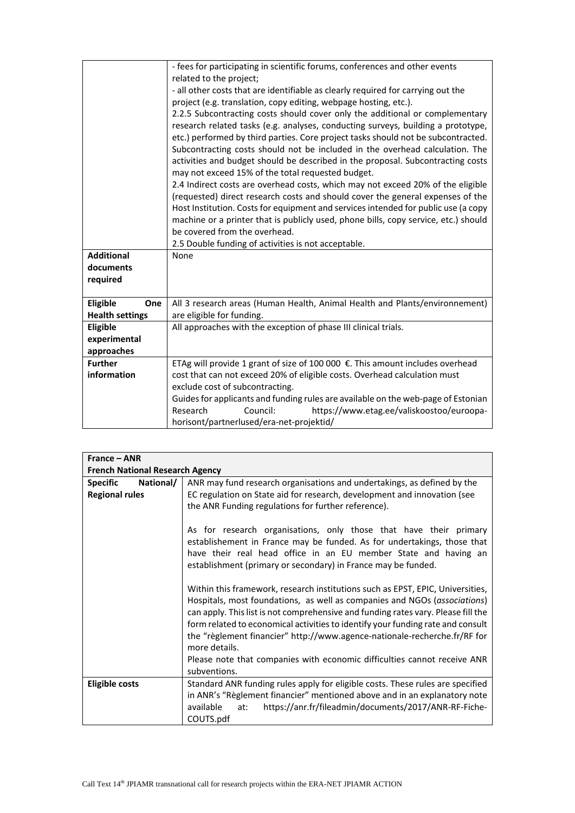|                        | - fees for participating in scientific forums, conferences and other events                                                          |
|------------------------|--------------------------------------------------------------------------------------------------------------------------------------|
|                        | related to the project;                                                                                                              |
|                        | - all other costs that are identifiable as clearly required for carrying out the                                                     |
|                        | project (e.g. translation, copy editing, webpage hosting, etc.).                                                                     |
|                        | 2.2.5 Subcontracting costs should cover only the additional or complementary                                                         |
|                        | research related tasks (e.g. analyses, conducting surveys, building a prototype,                                                     |
|                        | etc.) performed by third parties. Core project tasks should not be subcontracted.                                                    |
|                        | Subcontracting costs should not be included in the overhead calculation. The                                                         |
|                        | activities and budget should be described in the proposal. Subcontracting costs<br>may not exceed 15% of the total requested budget. |
|                        | 2.4 Indirect costs are overhead costs, which may not exceed 20% of the eligible                                                      |
|                        | (requested) direct research costs and should cover the general expenses of the                                                       |
|                        | Host Institution. Costs for equipment and services intended for public use (a copy                                                   |
|                        | machine or a printer that is publicly used, phone bills, copy service, etc.) should                                                  |
|                        | be covered from the overhead.                                                                                                        |
|                        | 2.5 Double funding of activities is not acceptable.                                                                                  |
| <b>Additional</b>      | None                                                                                                                                 |
| documents              |                                                                                                                                      |
| required               |                                                                                                                                      |
|                        |                                                                                                                                      |
| <b>Eligible</b><br>One | All 3 research areas (Human Health, Animal Health and Plants/environnement)                                                          |
| <b>Health settings</b> | are eligible for funding.                                                                                                            |
| Eligible               | All approaches with the exception of phase III clinical trials.                                                                      |
| experimental           |                                                                                                                                      |
| approaches             |                                                                                                                                      |
| <b>Further</b>         | ETAg will provide 1 grant of size of 100 000 €. This amount includes overhead                                                        |
| information            | cost that can not exceed 20% of eligible costs. Overhead calculation must                                                            |
|                        | exclude cost of subcontracting.                                                                                                      |
|                        | Guides for applicants and funding rules are available on the web-page of Estonian                                                    |
|                        | Research<br>Council:<br>https://www.etag.ee/valiskoostoo/euroopa-                                                                    |
|                        | horisont/partnerlused/era-net-projektid/                                                                                             |

| $France - ANR$               |                                                                                   |  |
|------------------------------|-----------------------------------------------------------------------------------|--|
|                              | <b>French National Research Agency</b>                                            |  |
| National/<br><b>Specific</b> | ANR may fund research organisations and undertakings, as defined by the           |  |
| <b>Regional rules</b>        | EC regulation on State aid for research, development and innovation (see          |  |
|                              | the ANR Funding regulations for further reference).                               |  |
|                              |                                                                                   |  |
|                              | As for research organisations, only those that have their primary                 |  |
|                              | establishement in France may be funded. As for undertakings, those that           |  |
|                              | have their real head office in an EU member State and having an                   |  |
|                              | establishment (primary or secondary) in France may be funded.                     |  |
|                              |                                                                                   |  |
|                              | Within this framework, research institutions such as EPST, EPIC, Universities,    |  |
|                              | Hospitals, most foundations, as well as companies and NGOs (associations)         |  |
|                              | can apply. This list is not comprehensive and funding rates vary. Please fill the |  |
|                              | form related to economical activities to identify your funding rate and consult   |  |
|                              | the "règlement financier" http://www.agence-nationale-recherche.fr/RF for         |  |
|                              | more details.                                                                     |  |
|                              | Please note that companies with economic difficulties cannot receive ANR          |  |
|                              | subventions.                                                                      |  |
| <b>Eligible costs</b>        | Standard ANR funding rules apply for eligible costs. These rules are specified    |  |
|                              | in ANR's "Règlement financier" mentioned above and in an explanatory note         |  |
|                              | https://anr.fr/fileadmin/documents/2017/ANR-RF-Fiche-<br>available<br>at:         |  |
|                              | COUTS.pdf                                                                         |  |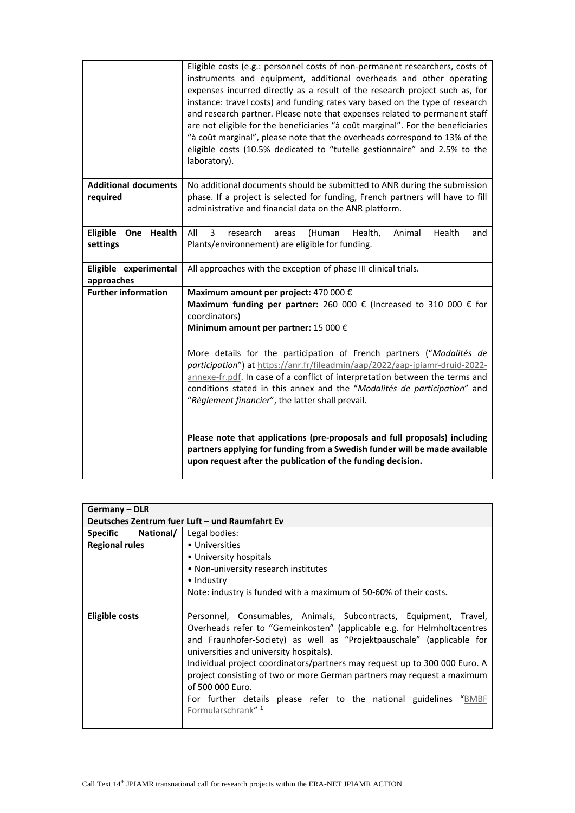|                                         | Eligible costs (e.g.: personnel costs of non-permanent researchers, costs of<br>instruments and equipment, additional overheads and other operating<br>expenses incurred directly as a result of the research project such as, for<br>instance: travel costs) and funding rates vary based on the type of research<br>and research partner. Please note that expenses related to permanent staff<br>are not eligible for the beneficiaries "à coût marginal". For the beneficiaries<br>"à coût marginal", please note that the overheads correspond to 13% of the<br>eligible costs (10.5% dedicated to "tutelle gestionnaire" and 2.5% to the<br>laboratory). |
|-----------------------------------------|----------------------------------------------------------------------------------------------------------------------------------------------------------------------------------------------------------------------------------------------------------------------------------------------------------------------------------------------------------------------------------------------------------------------------------------------------------------------------------------------------------------------------------------------------------------------------------------------------------------------------------------------------------------|
| <b>Additional documents</b><br>required | No additional documents should be submitted to ANR during the submission<br>phase. If a project is selected for funding, French partners will have to fill<br>administrative and financial data on the ANR platform.                                                                                                                                                                                                                                                                                                                                                                                                                                           |
| Eligible<br>One<br>Health<br>settings   | 3<br>All<br>Health<br>research<br>Health,<br>Animal<br>(Human<br>areas<br>and<br>Plants/environnement) are eligible for funding.                                                                                                                                                                                                                                                                                                                                                                                                                                                                                                                               |
| Eligible experimental<br>approaches     | All approaches with the exception of phase III clinical trials.                                                                                                                                                                                                                                                                                                                                                                                                                                                                                                                                                                                                |
| <b>Further information</b>              | Maximum amount per project: 470 000 €<br>Maximum funding per partner: 260 000 $\epsilon$ (Increased to 310 000 $\epsilon$ for<br>coordinators)<br>Minimum amount per partner: 15 000 €<br>More details for the participation of French partners ("Modalités de<br>participation") at https://anr.fr/fileadmin/aap/2022/aap-jpiamr-druid-2022-<br>annexe-fr.pdf. In case of a conflict of interpretation between the terms and<br>conditions stated in this annex and the "Modalités de participation" and<br>"Règlement financier", the latter shall prevail.                                                                                                  |
|                                         | Please note that applications (pre-proposals and full proposals) including<br>partners applying for funding from a Swedish funder will be made available<br>upon request after the publication of the funding decision.                                                                                                                                                                                                                                                                                                                                                                                                                                        |

| <b>Germany - DLR</b>  |                                                                            |
|-----------------------|----------------------------------------------------------------------------|
|                       | Deutsches Zentrum fuer Luft - und Raumfahrt Ev                             |
| Specific National/    | Legal bodies:                                                              |
| <b>Regional rules</b> | • Universities                                                             |
|                       | • University hospitals                                                     |
|                       | • Non-university research institutes                                       |
|                       | • Industry                                                                 |
|                       | Note: industry is funded with a maximum of 50-60% of their costs.          |
|                       |                                                                            |
| Eligible costs        | Personnel, Consumables, Animals, Subcontracts, Equipment, Travel,          |
|                       | Overheads refer to "Gemeinkosten" (applicable e.g. for Helmholtzcentres    |
|                       | and Fraunhofer-Society) as well as "Projektpauschale" (applicable for      |
|                       | universities and university hospitals).                                    |
|                       | Individual project coordinators/partners may request up to 300 000 Euro. A |
|                       | project consisting of two or more German partners may request a maximum    |
|                       | of 500 000 Euro.                                                           |
|                       | For further details please refer to the national guidelines "BMBF          |
|                       | Formularschrank" <sup>1</sup>                                              |
|                       |                                                                            |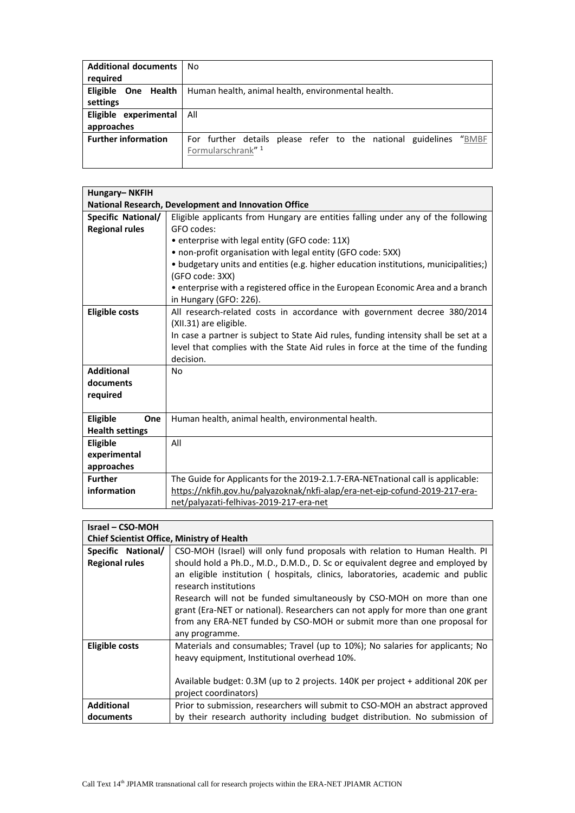| <b>Additional documents</b> | No                                                                   |
|-----------------------------|----------------------------------------------------------------------|
| required                    |                                                                      |
| Eligible One Health         | Human health, animal health, environmental health.                   |
| settings                    |                                                                      |
| Eligible experimental       | All                                                                  |
| approaches                  |                                                                      |
| <b>Further information</b>  | "BMBF<br>For further details please refer to the national guidelines |
|                             | Formularschrank" <sup>1</sup>                                        |
|                             |                                                                      |

| Hungary-NKFIH             |                                                                                      |
|---------------------------|--------------------------------------------------------------------------------------|
|                           | National Research, Development and Innovation Office                                 |
| <b>Specific National/</b> | Eligible applicants from Hungary are entities falling under any of the following     |
| <b>Regional rules</b>     | GFO codes:                                                                           |
|                           | • enterprise with legal entity (GFO code: 11X)                                       |
|                           | • non-profit organisation with legal entity (GFO code: 5XX)                          |
|                           | • budgetary units and entities (e.g. higher education institutions, municipalities;) |
|                           | (GFO code: 3XX)                                                                      |
|                           | • enterprise with a registered office in the European Economic Area and a branch     |
|                           | in Hungary (GFO: 226).                                                               |
| <b>Eligible costs</b>     | All research-related costs in accordance with government decree 380/2014             |
|                           | (XII.31) are eligible.                                                               |
|                           | In case a partner is subject to State Aid rules, funding intensity shall be set at a |
|                           | level that complies with the State Aid rules in force at the time of the funding     |
|                           | decision.                                                                            |
| <b>Additional</b>         | No                                                                                   |
| documents                 |                                                                                      |
| required                  |                                                                                      |
|                           |                                                                                      |
| Eligible<br>One           | Human health, animal health, environmental health.                                   |
| <b>Health settings</b>    |                                                                                      |
| Eligible                  | All                                                                                  |
| experimental              |                                                                                      |
| approaches                |                                                                                      |
| <b>Further</b>            | The Guide for Applicants for the 2019-2.1.7-ERA-NETnational call is applicable:      |
| information               | https://nkfih.gov.hu/palyazoknak/nkfi-alap/era-net-ejp-cofund-2019-217-era-          |
|                           | net/palyazati-felhivas-2019-217-era-net                                              |

| <b>Israel - CSO-MOH</b>                           |                                                                                 |
|---------------------------------------------------|---------------------------------------------------------------------------------|
| <b>Chief Scientist Office, Ministry of Health</b> |                                                                                 |
| Specific National/                                | CSO-MOH (Israel) will only fund proposals with relation to Human Health. PI     |
| <b>Regional rules</b>                             | should hold a Ph.D., M.D., D.M.D., D. Sc or equivalent degree and employed by   |
|                                                   | an eligible institution ( hospitals, clinics, laboratories, academic and public |
|                                                   | research institutions                                                           |
|                                                   | Research will not be funded simultaneously by CSO-MOH on more than one          |
|                                                   | grant (Era-NET or national). Researchers can not apply for more than one grant  |
|                                                   | from any ERA-NET funded by CSO-MOH or submit more than one proposal for         |
|                                                   | any programme.                                                                  |
| <b>Eligible costs</b>                             | Materials and consumables; Travel (up to 10%); No salaries for applicants; No   |
|                                                   | heavy equipment, Institutional overhead 10%.                                    |
|                                                   |                                                                                 |
|                                                   | Available budget: 0.3M (up to 2 projects. 140K per project + additional 20K per |
|                                                   | project coordinators)                                                           |
| <b>Additional</b>                                 | Prior to submission, researchers will submit to CSO-MOH an abstract approved    |
| documents                                         | by their research authority including budget distribution. No submission of     |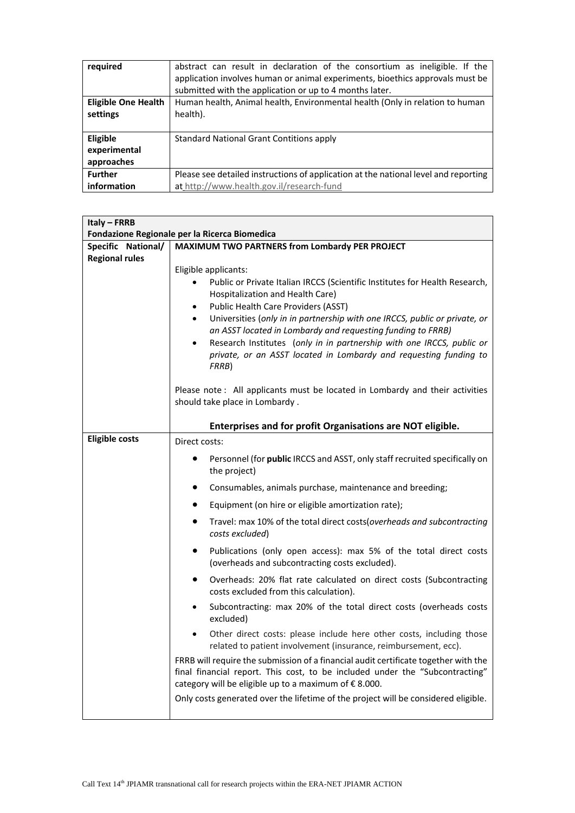| required                   | abstract can result in declaration of the consortium as ineligible. If the<br>application involves human or animal experiments, bioethics approvals must be<br>submitted with the application or up to 4 months later. |
|----------------------------|------------------------------------------------------------------------------------------------------------------------------------------------------------------------------------------------------------------------|
| <b>Eligible One Health</b> | Human health, Animal health, Environmental health (Only in relation to human                                                                                                                                           |
| settings                   | health).                                                                                                                                                                                                               |
|                            |                                                                                                                                                                                                                        |
| Eligible                   | Standard National Grant Contitions apply                                                                                                                                                                               |
| experimental               |                                                                                                                                                                                                                        |
| approaches                 |                                                                                                                                                                                                                        |
| <b>Further</b>             | Please see detailed instructions of application at the national level and reporting                                                                                                                                    |
| information                | at http://www.health.gov.il/research-fund                                                                                                                                                                              |

| Italy - FRRB          |                                                                                                                                                                                                                                                                                                                                                                                                                                                                                                                                        |
|-----------------------|----------------------------------------------------------------------------------------------------------------------------------------------------------------------------------------------------------------------------------------------------------------------------------------------------------------------------------------------------------------------------------------------------------------------------------------------------------------------------------------------------------------------------------------|
|                       | Fondazione Regionale per la Ricerca Biomedica                                                                                                                                                                                                                                                                                                                                                                                                                                                                                          |
| Specific National/    | MAXIMUM TWO PARTNERS from Lombardy PER PROJECT                                                                                                                                                                                                                                                                                                                                                                                                                                                                                         |
| <b>Regional rules</b> | Eligible applicants:<br>Public or Private Italian IRCCS (Scientific Institutes for Health Research,<br>$\bullet$<br>Hospitalization and Health Care)<br>Public Health Care Providers (ASST)<br>$\bullet$<br>Universities (only in in partnership with one IRCCS, public or private, or<br>$\bullet$<br>an ASST located in Lombardy and requesting funding to FRRB)<br>Research Institutes (only in in partnership with one IRCCS, public or<br>$\bullet$<br>private, or an ASST located in Lombardy and requesting funding to<br>FRRB) |
|                       | Please note: All applicants must be located in Lombardy and their activities<br>should take place in Lombardy.<br>Enterprises and for profit Organisations are NOT eligible.                                                                                                                                                                                                                                                                                                                                                           |
| <b>Eligible costs</b> | Direct costs:                                                                                                                                                                                                                                                                                                                                                                                                                                                                                                                          |
|                       | Personnel (for public IRCCS and ASST, only staff recruited specifically on<br>the project)                                                                                                                                                                                                                                                                                                                                                                                                                                             |
|                       | Consumables, animals purchase, maintenance and breeding;<br>٠                                                                                                                                                                                                                                                                                                                                                                                                                                                                          |
|                       | Equipment (on hire or eligible amortization rate);                                                                                                                                                                                                                                                                                                                                                                                                                                                                                     |
|                       | Travel: max 10% of the total direct costs (overheads and subcontracting<br>costs excluded)                                                                                                                                                                                                                                                                                                                                                                                                                                             |
|                       | Publications (only open access): max 5% of the total direct costs<br>٠<br>(overheads and subcontracting costs excluded).                                                                                                                                                                                                                                                                                                                                                                                                               |
|                       | Overheads: 20% flat rate calculated on direct costs (Subcontracting<br>٠<br>costs excluded from this calculation).                                                                                                                                                                                                                                                                                                                                                                                                                     |
|                       | Subcontracting: max 20% of the total direct costs (overheads costs<br>$\bullet$<br>excluded)                                                                                                                                                                                                                                                                                                                                                                                                                                           |
|                       | Other direct costs: please include here other costs, including those<br>$\bullet$<br>related to patient involvement (insurance, reimbursement, ecc).                                                                                                                                                                                                                                                                                                                                                                                   |
|                       | FRRB will require the submission of a financial audit certificate together with the<br>final financial report. This cost, to be included under the "Subcontracting"<br>category will be eligible up to a maximum of €8.000.                                                                                                                                                                                                                                                                                                            |
|                       | Only costs generated over the lifetime of the project will be considered eligible.                                                                                                                                                                                                                                                                                                                                                                                                                                                     |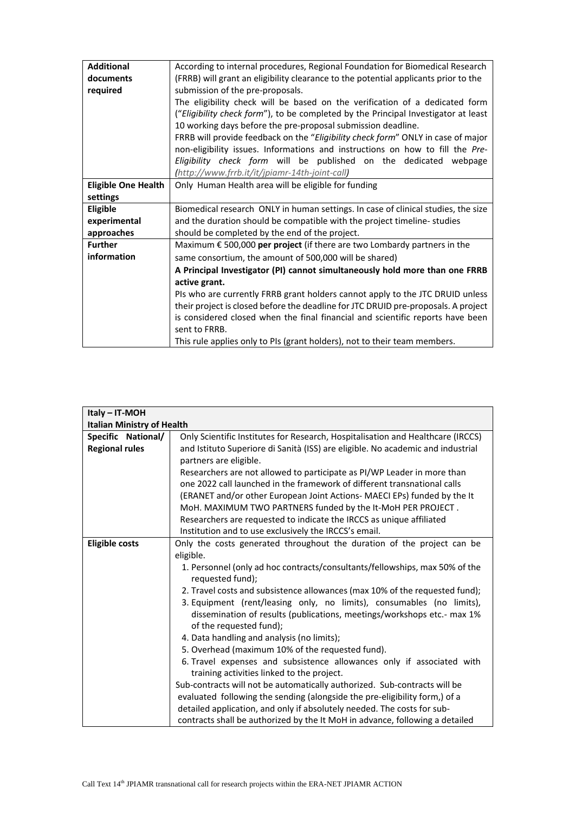| <b>Additional</b>          | According to internal procedures, Regional Foundation for Biomedical Research                   |
|----------------------------|-------------------------------------------------------------------------------------------------|
| documents                  | (FRRB) will grant an eligibility clearance to the potential applicants prior to the             |
|                            |                                                                                                 |
| required                   | submission of the pre-proposals.                                                                |
|                            | The eligibility check will be based on the verification of a dedicated form                     |
|                            | ("Eligibility check form"), to be completed by the Principal Investigator at least              |
|                            | 10 working days before the pre-proposal submission deadline.                                    |
|                            | FRRB will provide feedback on the "Eligibility check form" ONLY in case of major                |
|                            | non-eligibility issues. Informations and instructions on how to fill the Pre-                   |
|                            | Eligibility check form will be published on the dedicated webpage                               |
|                            |                                                                                                 |
|                            | (http://www.frrb.it/it/jpiamr-14th-joint-call)                                                  |
| <b>Eligible One Health</b> | Only Human Health area will be eligible for funding                                             |
| settings                   |                                                                                                 |
| Eligible                   | Biomedical research ONLY in human settings. In case of clinical studies, the size               |
| experimental               | and the duration should be compatible with the project timeline-studies                         |
|                            |                                                                                                 |
| approaches                 | should be completed by the end of the project.                                                  |
| <b>Further</b>             | Maximum € 500,000 per project (if there are two Lombardy partners in the                        |
| information                | same consortium, the amount of 500,000 will be shared)                                          |
|                            | A Principal Investigator (PI) cannot simultaneously hold more than one FRRB                     |
|                            | active grant.                                                                                   |
|                            | PIs who are currently FRRB grant holders cannot apply to the JTC DRUID unless                   |
|                            | their project is closed before the deadline for JTC DRUID pre-proposals. A project              |
|                            |                                                                                                 |
|                            | is considered closed when the final financial and scientific reports have been<br>sent to FRRB. |
|                            | This rule applies only to PIs (grant holders), not to their team members.                       |

| Italy - IT-MOH                    |                                                                                                    |
|-----------------------------------|----------------------------------------------------------------------------------------------------|
| <b>Italian Ministry of Health</b> |                                                                                                    |
| Specific National/                | Only Scientific Institutes for Research, Hospitalisation and Healthcare (IRCCS)                    |
| <b>Regional rules</b>             | and Istituto Superiore di Sanità (ISS) are eligible. No academic and industrial                    |
|                                   | partners are eligible.                                                                             |
|                                   | Researchers are not allowed to participate as PI/WP Leader in more than                            |
|                                   | one 2022 call launched in the framework of different transnational calls                           |
|                                   | (ERANET and/or other European Joint Actions- MAECI EPs) funded by the It                           |
|                                   | MoH. MAXIMUM TWO PARTNERS funded by the It-MoH PER PROJECT.                                        |
|                                   | Researchers are requested to indicate the IRCCS as unique affiliated                               |
|                                   | Institution and to use exclusively the IRCCS's email.                                              |
| <b>Eligible costs</b>             | Only the costs generated throughout the duration of the project can be                             |
|                                   | eligible.                                                                                          |
|                                   | 1. Personnel (only ad hoc contracts/consultants/fellowships, max 50% of the<br>requested fund);    |
|                                   | 2. Travel costs and subsistence allowances (max 10% of the requested fund);                        |
|                                   | 3. Equipment (rent/leasing only, no limits), consumables (no limits),                              |
|                                   | dissemination of results (publications, meetings/workshops etc.- max 1%<br>of the requested fund); |
|                                   | 4. Data handling and analysis (no limits);                                                         |
|                                   | 5. Overhead (maximum 10% of the requested fund).                                                   |
|                                   | 6. Travel expenses and subsistence allowances only if associated with                              |
|                                   | training activities linked to the project.                                                         |
|                                   | Sub-contracts will not be automatically authorized. Sub-contracts will be                          |
|                                   | evaluated following the sending (alongside the pre-eligibility form,) of a                         |
|                                   | detailed application, and only if absolutely needed. The costs for sub-                            |
|                                   | contracts shall be authorized by the It MoH in advance, following a detailed                       |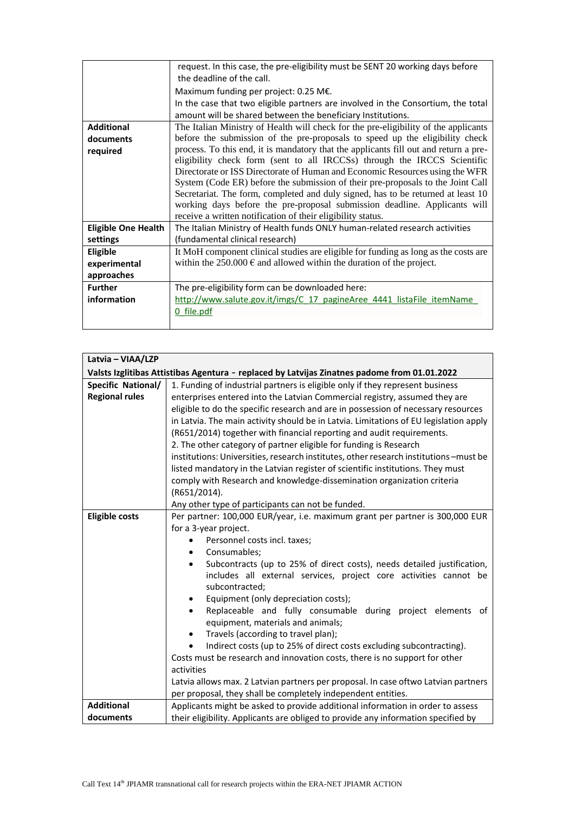|                            | request. In this case, the pre-eligibility must be SENT 20 working days before       |
|----------------------------|--------------------------------------------------------------------------------------|
|                            | the deadline of the call.                                                            |
|                            | Maximum funding per project: 0.25 M $\epsilon$ .                                     |
|                            | In the case that two eligible partners are involved in the Consortium, the total     |
|                            | amount will be shared between the beneficiary Institutions.                          |
| <b>Additional</b>          | The Italian Ministry of Health will check for the pre-eligibility of the applicants  |
| documents                  | before the submission of the pre-proposals to speed up the eligibility check         |
| required                   | process. To this end, it is mandatory that the applicants fill out and return a pre- |
|                            | eligibility check form (sent to all IRCCSs) through the IRCCS Scientific             |
|                            | Directorate or ISS Directorate of Human and Economic Resources using the WFR         |
|                            | System (Code ER) before the submission of their pre-proposals to the Joint Call      |
|                            | Secretariat. The form, completed and duly signed, has to be returned at least 10     |
|                            | working days before the pre-proposal submission deadline. Applicants will            |
|                            | receive a written notification of their eligibility status.                          |
| <b>Eligible One Health</b> | The Italian Ministry of Health funds ONLY human-related research activities          |
| settings                   | (fundamental clinical research)                                                      |
| Eligible                   | It MoH component clinical studies are eligible for funding as long as the costs are  |
| experimental               | within the 250.000 $\epsilon$ and allowed within the duration of the project.        |
| approaches                 |                                                                                      |
| <b>Further</b>             | The pre-eligibility form can be downloaded here:                                     |
| information                | http://www.salute.gov.it/imgs/C 17 pagineAree 4441 listaFile itemName                |
|                            | 0 file.pdf                                                                           |
|                            |                                                                                      |

| Latvia - VIAA/LZP     |                                                                                              |
|-----------------------|----------------------------------------------------------------------------------------------|
|                       | Valsts Izglitibas Attistibas Agentura - replaced by Latvijas Zinatnes padome from 01.01.2022 |
| Specific National/    | 1. Funding of industrial partners is eligible only if they represent business                |
| <b>Regional rules</b> | enterprises entered into the Latvian Commercial registry, assumed they are                   |
|                       | eligible to do the specific research and are in possession of necessary resources            |
|                       | in Latvia. The main activity should be in Latvia. Limitations of EU legislation apply        |
|                       | (R651/2014) together with financial reporting and audit requirements.                        |
|                       | 2. The other category of partner eligible for funding is Research                            |
|                       | institutions: Universities, research institutes, other research institutions - must be       |
|                       | listed mandatory in the Latvian register of scientific institutions. They must               |
|                       | comply with Research and knowledge-dissemination organization criteria                       |
|                       | (R651/2014).                                                                                 |
|                       | Any other type of participants can not be funded.                                            |
| <b>Eligible costs</b> | Per partner: 100,000 EUR/year, i.e. maximum grant per partner is 300,000 EUR                 |
|                       | for a 3-year project.                                                                        |
|                       | Personnel costs incl. taxes;<br>$\bullet$                                                    |
|                       | Consumables;                                                                                 |
|                       | Subcontracts (up to 25% of direct costs), needs detailed justification,<br>$\bullet$         |
|                       | includes all external services, project core activities cannot be                            |
|                       | subcontracted;                                                                               |
|                       | Equipment (only depreciation costs);<br>$\bullet$                                            |
|                       | Replaceable and fully consumable during project elements of<br>$\bullet$                     |
|                       | equipment, materials and animals;                                                            |
|                       | Travels (according to travel plan);<br>$\bullet$                                             |
|                       | Indirect costs (up to 25% of direct costs excluding subcontracting).                         |
|                       | Costs must be research and innovation costs, there is no support for other                   |
|                       | activities                                                                                   |
|                       | Latvia allows max. 2 Latvian partners per proposal. In case oftwo Latvian partners           |
|                       | per proposal, they shall be completely independent entities.                                 |
| <b>Additional</b>     | Applicants might be asked to provide additional information in order to assess               |
| documents             | their eligibility. Applicants are obliged to provide any information specified by            |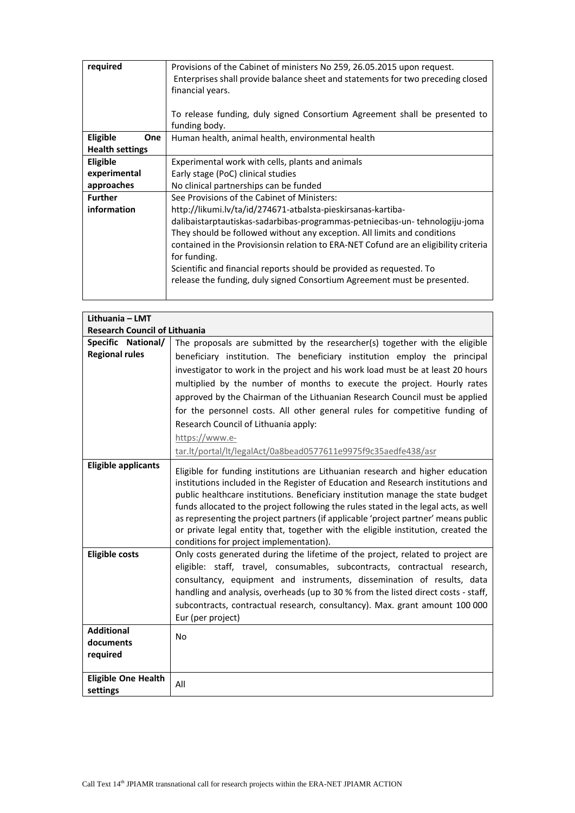| required               | Provisions of the Cabinet of ministers No 259, 26.05.2015 upon request.<br>Enterprises shall provide balance sheet and statements for two preceding closed<br>financial years.<br>To release funding, duly signed Consortium Agreement shall be presented to<br>funding body. |
|------------------------|-------------------------------------------------------------------------------------------------------------------------------------------------------------------------------------------------------------------------------------------------------------------------------|
| Eligible<br>One        | Human health, animal health, environmental health                                                                                                                                                                                                                             |
| <b>Health settings</b> |                                                                                                                                                                                                                                                                               |
| Eligible               | Experimental work with cells, plants and animals                                                                                                                                                                                                                              |
| experimental           | Early stage (PoC) clinical studies                                                                                                                                                                                                                                            |
| approaches             | No clinical partnerships can be funded                                                                                                                                                                                                                                        |
| <b>Further</b>         | See Provisions of the Cabinet of Ministers:                                                                                                                                                                                                                                   |
| information            | http://likumi.lv/ta/id/274671-atbalsta-pieskirsanas-kartiba-                                                                                                                                                                                                                  |
|                        | dalibaistarptautiskas-sadarbibas-programmas-petniecibas-un-tehnologiju-joma                                                                                                                                                                                                   |
|                        | They should be followed without any exception. All limits and conditions                                                                                                                                                                                                      |
|                        | contained in the Provisionsin relation to ERA-NET Cofund are an eligibility criteria                                                                                                                                                                                          |
|                        | for funding.                                                                                                                                                                                                                                                                  |
|                        | Scientific and financial reports should be provided as requested. To                                                                                                                                                                                                          |
|                        | release the funding, duly signed Consortium Agreement must be presented.                                                                                                                                                                                                      |
|                        |                                                                                                                                                                                                                                                                               |

| Lithuania - LMT                            |                                                                                                                                                                                                                                                                                                                                                                                                                                     |
|--------------------------------------------|-------------------------------------------------------------------------------------------------------------------------------------------------------------------------------------------------------------------------------------------------------------------------------------------------------------------------------------------------------------------------------------------------------------------------------------|
| <b>Research Council of Lithuania</b>       |                                                                                                                                                                                                                                                                                                                                                                                                                                     |
| Specific National/                         | The proposals are submitted by the researcher(s) together with the eligible                                                                                                                                                                                                                                                                                                                                                         |
| <b>Regional rules</b>                      | beneficiary institution. The beneficiary institution employ the principal                                                                                                                                                                                                                                                                                                                                                           |
|                                            | investigator to work in the project and his work load must be at least 20 hours                                                                                                                                                                                                                                                                                                                                                     |
|                                            | multiplied by the number of months to execute the project. Hourly rates                                                                                                                                                                                                                                                                                                                                                             |
|                                            | approved by the Chairman of the Lithuanian Research Council must be applied                                                                                                                                                                                                                                                                                                                                                         |
|                                            | for the personnel costs. All other general rules for competitive funding of                                                                                                                                                                                                                                                                                                                                                         |
|                                            | Research Council of Lithuania apply:                                                                                                                                                                                                                                                                                                                                                                                                |
|                                            | https://www.e-                                                                                                                                                                                                                                                                                                                                                                                                                      |
|                                            | tar.lt/portal/lt/legalAct/0a8bead0577611e9975f9c35aedfe438/asr                                                                                                                                                                                                                                                                                                                                                                      |
| <b>Eligible applicants</b>                 | Eligible for funding institutions are Lithuanian research and higher education<br>institutions included in the Register of Education and Research institutions and<br>public healthcare institutions. Beneficiary institution manage the state budget<br>funds allocated to the project following the rules stated in the legal acts, as well<br>as representing the project partners (if applicable 'project partner' means public |
|                                            | or private legal entity that, together with the eligible institution, created the<br>conditions for project implementation).                                                                                                                                                                                                                                                                                                        |
| <b>Eligible costs</b>                      | Only costs generated during the lifetime of the project, related to project are<br>eligible: staff, travel, consumables, subcontracts, contractual research,<br>consultancy, equipment and instruments, dissemination of results, data<br>handling and analysis, overheads (up to 30 % from the listed direct costs - staff,<br>subcontracts, contractual research, consultancy). Max. grant amount 100 000<br>Eur (per project)    |
| <b>Additional</b><br>documents<br>required | No                                                                                                                                                                                                                                                                                                                                                                                                                                  |
| <b>Eligible One Health</b><br>settings     | All                                                                                                                                                                                                                                                                                                                                                                                                                                 |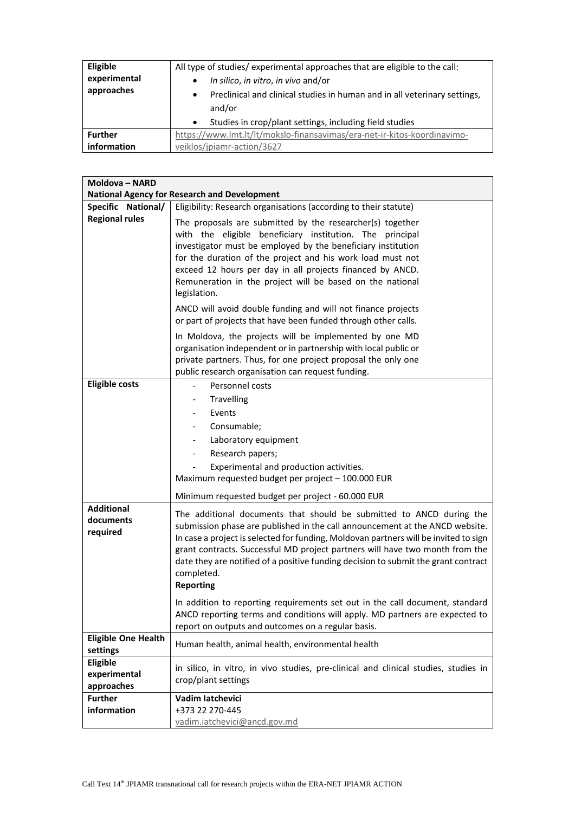| <b>Eligible</b> | All type of studies/experimental approaches that are eligible to the call:             |  |
|-----------------|----------------------------------------------------------------------------------------|--|
| experimental    | In silico, in vitro, in vivo and/or<br>$\bullet$                                       |  |
| approaches      | Preclinical and clinical studies in human and in all veterinary settings,<br>$\bullet$ |  |
|                 | and/or                                                                                 |  |
|                 | Studies in crop/plant settings, including field studies<br>$\bullet$                   |  |
| <b>Further</b>  | https://www.lmt.lt/lt/mokslo-finansavimas/era-net-ir-kitos-koordinavimo-               |  |
| information     | veiklos/jpiamr-action/3627                                                             |  |

| Moldova - NARD                              |                                                                                                                                                                                                                                                                                                                                                                                                                                                      |  |  |
|---------------------------------------------|------------------------------------------------------------------------------------------------------------------------------------------------------------------------------------------------------------------------------------------------------------------------------------------------------------------------------------------------------------------------------------------------------------------------------------------------------|--|--|
|                                             | <b>National Agency for Research and Development</b>                                                                                                                                                                                                                                                                                                                                                                                                  |  |  |
| Specific National/<br><b>Regional rules</b> | Eligibility: Research organisations (according to their statute)                                                                                                                                                                                                                                                                                                                                                                                     |  |  |
|                                             | The proposals are submitted by the researcher(s) together<br>with the eligible beneficiary institution. The principal<br>investigator must be employed by the beneficiary institution<br>for the duration of the project and his work load must not<br>exceed 12 hours per day in all projects financed by ANCD.<br>Remuneration in the project will be based on the national<br>legislation.                                                        |  |  |
|                                             | ANCD will avoid double funding and will not finance projects<br>or part of projects that have been funded through other calls.                                                                                                                                                                                                                                                                                                                       |  |  |
|                                             | In Moldova, the projects will be implemented by one MD<br>organisation independent or in partnership with local public or<br>private partners. Thus, for one project proposal the only one<br>public research organisation can request funding.                                                                                                                                                                                                      |  |  |
| <b>Eligible costs</b>                       | Personnel costs<br>$\overline{\phantom{a}}$                                                                                                                                                                                                                                                                                                                                                                                                          |  |  |
|                                             | Travelling                                                                                                                                                                                                                                                                                                                                                                                                                                           |  |  |
|                                             | Events                                                                                                                                                                                                                                                                                                                                                                                                                                               |  |  |
|                                             | Consumable;                                                                                                                                                                                                                                                                                                                                                                                                                                          |  |  |
|                                             | Laboratory equipment                                                                                                                                                                                                                                                                                                                                                                                                                                 |  |  |
|                                             | Research papers;<br>$\overline{\phantom{a}}$                                                                                                                                                                                                                                                                                                                                                                                                         |  |  |
|                                             | Experimental and production activities.                                                                                                                                                                                                                                                                                                                                                                                                              |  |  |
|                                             | Maximum requested budget per project - 100.000 EUR                                                                                                                                                                                                                                                                                                                                                                                                   |  |  |
|                                             | Minimum requested budget per project - 60.000 EUR                                                                                                                                                                                                                                                                                                                                                                                                    |  |  |
| <b>Additional</b><br>documents<br>required  | The additional documents that should be submitted to ANCD during the<br>submission phase are published in the call announcement at the ANCD website.<br>In case a project is selected for funding, Moldovan partners will be invited to sign<br>grant contracts. Successful MD project partners will have two month from the<br>date they are notified of a positive funding decision to submit the grant contract<br>completed.<br><b>Reporting</b> |  |  |
|                                             | In addition to reporting requirements set out in the call document, standard<br>ANCD reporting terms and conditions will apply. MD partners are expected to<br>report on outputs and outcomes on a regular basis.                                                                                                                                                                                                                                    |  |  |
| <b>Eligible One Health</b><br>settings      | Human health, animal health, environmental health                                                                                                                                                                                                                                                                                                                                                                                                    |  |  |
| Eligible<br>experimental<br>approaches      | in silico, in vitro, in vivo studies, pre-clinical and clinical studies, studies in<br>crop/plant settings                                                                                                                                                                                                                                                                                                                                           |  |  |
| <b>Further</b>                              | Vadim latchevici                                                                                                                                                                                                                                                                                                                                                                                                                                     |  |  |
| information                                 | +373 22 270-445                                                                                                                                                                                                                                                                                                                                                                                                                                      |  |  |
|                                             | vadim.iatchevici@ancd.gov.md                                                                                                                                                                                                                                                                                                                                                                                                                         |  |  |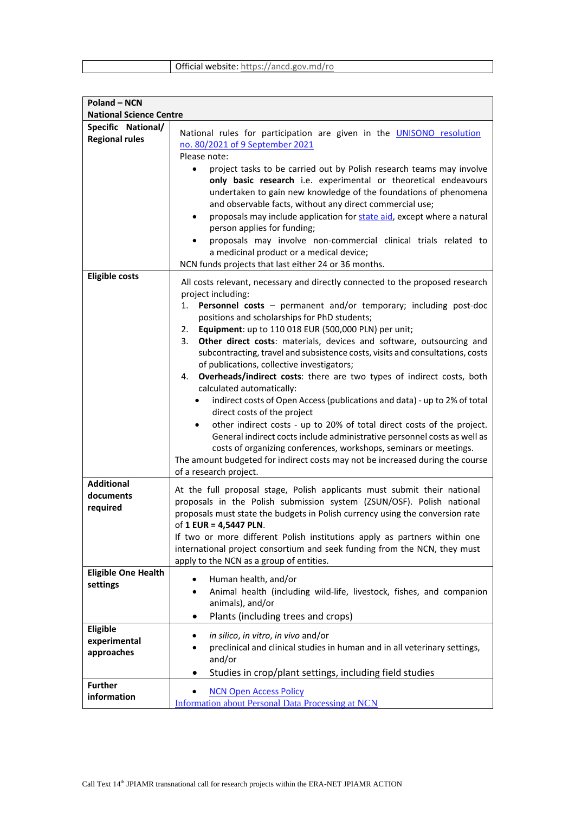| Official website: https://ancd.gov.md/ro |  |
|------------------------------------------|--|
|------------------------------------------|--|

| <b>Poland - NCN</b>                         |                                                                                                                                                                                                                                                                                                                                                                                                                                                                                                                                                                                                                                                                                                                                                                                                                                                                                                                                                                                                                                                                                          |
|---------------------------------------------|------------------------------------------------------------------------------------------------------------------------------------------------------------------------------------------------------------------------------------------------------------------------------------------------------------------------------------------------------------------------------------------------------------------------------------------------------------------------------------------------------------------------------------------------------------------------------------------------------------------------------------------------------------------------------------------------------------------------------------------------------------------------------------------------------------------------------------------------------------------------------------------------------------------------------------------------------------------------------------------------------------------------------------------------------------------------------------------|
| <b>National Science Centre</b>              |                                                                                                                                                                                                                                                                                                                                                                                                                                                                                                                                                                                                                                                                                                                                                                                                                                                                                                                                                                                                                                                                                          |
| Specific National/<br><b>Regional rules</b> | National rules for participation are given in the UNISONO resolution<br>no. 80/2021 of 9 September 2021<br>Please note:<br>project tasks to be carried out by Polish research teams may involve<br>only basic research i.e. experimental or theoretical endeavours                                                                                                                                                                                                                                                                                                                                                                                                                                                                                                                                                                                                                                                                                                                                                                                                                       |
|                                             | undertaken to gain new knowledge of the foundations of phenomena<br>and observable facts, without any direct commercial use;<br>proposals may include application for state aid, except where a natural<br>$\bullet$<br>person applies for funding;<br>proposals may involve non-commercial clinical trials related to<br>a medicinal product or a medical device;<br>NCN funds projects that last either 24 or 36 months.                                                                                                                                                                                                                                                                                                                                                                                                                                                                                                                                                                                                                                                               |
| <b>Eligible costs</b>                       | All costs relevant, necessary and directly connected to the proposed research<br>project including:<br>Personnel costs - permanent and/or temporary; including post-doc<br>1.<br>positions and scholarships for PhD students;<br>Equipment: up to 110 018 EUR (500,000 PLN) per unit;<br>2.<br>Other direct costs: materials, devices and software, outsourcing and<br>3.<br>subcontracting, travel and subsistence costs, visits and consultations, costs<br>of publications, collective investigators;<br>Overheads/indirect costs: there are two types of indirect costs, both<br>4.<br>calculated automatically:<br>indirect costs of Open Access (publications and data) - up to 2% of total<br>٠<br>direct costs of the project<br>other indirect costs - up to 20% of total direct costs of the project.<br>$\bullet$<br>General indirect cocts include administrative personnel costs as well as<br>costs of organizing conferences, workshops, seminars or meetings.<br>The amount budgeted for indirect costs may not be increased during the course<br>of a research project. |
| <b>Additional</b><br>documents<br>required  | At the full proposal stage, Polish applicants must submit their national<br>proposals in the Polish submission system (ZSUN/OSF). Polish national<br>proposals must state the budgets in Polish currency using the conversion rate<br>of 1 EUR = 4,5447 PLN.<br>If two or more different Polish institutions apply as partners within one<br>international project consortium and seek funding from the NCN, they must<br>apply to the NCN as a group of entities.                                                                                                                                                                                                                                                                                                                                                                                                                                                                                                                                                                                                                       |
| <b>Eligible One Health</b><br>settings      | Human health, and/or<br>٠<br>Animal health (including wild-life, livestock, fishes, and companion<br>animals), and/or<br>Plants (including trees and crops)<br>$\bullet$                                                                                                                                                                                                                                                                                                                                                                                                                                                                                                                                                                                                                                                                                                                                                                                                                                                                                                                 |
| Eligible<br>experimental<br>approaches      | in silico, in vitro, in vivo and/or<br>preclinical and clinical studies in human and in all veterinary settings,<br>and/or<br>Studies in crop/plant settings, including field studies<br>٠                                                                                                                                                                                                                                                                                                                                                                                                                                                                                                                                                                                                                                                                                                                                                                                                                                                                                               |
| <b>Further</b><br>information               | <b>NCN Open Access Policy</b><br><b>Information about Personal Data Processing at NCN</b>                                                                                                                                                                                                                                                                                                                                                                                                                                                                                                                                                                                                                                                                                                                                                                                                                                                                                                                                                                                                |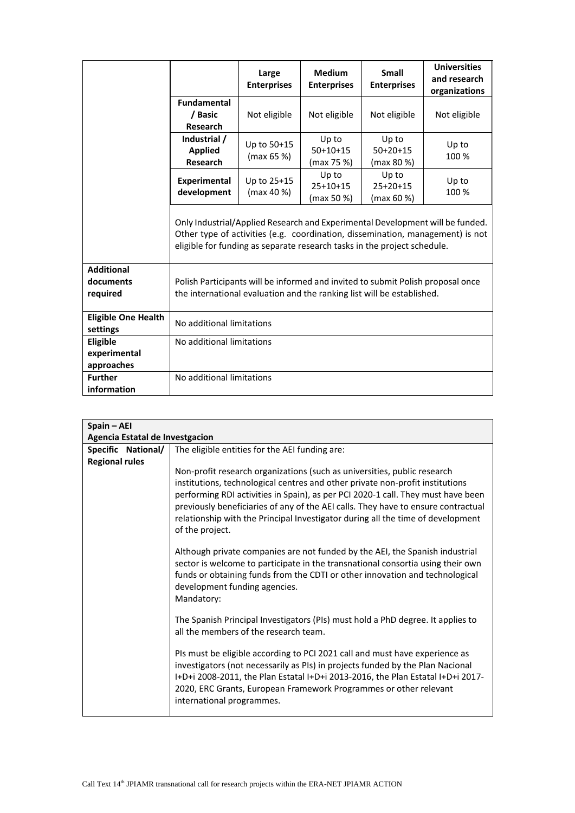|                                            |                                                                                                                                                           | Large<br><b>Enterprises</b> | <b>Medium</b><br><b>Enterprises</b> | <b>Small</b><br><b>Enterprises</b> | <b>Universities</b><br>and research<br>organizations                                                                                                            |
|--------------------------------------------|-----------------------------------------------------------------------------------------------------------------------------------------------------------|-----------------------------|-------------------------------------|------------------------------------|-----------------------------------------------------------------------------------------------------------------------------------------------------------------|
|                                            | <b>Fundamental</b><br>/ Basic<br><b>Research</b>                                                                                                          | Not eligible                | Not eligible                        | Not eligible                       | Not eligible                                                                                                                                                    |
|                                            | Industrial /<br><b>Applied</b><br><b>Research</b>                                                                                                         | Up to 50+15<br>(max 65 %    | Up to<br>$50+10+15$<br>(max 75 %)   | Up to<br>$50+20+15$<br>(max 80 %)  | Up to<br>100 %                                                                                                                                                  |
|                                            | <b>Experimental</b><br>development                                                                                                                        | Up to 25+15<br>(max 40 %)   | Up to<br>$25+10+15$<br>(max 50 %)   | Up to<br>$25+20+15$<br>(max 60 %)  | Up to<br>100 %                                                                                                                                                  |
|                                            | eligible for funding as separate research tasks in the project schedule.                                                                                  |                             |                                     |                                    | Only Industrial/Applied Research and Experimental Development will be funded.<br>Other type of activities (e.g. coordination, dissemination, management) is not |
| <b>Additional</b><br>documents<br>required | Polish Participants will be informed and invited to submit Polish proposal once<br>the international evaluation and the ranking list will be established. |                             |                                     |                                    |                                                                                                                                                                 |
| <b>Eligible One Health</b><br>settings     | No additional limitations                                                                                                                                 |                             |                                     |                                    |                                                                                                                                                                 |
| Eligible<br>experimental<br>approaches     | No additional limitations                                                                                                                                 |                             |                                     |                                    |                                                                                                                                                                 |
| <b>Further</b><br>information              | No additional limitations                                                                                                                                 |                             |                                     |                                    |                                                                                                                                                                 |

| Spain - AEI                     |                                                                                                                                                                                                                                                                                                                                                                                                                                          |
|---------------------------------|------------------------------------------------------------------------------------------------------------------------------------------------------------------------------------------------------------------------------------------------------------------------------------------------------------------------------------------------------------------------------------------------------------------------------------------|
| Agencia Estatal de Investgacion |                                                                                                                                                                                                                                                                                                                                                                                                                                          |
| Specific National/              | The eligible entities for the AEI funding are:                                                                                                                                                                                                                                                                                                                                                                                           |
| <b>Regional rules</b>           | Non-profit research organizations (such as universities, public research<br>institutions, technological centres and other private non-profit institutions<br>performing RDI activities in Spain), as per PCI 2020-1 call. They must have been<br>previously beneficiaries of any of the AEI calls. They have to ensure contractual<br>relationship with the Principal Investigator during all the time of development<br>of the project. |
|                                 | Although private companies are not funded by the AEI, the Spanish industrial<br>sector is welcome to participate in the transnational consortia using their own<br>funds or obtaining funds from the CDTI or other innovation and technological<br>development funding agencies.<br>Mandatory:                                                                                                                                           |
|                                 | The Spanish Principal Investigators (PIs) must hold a PhD degree. It applies to<br>all the members of the research team.                                                                                                                                                                                                                                                                                                                 |
|                                 | PIs must be eligible according to PCI 2021 call and must have experience as<br>investigators (not necessarily as PIs) in projects funded by the Plan Nacional<br>I+D+i 2008-2011, the Plan Estatal I+D+i 2013-2016, the Plan Estatal I+D+i 2017-<br>2020, ERC Grants, European Framework Programmes or other relevant<br>international programmes.                                                                                       |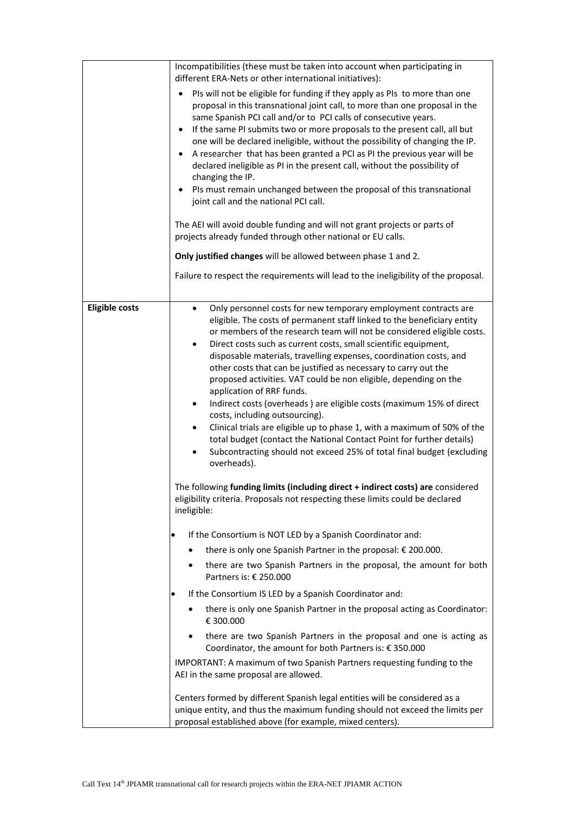|                       | Incompatibilities (these must be taken into account when participating in<br>different ERA-Nets or other international initiatives):                                                                                                                                                                                                                                                                                                                                                                                                                                                                                                                                                                                                                                                                                                                                                                                                                                                                                                                                                                                                          |
|-----------------------|-----------------------------------------------------------------------------------------------------------------------------------------------------------------------------------------------------------------------------------------------------------------------------------------------------------------------------------------------------------------------------------------------------------------------------------------------------------------------------------------------------------------------------------------------------------------------------------------------------------------------------------------------------------------------------------------------------------------------------------------------------------------------------------------------------------------------------------------------------------------------------------------------------------------------------------------------------------------------------------------------------------------------------------------------------------------------------------------------------------------------------------------------|
|                       | PIs will not be eligible for funding if they apply as PIs to more than one<br>٠<br>proposal in this transnational joint call, to more than one proposal in the<br>same Spanish PCI call and/or to PCI calls of consecutive years.<br>If the same PI submits two or more proposals to the present call, all but<br>$\bullet$<br>one will be declared ineligible, without the possibility of changing the IP.<br>A researcher that has been granted a PCI as PI the previous year will be<br>$\bullet$<br>declared ineligible as PI in the present call, without the possibility of<br>changing the IP.<br>PIs must remain unchanged between the proposal of this transnational<br>joint call and the national PCI call.                                                                                                                                                                                                                                                                                                                                                                                                                        |
|                       | The AEI will avoid double funding and will not grant projects or parts of<br>projects already funded through other national or EU calls.                                                                                                                                                                                                                                                                                                                                                                                                                                                                                                                                                                                                                                                                                                                                                                                                                                                                                                                                                                                                      |
|                       | Only justified changes will be allowed between phase 1 and 2.                                                                                                                                                                                                                                                                                                                                                                                                                                                                                                                                                                                                                                                                                                                                                                                                                                                                                                                                                                                                                                                                                 |
|                       | Failure to respect the requirements will lead to the ineligibility of the proposal.                                                                                                                                                                                                                                                                                                                                                                                                                                                                                                                                                                                                                                                                                                                                                                                                                                                                                                                                                                                                                                                           |
| <b>Eligible costs</b> | Only personnel costs for new temporary employment contracts are<br>$\bullet$<br>eligible. The costs of permanent staff linked to the beneficiary entity<br>or members of the research team will not be considered eligible costs.<br>Direct costs such as current costs, small scientific equipment,<br>$\bullet$<br>disposable materials, travelling expenses, coordination costs, and<br>other costs that can be justified as necessary to carry out the<br>proposed activities. VAT could be non eligible, depending on the<br>application of RRF funds.<br>Indirect costs (overheads ) are eligible costs (maximum 15% of direct<br>$\bullet$<br>costs, including outsourcing).<br>Clinical trials are eligible up to phase 1, with a maximum of 50% of the<br>$\bullet$<br>total budget (contact the National Contact Point for further details)<br>Subcontracting should not exceed 25% of total final budget (excluding<br>$\bullet$<br>overheads).<br>The following funding limits (including direct + indirect costs) are considered<br>eligibility criteria. Proposals not respecting these limits could be declared<br>ineligible: |
|                       | If the Consortium is NOT LED by a Spanish Coordinator and:<br>٠                                                                                                                                                                                                                                                                                                                                                                                                                                                                                                                                                                                                                                                                                                                                                                                                                                                                                                                                                                                                                                                                               |
|                       | there is only one Spanish Partner in the proposal: € 200.000.                                                                                                                                                                                                                                                                                                                                                                                                                                                                                                                                                                                                                                                                                                                                                                                                                                                                                                                                                                                                                                                                                 |
|                       | there are two Spanish Partners in the proposal, the amount for both<br>Partners is: € 250.000                                                                                                                                                                                                                                                                                                                                                                                                                                                                                                                                                                                                                                                                                                                                                                                                                                                                                                                                                                                                                                                 |
|                       | If the Consortium IS LED by a Spanish Coordinator and:<br>٠                                                                                                                                                                                                                                                                                                                                                                                                                                                                                                                                                                                                                                                                                                                                                                                                                                                                                                                                                                                                                                                                                   |
|                       | there is only one Spanish Partner in the proposal acting as Coordinator:<br>€ 300.000                                                                                                                                                                                                                                                                                                                                                                                                                                                                                                                                                                                                                                                                                                                                                                                                                                                                                                                                                                                                                                                         |
|                       | there are two Spanish Partners in the proposal and one is acting as<br>Coordinator, the amount for both Partners is: € 350.000                                                                                                                                                                                                                                                                                                                                                                                                                                                                                                                                                                                                                                                                                                                                                                                                                                                                                                                                                                                                                |
|                       | IMPORTANT: A maximum of two Spanish Partners requesting funding to the<br>AEI in the same proposal are allowed.                                                                                                                                                                                                                                                                                                                                                                                                                                                                                                                                                                                                                                                                                                                                                                                                                                                                                                                                                                                                                               |
|                       | Centers formed by different Spanish legal entities will be considered as a<br>unique entity, and thus the maximum funding should not exceed the limits per<br>proposal established above (for example, mixed centers).                                                                                                                                                                                                                                                                                                                                                                                                                                                                                                                                                                                                                                                                                                                                                                                                                                                                                                                        |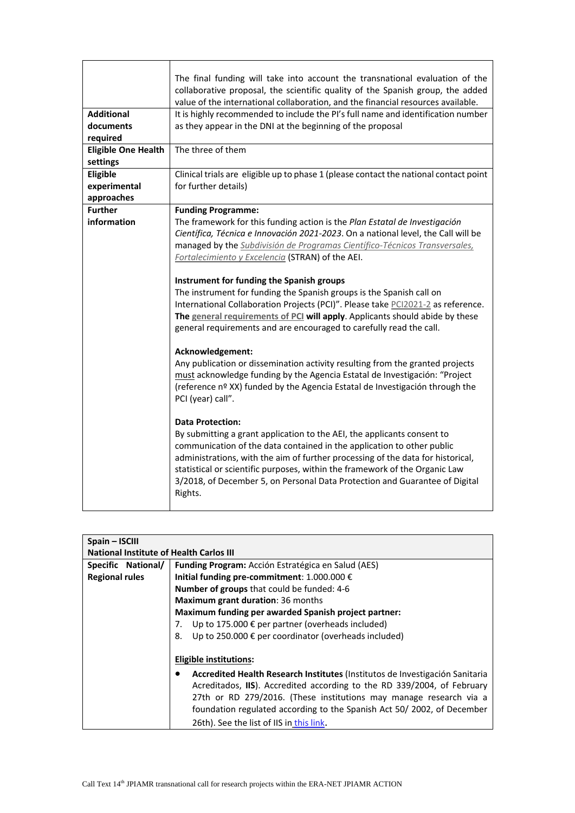|                            | The final funding will take into account the transnational evaluation of the          |  |  |
|----------------------------|---------------------------------------------------------------------------------------|--|--|
|                            | collaborative proposal, the scientific quality of the Spanish group, the added        |  |  |
|                            | value of the international collaboration, and the financial resources available.      |  |  |
| <b>Additional</b>          | It is highly recommended to include the PI's full name and identification number      |  |  |
| documents                  | as they appear in the DNI at the beginning of the proposal                            |  |  |
| required                   |                                                                                       |  |  |
| <b>Eligible One Health</b> | The three of them                                                                     |  |  |
| settings                   |                                                                                       |  |  |
| Eligible                   | Clinical trials are eligible up to phase 1 (please contact the national contact point |  |  |
| experimental               | for further details)                                                                  |  |  |
| approaches                 |                                                                                       |  |  |
| <b>Further</b>             | <b>Funding Programme:</b>                                                             |  |  |
| information                | The framework for this funding action is the Plan Estatal de Investigación            |  |  |
|                            | Científica, Técnica e Innovación 2021-2023. On a national level, the Call will be     |  |  |
|                            | managed by the Subdivisión de Programas Científico-Técnicos Transversales,            |  |  |
|                            | Fortalecimiento y Excelencia (STRAN) of the AEI.                                      |  |  |
|                            |                                                                                       |  |  |
|                            | Instrument for funding the Spanish groups                                             |  |  |
|                            | The instrument for funding the Spanish groups is the Spanish call on                  |  |  |
|                            | International Collaboration Projects (PCI)". Please take PCI2021-2 as reference.      |  |  |
|                            | The general requirements of PCI will apply. Applicants should abide by these          |  |  |
|                            | general requirements and are encouraged to carefully read the call.                   |  |  |
|                            |                                                                                       |  |  |
|                            | Acknowledgement:                                                                      |  |  |
|                            | Any publication or dissemination activity resulting from the granted projects         |  |  |
|                            | must acknowledge funding by the Agencia Estatal de Investigación: "Project            |  |  |
|                            | (reference nº XX) funded by the Agencia Estatal de Investigación through the          |  |  |
|                            | PCI (year) call".                                                                     |  |  |
|                            |                                                                                       |  |  |
|                            | <b>Data Protection:</b>                                                               |  |  |
|                            | By submitting a grant application to the AEI, the applicants consent to               |  |  |
|                            | communication of the data contained in the application to other public                |  |  |
|                            | administrations, with the aim of further processing of the data for historical,       |  |  |
|                            | statistical or scientific purposes, within the framework of the Organic Law           |  |  |
|                            | 3/2018, of December 5, on Personal Data Protection and Guarantee of Digital           |  |  |
|                            | Rights.                                                                               |  |  |
|                            |                                                                                       |  |  |

| Spain - ISCIII                                 |                                                                              |  |  |
|------------------------------------------------|------------------------------------------------------------------------------|--|--|
| <b>National Institute of Health Carlos III</b> |                                                                              |  |  |
| Specific National/                             | Funding Program: Acción Estratégica en Salud (AES)                           |  |  |
| <b>Regional rules</b>                          | Initial funding pre-commitment: 1.000.000 $\epsilon$                         |  |  |
|                                                | <b>Number of groups</b> that could be funded: 4-6                            |  |  |
|                                                | Maximum grant duration: 36 months                                            |  |  |
|                                                | Maximum funding per awarded Spanish project partner:                         |  |  |
|                                                | Up to 175.000 $\epsilon$ per partner (overheads included)<br>7.              |  |  |
|                                                | Up to 250.000 € per coordinator (overheads included)<br>8.                   |  |  |
|                                                |                                                                              |  |  |
|                                                | <b>Eligible institutions:</b>                                                |  |  |
|                                                | Accredited Health Research Institutes (Institutos de Investigación Sanitaria |  |  |
|                                                | Acreditados, IIS). Accredited according to the RD 339/2004, of February      |  |  |
|                                                | 27th or RD 279/2016. (These institutions may manage research via a           |  |  |
|                                                | foundation regulated according to the Spanish Act 50/2002, of December       |  |  |
|                                                | 26th). See the list of IIS in this link.                                     |  |  |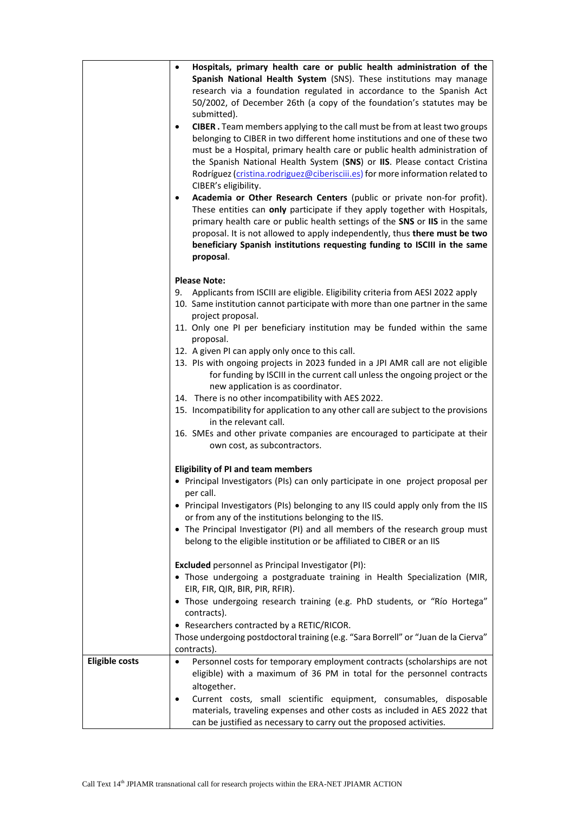|                       | Hospitals, primary health care or public health administration of the<br>$\bullet$<br>Spanish National Health System (SNS). These institutions may manage<br>research via a foundation regulated in accordance to the Spanish Act<br>50/2002, of December 26th (a copy of the foundation's statutes may be<br>submitted).<br>CIBER. Team members applying to the call must be from at least two groups<br>$\bullet$<br>belonging to CIBER in two different home institutions and one of these two<br>must be a Hospital, primary health care or public health administration of<br>the Spanish National Health System (SNS) or IIS. Please contact Cristina<br>Rodríguez (cristina.rodriguez@ciberisciii.es) for more information related to<br>CIBER's eligibility.<br>Academia or Other Research Centers (public or private non-for profit).<br>$\bullet$<br>These entities can only participate if they apply together with Hospitals,<br>primary health care or public health settings of the SNS or IIS in the same<br>proposal. It is not allowed to apply independently, thus there must be two<br>beneficiary Spanish institutions requesting funding to ISCIII in the same<br>proposal. |
|-----------------------|--------------------------------------------------------------------------------------------------------------------------------------------------------------------------------------------------------------------------------------------------------------------------------------------------------------------------------------------------------------------------------------------------------------------------------------------------------------------------------------------------------------------------------------------------------------------------------------------------------------------------------------------------------------------------------------------------------------------------------------------------------------------------------------------------------------------------------------------------------------------------------------------------------------------------------------------------------------------------------------------------------------------------------------------------------------------------------------------------------------------------------------------------------------------------------------------------|
|                       | <b>Please Note:</b><br>Applicants from ISCIII are eligible. Eligibility criteria from AESI 2022 apply<br>9.<br>10. Same institution cannot participate with more than one partner in the same<br>project proposal.                                                                                                                                                                                                                                                                                                                                                                                                                                                                                                                                                                                                                                                                                                                                                                                                                                                                                                                                                                               |
|                       | 11. Only one PI per beneficiary institution may be funded within the same<br>proposal.<br>12. A given PI can apply only once to this call.                                                                                                                                                                                                                                                                                                                                                                                                                                                                                                                                                                                                                                                                                                                                                                                                                                                                                                                                                                                                                                                       |
|                       | 13. Pls with ongoing projects in 2023 funded in a JPI AMR call are not eligible<br>for funding by ISCIII in the current call unless the ongoing project or the<br>new application is as coordinator.                                                                                                                                                                                                                                                                                                                                                                                                                                                                                                                                                                                                                                                                                                                                                                                                                                                                                                                                                                                             |
|                       | 14. There is no other incompatibility with AES 2022.<br>15. Incompatibility for application to any other call are subject to the provisions<br>in the relevant call.                                                                                                                                                                                                                                                                                                                                                                                                                                                                                                                                                                                                                                                                                                                                                                                                                                                                                                                                                                                                                             |
|                       | 16. SMEs and other private companies are encouraged to participate at their<br>own cost, as subcontractors.                                                                                                                                                                                                                                                                                                                                                                                                                                                                                                                                                                                                                                                                                                                                                                                                                                                                                                                                                                                                                                                                                      |
|                       | <b>Eligibility of PI and team members</b>                                                                                                                                                                                                                                                                                                                                                                                                                                                                                                                                                                                                                                                                                                                                                                                                                                                                                                                                                                                                                                                                                                                                                        |
|                       | • Principal Investigators (PIs) can only participate in one project proposal per<br>per call.                                                                                                                                                                                                                                                                                                                                                                                                                                                                                                                                                                                                                                                                                                                                                                                                                                                                                                                                                                                                                                                                                                    |
|                       | • Principal Investigators (PIs) belonging to any IIS could apply only from the IIS<br>or from any of the institutions belonging to the IIS.                                                                                                                                                                                                                                                                                                                                                                                                                                                                                                                                                                                                                                                                                                                                                                                                                                                                                                                                                                                                                                                      |
|                       | • The Principal Investigator (PI) and all members of the research group must<br>belong to the eligible institution or be affiliated to CIBER or an IIS                                                                                                                                                                                                                                                                                                                                                                                                                                                                                                                                                                                                                                                                                                                                                                                                                                                                                                                                                                                                                                           |
|                       | Excluded personnel as Principal Investigator (PI):<br>• Those undergoing a postgraduate training in Health Specialization (MIR,<br>EIR, FIR, QIR, BIR, PIR, RFIR).                                                                                                                                                                                                                                                                                                                                                                                                                                                                                                                                                                                                                                                                                                                                                                                                                                                                                                                                                                                                                               |
|                       | • Those undergoing research training (e.g. PhD students, or "Río Hortega"<br>contracts).                                                                                                                                                                                                                                                                                                                                                                                                                                                                                                                                                                                                                                                                                                                                                                                                                                                                                                                                                                                                                                                                                                         |
|                       | • Researchers contracted by a RETIC/RICOR.<br>Those undergoing postdoctoral training (e.g. "Sara Borrell" or "Juan de la Cierva"<br>contracts).                                                                                                                                                                                                                                                                                                                                                                                                                                                                                                                                                                                                                                                                                                                                                                                                                                                                                                                                                                                                                                                  |
| <b>Eligible costs</b> | Personnel costs for temporary employment contracts (scholarships are not<br>$\bullet$<br>eligible) with a maximum of 36 PM in total for the personnel contracts<br>altogether.                                                                                                                                                                                                                                                                                                                                                                                                                                                                                                                                                                                                                                                                                                                                                                                                                                                                                                                                                                                                                   |
|                       | Current costs, small scientific equipment, consumables, disposable<br>$\bullet$<br>materials, traveling expenses and other costs as included in AES 2022 that<br>can be justified as necessary to carry out the proposed activities.                                                                                                                                                                                                                                                                                                                                                                                                                                                                                                                                                                                                                                                                                                                                                                                                                                                                                                                                                             |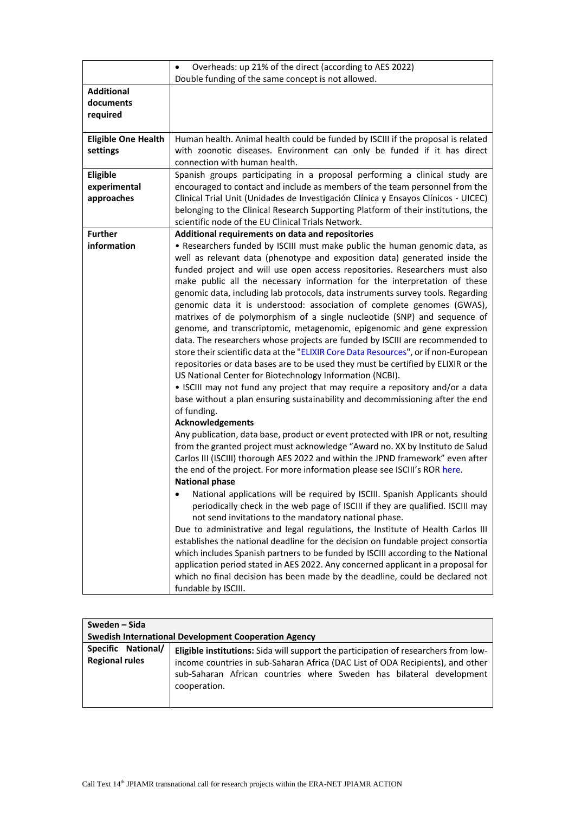|                                            | Overheads: up 21% of the direct (according to AES 2022)<br>$\bullet$                                                                                                                                                                                                                                                                                                                                                                                                                                                                                                                                                                                                         |
|--------------------------------------------|------------------------------------------------------------------------------------------------------------------------------------------------------------------------------------------------------------------------------------------------------------------------------------------------------------------------------------------------------------------------------------------------------------------------------------------------------------------------------------------------------------------------------------------------------------------------------------------------------------------------------------------------------------------------------|
|                                            | Double funding of the same concept is not allowed.                                                                                                                                                                                                                                                                                                                                                                                                                                                                                                                                                                                                                           |
| <b>Additional</b><br>documents<br>required |                                                                                                                                                                                                                                                                                                                                                                                                                                                                                                                                                                                                                                                                              |
| <b>Eligible One Health</b><br>settings     | Human health. Animal health could be funded by ISCIII if the proposal is related<br>with zoonotic diseases. Environment can only be funded if it has direct<br>connection with human health.                                                                                                                                                                                                                                                                                                                                                                                                                                                                                 |
| Eligible<br>experimental<br>approaches     | Spanish groups participating in a proposal performing a clinical study are<br>encouraged to contact and include as members of the team personnel from the<br>Clinical Trial Unit (Unidades de Investigación Clínica y Ensayos Clínicos - UICEC)<br>belonging to the Clinical Research Supporting Platform of their institutions, the                                                                                                                                                                                                                                                                                                                                         |
|                                            | scientific node of the EU Clinical Trials Network.                                                                                                                                                                                                                                                                                                                                                                                                                                                                                                                                                                                                                           |
| <b>Further</b><br>information              | Additional requirements on data and repositories<br>• Researchers funded by ISCIII must make public the human genomic data, as<br>well as relevant data (phenotype and exposition data) generated inside the<br>funded project and will use open access repositories. Researchers must also<br>make public all the necessary information for the interpretation of these                                                                                                                                                                                                                                                                                                     |
|                                            | genomic data, including lab protocols, data instruments survey tools. Regarding<br>genomic data it is understood: association of complete genomes (GWAS),<br>matrixes of de polymorphism of a single nucleotide (SNP) and sequence of<br>genome, and transcriptomic, metagenomic, epigenomic and gene expression<br>data. The researchers whose projects are funded by ISCIII are recommended to<br>store their scientific data at the "ELIXIR Core Data Resources", or if non-European<br>repositories or data bases are to be used they must be certified by ELIXIR or the<br>US National Center for Biotechnology Information (NCBI).                                     |
|                                            | • ISCIII may not fund any project that may require a repository and/or a data<br>base without a plan ensuring sustainability and decommissioning after the end<br>of funding.<br><b>Acknowledgements</b>                                                                                                                                                                                                                                                                                                                                                                                                                                                                     |
|                                            | Any publication, data base, product or event protected with IPR or not, resulting<br>from the granted project must acknowledge "Award no. XX by Instituto de Salud<br>Carlos III (ISCIII) thorough AES 2022 and within the JPND framework" even after<br>the end of the project. For more information please see ISCIII's ROR here.<br><b>National phase</b>                                                                                                                                                                                                                                                                                                                 |
|                                            | National applications will be required by ISCIII. Spanish Applicants should<br>periodically check in the web page of ISCIII if they are qualified. ISCIII may<br>not send invitations to the mandatory national phase.<br>Due to administrative and legal regulations, the Institute of Health Carlos III<br>establishes the national deadline for the decision on fundable project consortia<br>which includes Spanish partners to be funded by ISCIII according to the National<br>application period stated in AES 2022. Any concerned applicant in a proposal for<br>which no final decision has been made by the deadline, could be declared not<br>fundable by ISCIII. |

|                                                             | Sweden – Sida                                                                                                                                                                                                                                                        |  |
|-------------------------------------------------------------|----------------------------------------------------------------------------------------------------------------------------------------------------------------------------------------------------------------------------------------------------------------------|--|
| <b>Swedish International Development Cooperation Agency</b> |                                                                                                                                                                                                                                                                      |  |
| Specific National/<br><b>Regional rules</b>                 | <b>Eligible institutions:</b> Sida will support the participation of researchers from low-<br>income countries in sub-Saharan Africa (DAC List of ODA Recipients), and other<br>sub-Saharan African countries where Sweden has bilateral development<br>cooperation. |  |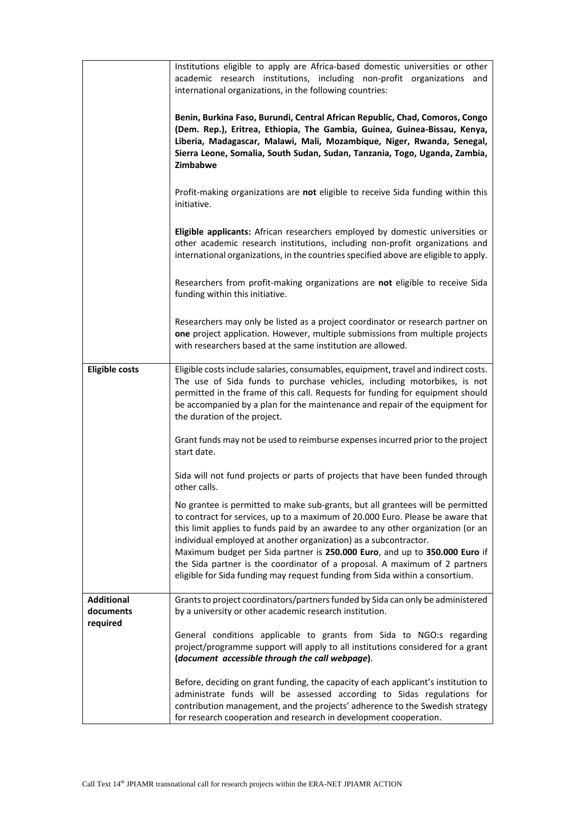|                                | Institutions eligible to apply are Africa-based domestic universities or other<br>academic research institutions, including non-profit organizations and<br>international organizations, in the following countries:                                                                                                                                                                                                                                                                                                                                                |
|--------------------------------|---------------------------------------------------------------------------------------------------------------------------------------------------------------------------------------------------------------------------------------------------------------------------------------------------------------------------------------------------------------------------------------------------------------------------------------------------------------------------------------------------------------------------------------------------------------------|
|                                | Benin, Burkina Faso, Burundi, Central African Republic, Chad, Comoros, Congo<br>(Dem. Rep.), Eritrea, Ethiopia, The Gambia, Guinea, Guinea-Bissau, Kenya,<br>Liberia, Madagascar, Malawi, Mali, Mozambique, Niger, Rwanda, Senegal,<br>Sierra Leone, Somalia, South Sudan, Sudan, Tanzania, Togo, Uganda, Zambia,<br>Zimbabwe                                                                                                                                                                                                                                       |
|                                | Profit-making organizations are not eligible to receive Sida funding within this<br>initiative.                                                                                                                                                                                                                                                                                                                                                                                                                                                                     |
|                                | Eligible applicants: African researchers employed by domestic universities or<br>other academic research institutions, including non-profit organizations and<br>international organizations, in the countries specified above are eligible to apply.                                                                                                                                                                                                                                                                                                               |
|                                | Researchers from profit-making organizations are not eligible to receive Sida<br>funding within this initiative.                                                                                                                                                                                                                                                                                                                                                                                                                                                    |
|                                | Researchers may only be listed as a project coordinator or research partner on<br>one project application. However, multiple submissions from multiple projects<br>with researchers based at the same institution are allowed.                                                                                                                                                                                                                                                                                                                                      |
| <b>Eligible costs</b>          | Eligible costs include salaries, consumables, equipment, travel and indirect costs.<br>The use of Sida funds to purchase vehicles, including motorbikes, is not<br>permitted in the frame of this call. Requests for funding for equipment should<br>be accompanied by a plan for the maintenance and repair of the equipment for<br>the duration of the project.                                                                                                                                                                                                   |
|                                | Grant funds may not be used to reimburse expenses incurred prior to the project<br>start date.                                                                                                                                                                                                                                                                                                                                                                                                                                                                      |
|                                | Sida will not fund projects or parts of projects that have been funded through<br>other calls.                                                                                                                                                                                                                                                                                                                                                                                                                                                                      |
|                                | No grantee is permitted to make sub-grants, but all grantees will be permitted<br>to contract for services, up to a maximum of 20.000 Euro. Please be aware that<br>this limit applies to funds paid by an awardee to any other organization (or an<br>individual employed at another organization) as a subcontractor.<br>Maximum budget per Sida partner is 250.000 Euro, and up to 350.000 Euro if<br>the Sida partner is the coordinator of a proposal. A maximum of 2 partners<br>eligible for Sida funding may request funding from Sida within a consortium. |
| <b>Additional</b><br>documents | Grants to project coordinators/partners funded by Sida can only be administered<br>by a university or other academic research institution.                                                                                                                                                                                                                                                                                                                                                                                                                          |
| required                       | General conditions applicable to grants from Sida to NGO:s regarding<br>project/programme support will apply to all institutions considered for a grant<br>(document accessible through the call webpage).                                                                                                                                                                                                                                                                                                                                                          |
|                                | Before, deciding on grant funding, the capacity of each applicant's institution to<br>administrate funds will be assessed according to Sidas regulations for<br>contribution management, and the projects' adherence to the Swedish strategy<br>for research cooperation and research in development cooperation.                                                                                                                                                                                                                                                   |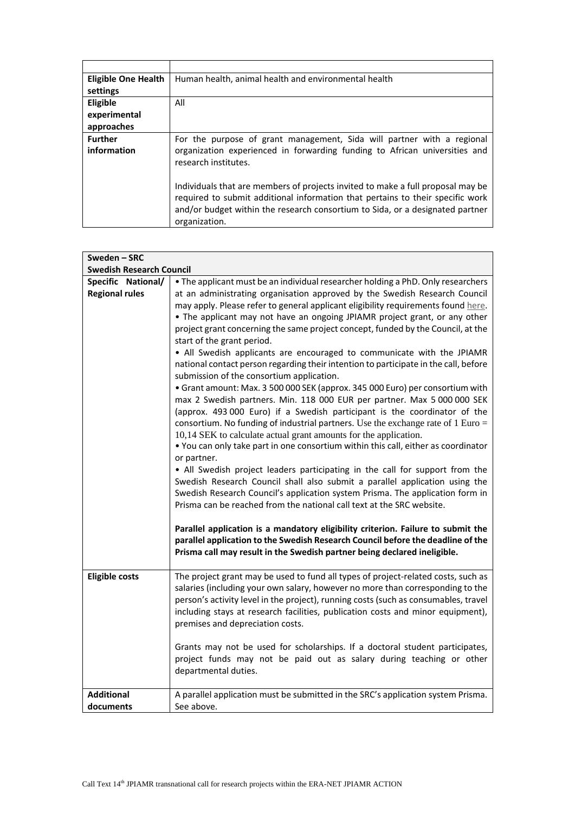| <b>Eligible One Health</b> | Human health, animal health and environmental health                                                                                                                                                                                                                |
|----------------------------|---------------------------------------------------------------------------------------------------------------------------------------------------------------------------------------------------------------------------------------------------------------------|
| settings                   |                                                                                                                                                                                                                                                                     |
| Eligible                   | All                                                                                                                                                                                                                                                                 |
| experimental               |                                                                                                                                                                                                                                                                     |
| approaches                 |                                                                                                                                                                                                                                                                     |
| <b>Further</b>             | For the purpose of grant management, Sida will partner with a regional                                                                                                                                                                                              |
| information                | organization experienced in forwarding funding to African universities and<br>research institutes.                                                                                                                                                                  |
|                            | Individuals that are members of projects invited to make a full proposal may be<br>required to submit additional information that pertains to their specific work<br>and/or budget within the research consortium to Sida, or a designated partner<br>organization. |

| Sweden-SRC                                  |                                                                                                                                                                                                                                                                                                                                                                                                                                                                                                                                                                                                                                                                                                                                                                                                                                                                                                                                                                                                                                                                                                                                                                                                                                                                                                                                                                                                                                                                                                   |
|---------------------------------------------|---------------------------------------------------------------------------------------------------------------------------------------------------------------------------------------------------------------------------------------------------------------------------------------------------------------------------------------------------------------------------------------------------------------------------------------------------------------------------------------------------------------------------------------------------------------------------------------------------------------------------------------------------------------------------------------------------------------------------------------------------------------------------------------------------------------------------------------------------------------------------------------------------------------------------------------------------------------------------------------------------------------------------------------------------------------------------------------------------------------------------------------------------------------------------------------------------------------------------------------------------------------------------------------------------------------------------------------------------------------------------------------------------------------------------------------------------------------------------------------------------|
| <b>Swedish Research Council</b>             |                                                                                                                                                                                                                                                                                                                                                                                                                                                                                                                                                                                                                                                                                                                                                                                                                                                                                                                                                                                                                                                                                                                                                                                                                                                                                                                                                                                                                                                                                                   |
| Specific National/<br><b>Regional rules</b> | • The applicant must be an individual researcher holding a PhD. Only researchers<br>at an administrating organisation approved by the Swedish Research Council<br>may apply. Please refer to general applicant eligibility requirements found here.<br>• The applicant may not have an ongoing JPIAMR project grant, or any other<br>project grant concerning the same project concept, funded by the Council, at the<br>start of the grant period.<br>• All Swedish applicants are encouraged to communicate with the JPIAMR<br>national contact person regarding their intention to participate in the call, before<br>submission of the consortium application.<br>• Grant amount: Max. 3 500 000 SEK (approx. 345 000 Euro) per consortium with<br>max 2 Swedish partners. Min. 118 000 EUR per partner. Max 5 000 000 SEK<br>(approx. 493 000 Euro) if a Swedish participant is the coordinator of the<br>consortium. No funding of industrial partners. Use the exchange rate of 1 Euro =<br>10,14 SEK to calculate actual grant amounts for the application.<br>. You can only take part in one consortium within this call, either as coordinator<br>or partner.<br>• All Swedish project leaders participating in the call for support from the<br>Swedish Research Council shall also submit a parallel application using the<br>Swedish Research Council's application system Prisma. The application form in<br>Prisma can be reached from the national call text at the SRC website. |
|                                             | Parallel application is a mandatory eligibility criterion. Failure to submit the<br>parallel application to the Swedish Research Council before the deadline of the<br>Prisma call may result in the Swedish partner being declared ineligible.                                                                                                                                                                                                                                                                                                                                                                                                                                                                                                                                                                                                                                                                                                                                                                                                                                                                                                                                                                                                                                                                                                                                                                                                                                                   |
| <b>Eligible costs</b>                       | The project grant may be used to fund all types of project-related costs, such as<br>salaries (including your own salary, however no more than corresponding to the<br>person's activity level in the project), running costs (such as consumables, travel<br>including stays at research facilities, publication costs and minor equipment),<br>premises and depreciation costs.<br>Grants may not be used for scholarships. If a doctoral student participates,                                                                                                                                                                                                                                                                                                                                                                                                                                                                                                                                                                                                                                                                                                                                                                                                                                                                                                                                                                                                                                 |
|                                             | project funds may not be paid out as salary during teaching or other<br>departmental duties.                                                                                                                                                                                                                                                                                                                                                                                                                                                                                                                                                                                                                                                                                                                                                                                                                                                                                                                                                                                                                                                                                                                                                                                                                                                                                                                                                                                                      |
| <b>Additional</b>                           | A parallel application must be submitted in the SRC's application system Prisma.                                                                                                                                                                                                                                                                                                                                                                                                                                                                                                                                                                                                                                                                                                                                                                                                                                                                                                                                                                                                                                                                                                                                                                                                                                                                                                                                                                                                                  |
| documents                                   | See above.                                                                                                                                                                                                                                                                                                                                                                                                                                                                                                                                                                                                                                                                                                                                                                                                                                                                                                                                                                                                                                                                                                                                                                                                                                                                                                                                                                                                                                                                                        |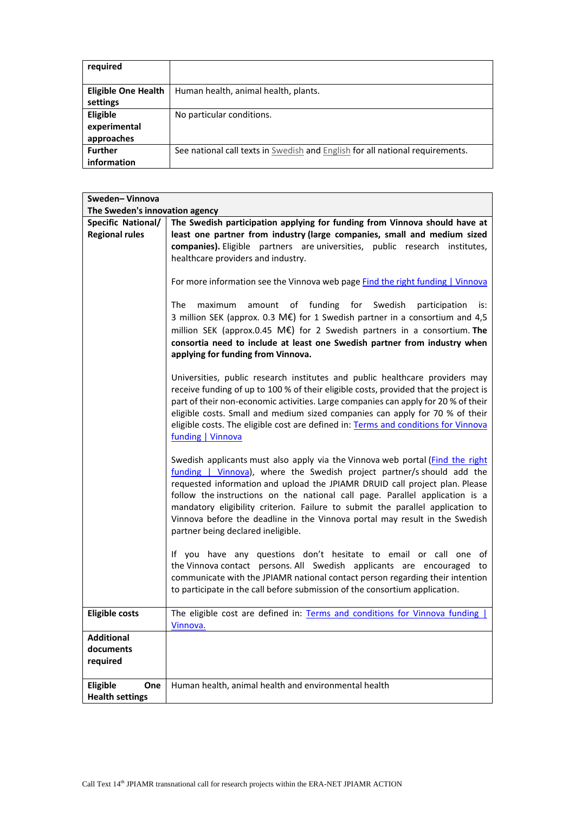| required                   |                                                                               |
|----------------------------|-------------------------------------------------------------------------------|
|                            |                                                                               |
| <b>Eligible One Health</b> | Human health, animal health, plants.                                          |
| settings                   |                                                                               |
| <b>Eligible</b>            | No particular conditions.                                                     |
| experimental               |                                                                               |
| approaches                 |                                                                               |
| <b>Further</b>             | See national call texts in Swedish and English for all national requirements. |
| information                |                                                                               |

| Sweden-Vinnova                 |                                                                                                                                                                                                                                                                                                                                                                                                                                                                                                                               |
|--------------------------------|-------------------------------------------------------------------------------------------------------------------------------------------------------------------------------------------------------------------------------------------------------------------------------------------------------------------------------------------------------------------------------------------------------------------------------------------------------------------------------------------------------------------------------|
| The Sweden's innovation agency |                                                                                                                                                                                                                                                                                                                                                                                                                                                                                                                               |
| Specific National/             | The Swedish participation applying for funding from Vinnova should have at                                                                                                                                                                                                                                                                                                                                                                                                                                                    |
| <b>Regional rules</b>          | least one partner from industry (large companies, small and medium sized                                                                                                                                                                                                                                                                                                                                                                                                                                                      |
|                                | companies). Eligible partners are universities, public research institutes,                                                                                                                                                                                                                                                                                                                                                                                                                                                   |
|                                | healthcare providers and industry.                                                                                                                                                                                                                                                                                                                                                                                                                                                                                            |
|                                |                                                                                                                                                                                                                                                                                                                                                                                                                                                                                                                               |
|                                | For more information see the Vinnova web page Find the right funding   Vinnova                                                                                                                                                                                                                                                                                                                                                                                                                                                |
|                                | amount of funding for Swedish participation<br>The<br>maximum<br>is:<br>3 million SEK (approx. 0.3 M€) for 1 Swedish partner in a consortium and 4,5<br>million SEK (approx.0.45 M€) for 2 Swedish partners in a consortium. The<br>consortia need to include at least one Swedish partner from industry when<br>applying for funding from Vinnova.                                                                                                                                                                           |
|                                | Universities, public research institutes and public healthcare providers may<br>receive funding of up to 100 % of their eligible costs, provided that the project is<br>part of their non-economic activities. Large companies can apply for 20 % of their<br>eligible costs. Small and medium sized companies can apply for 70 % of their<br>eligible costs. The eligible cost are defined in: Terms and conditions for Vinnova<br>funding   Vinnova                                                                         |
|                                | Swedish applicants must also apply via the Vinnova web portal (Find the right<br>funding   Vinnova), where the Swedish project partner/s should add the<br>requested information and upload the JPIAMR DRUID call project plan. Please<br>follow the instructions on the national call page. Parallel application is a<br>mandatory eligibility criterion. Failure to submit the parallel application to<br>Vinnova before the deadline in the Vinnova portal may result in the Swedish<br>partner being declared ineligible. |
|                                | If you have any questions don't hesitate to email or call one of<br>the Vinnova contact persons. All Swedish applicants are encouraged to<br>communicate with the JPIAMR national contact person regarding their intention<br>to participate in the call before submission of the consortium application.                                                                                                                                                                                                                     |
| <b>Eligible costs</b>          | The eligible cost are defined in: Terms and conditions for Vinnova funding  <br>Vinnova.                                                                                                                                                                                                                                                                                                                                                                                                                                      |
| <b>Additional</b>              |                                                                                                                                                                                                                                                                                                                                                                                                                                                                                                                               |
| documents                      |                                                                                                                                                                                                                                                                                                                                                                                                                                                                                                                               |
| required                       |                                                                                                                                                                                                                                                                                                                                                                                                                                                                                                                               |
|                                |                                                                                                                                                                                                                                                                                                                                                                                                                                                                                                                               |
| Eligible<br>One                | Human health, animal health and environmental health                                                                                                                                                                                                                                                                                                                                                                                                                                                                          |
| <b>Health settings</b>         |                                                                                                                                                                                                                                                                                                                                                                                                                                                                                                                               |
|                                |                                                                                                                                                                                                                                                                                                                                                                                                                                                                                                                               |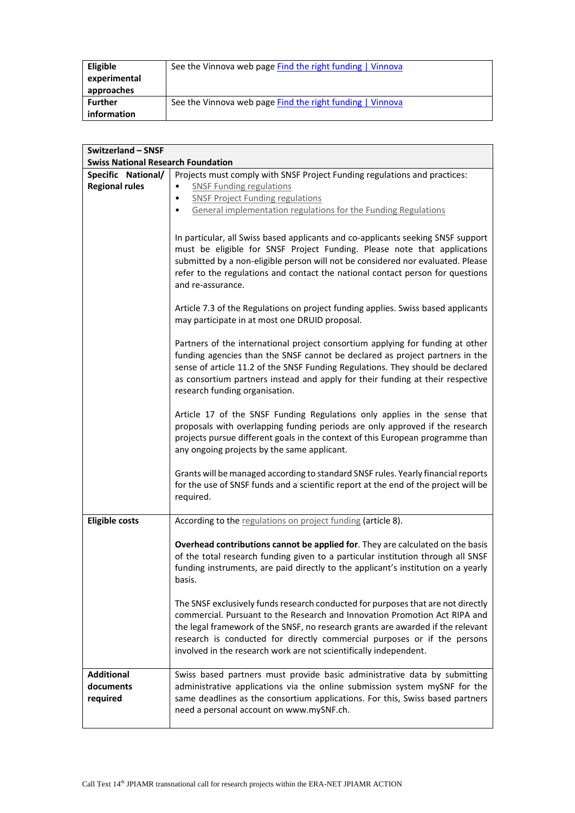| Eligible                   | See the Vinnova web page Find the right funding   Vinnova |
|----------------------------|-----------------------------------------------------------|
| experimental<br>approaches |                                                           |
| Further                    | See the Vinnova web page Find the right funding   Vinnova |
| information                |                                                           |

| <b>Switzerland - SNSF</b>                 |                                                                                                                                                                          |
|-------------------------------------------|--------------------------------------------------------------------------------------------------------------------------------------------------------------------------|
| <b>Swiss National Research Foundation</b> |                                                                                                                                                                          |
| Specific National/                        | Projects must comply with SNSF Project Funding regulations and practices:                                                                                                |
| <b>Regional rules</b>                     | <b>SNSF Funding regulations</b><br>٠                                                                                                                                     |
|                                           | <b>SNSF Project Funding regulations</b><br>٠                                                                                                                             |
|                                           | General implementation regulations for the Funding Regulations<br>٠                                                                                                      |
|                                           |                                                                                                                                                                          |
|                                           | In particular, all Swiss based applicants and co-applicants seeking SNSF support                                                                                         |
|                                           | must be eligible for SNSF Project Funding. Please note that applications                                                                                                 |
|                                           | submitted by a non-eligible person will not be considered nor evaluated. Please                                                                                          |
|                                           | refer to the regulations and contact the national contact person for questions                                                                                           |
|                                           | and re-assurance.                                                                                                                                                        |
|                                           |                                                                                                                                                                          |
|                                           | Article 7.3 of the Regulations on project funding applies. Swiss based applicants                                                                                        |
|                                           | may participate in at most one DRUID proposal.                                                                                                                           |
|                                           | Partners of the international project consortium applying for funding at other                                                                                           |
|                                           | funding agencies than the SNSF cannot be declared as project partners in the                                                                                             |
|                                           | sense of article 11.2 of the SNSF Funding Regulations. They should be declared                                                                                           |
|                                           | as consortium partners instead and apply for their funding at their respective                                                                                           |
|                                           | research funding organisation.                                                                                                                                           |
|                                           |                                                                                                                                                                          |
|                                           | Article 17 of the SNSF Funding Regulations only applies in the sense that                                                                                                |
|                                           | proposals with overlapping funding periods are only approved if the research                                                                                             |
|                                           | projects pursue different goals in the context of this European programme than                                                                                           |
|                                           | any ongoing projects by the same applicant.                                                                                                                              |
|                                           |                                                                                                                                                                          |
|                                           | Grants will be managed according to standard SNSF rules. Yearly financial reports<br>for the use of SNSF funds and a scientific report at the end of the project will be |
|                                           | required.                                                                                                                                                                |
|                                           |                                                                                                                                                                          |
| <b>Eligible costs</b>                     | According to the regulations on project funding (article 8).                                                                                                             |
|                                           |                                                                                                                                                                          |
|                                           | Overhead contributions cannot be applied for. They are calculated on the basis                                                                                           |
|                                           | of the total research funding given to a particular institution through all SNSF                                                                                         |
|                                           | funding instruments, are paid directly to the applicant's institution on a yearly                                                                                        |
|                                           | basis.                                                                                                                                                                   |
|                                           | The SNSF exclusively funds research conducted for purposes that are not directly                                                                                         |
|                                           | commercial. Pursuant to the Research and Innovation Promotion Act RIPA and                                                                                               |
|                                           | the legal framework of the SNSF, no research grants are awarded if the relevant                                                                                          |
|                                           | research is conducted for directly commercial purposes or if the persons                                                                                                 |
|                                           | involved in the research work are not scientifically independent.                                                                                                        |
|                                           |                                                                                                                                                                          |
| <b>Additional</b>                         | Swiss based partners must provide basic administrative data by submitting                                                                                                |
| documents                                 | administrative applications via the online submission system mySNF for the                                                                                               |
| required                                  | same deadlines as the consortium applications. For this, Swiss based partners                                                                                            |
|                                           | need a personal account on www.mySNF.ch.                                                                                                                                 |
|                                           |                                                                                                                                                                          |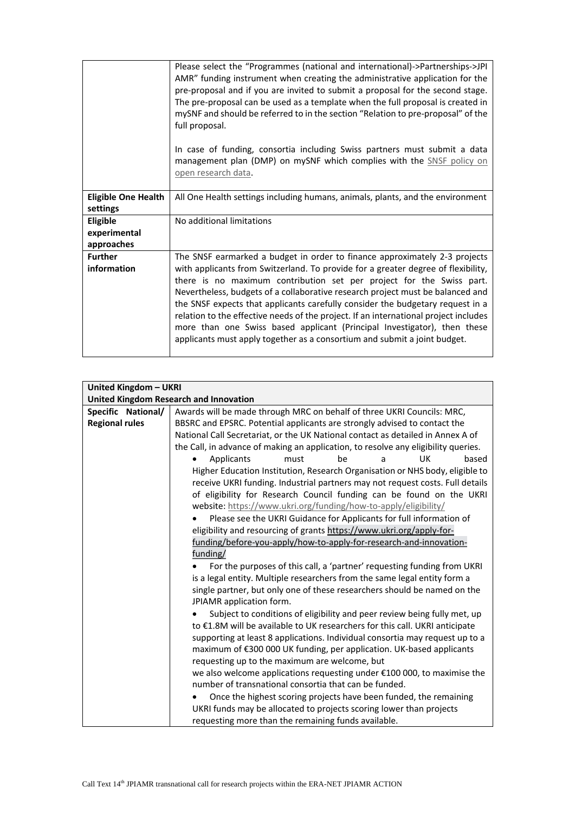|                                        | Please select the "Programmes (national and international)->Partnerships->JPI<br>AMR" funding instrument when creating the administrative application for the<br>pre-proposal and if you are invited to submit a proposal for the second stage.<br>The pre-proposal can be used as a template when the full proposal is created in<br>mySNF and should be referred to in the section "Relation to pre-proposal" of the<br>full proposal.                                                                                                                                       |
|----------------------------------------|--------------------------------------------------------------------------------------------------------------------------------------------------------------------------------------------------------------------------------------------------------------------------------------------------------------------------------------------------------------------------------------------------------------------------------------------------------------------------------------------------------------------------------------------------------------------------------|
|                                        | In case of funding, consortia including Swiss partners must submit a data<br>management plan (DMP) on mySNF which complies with the SNSF policy on<br>open research data.                                                                                                                                                                                                                                                                                                                                                                                                      |
| <b>Eligible One Health</b><br>settings | All One Health settings including humans, animals, plants, and the environment                                                                                                                                                                                                                                                                                                                                                                                                                                                                                                 |
|                                        |                                                                                                                                                                                                                                                                                                                                                                                                                                                                                                                                                                                |
| Eligible                               | No additional limitations                                                                                                                                                                                                                                                                                                                                                                                                                                                                                                                                                      |
| experimental                           |                                                                                                                                                                                                                                                                                                                                                                                                                                                                                                                                                                                |
| approaches                             |                                                                                                                                                                                                                                                                                                                                                                                                                                                                                                                                                                                |
| <b>Further</b>                         | The SNSF earmarked a budget in order to finance approximately 2-3 projects                                                                                                                                                                                                                                                                                                                                                                                                                                                                                                     |
| information                            | with applicants from Switzerland. To provide for a greater degree of flexibility,<br>there is no maximum contribution set per project for the Swiss part.<br>Nevertheless, budgets of a collaborative research project must be balanced and<br>the SNSF expects that applicants carefully consider the budgetary request in a<br>relation to the effective needs of the project. If an international project includes<br>more than one Swiss based applicant (Principal Investigator), then these<br>applicants must apply together as a consortium and submit a joint budget. |

| United Kingdom - UKRI |                                                                                    |
|-----------------------|------------------------------------------------------------------------------------|
|                       | <b>United Kingdom Research and Innovation</b>                                      |
| Specific National/    | Awards will be made through MRC on behalf of three UKRI Councils: MRC,             |
| <b>Regional rules</b> | BBSRC and EPSRC. Potential applicants are strongly advised to contact the          |
|                       | National Call Secretariat, or the UK National contact as detailed in Annex A of    |
|                       | the Call, in advance of making an application, to resolve any eligibility queries. |
|                       | Applicants<br>be<br>UK<br>based<br>must<br>a                                       |
|                       | Higher Education Institution, Research Organisation or NHS body, eligible to       |
|                       | receive UKRI funding. Industrial partners may not request costs. Full details      |
|                       | of eligibility for Research Council funding can be found on the UKRI               |
|                       | website: https://www.ukri.org/funding/how-to-apply/eligibility/                    |
|                       | Please see the UKRI Guidance for Applicants for full information of                |
|                       | eligibility and resourcing of grants https://www.ukri.org/apply-for-               |
|                       | funding/before-you-apply/how-to-apply-for-research-and-innovation-                 |
|                       | funding/                                                                           |
|                       | For the purposes of this call, a 'partner' requesting funding from UKRI            |
|                       | is a legal entity. Multiple researchers from the same legal entity form a          |
|                       | single partner, but only one of these researchers should be named on the           |
|                       | JPIAMR application form.                                                           |
|                       | Subject to conditions of eligibility and peer review being fully met, up           |
|                       | to €1.8M will be available to UK researchers for this call. UKRI anticipate        |
|                       | supporting at least 8 applications. Individual consortia may request up to a       |
|                       | maximum of €300 000 UK funding, per application. UK-based applicants               |
|                       | requesting up to the maximum are welcome, but                                      |
|                       | we also welcome applications requesting under €100 000, to maximise the            |
|                       | number of transnational consortia that can be funded.                              |
|                       | Once the highest scoring projects have been funded, the remaining                  |
|                       | UKRI funds may be allocated to projects scoring lower than projects                |
|                       | requesting more than the remaining funds available.                                |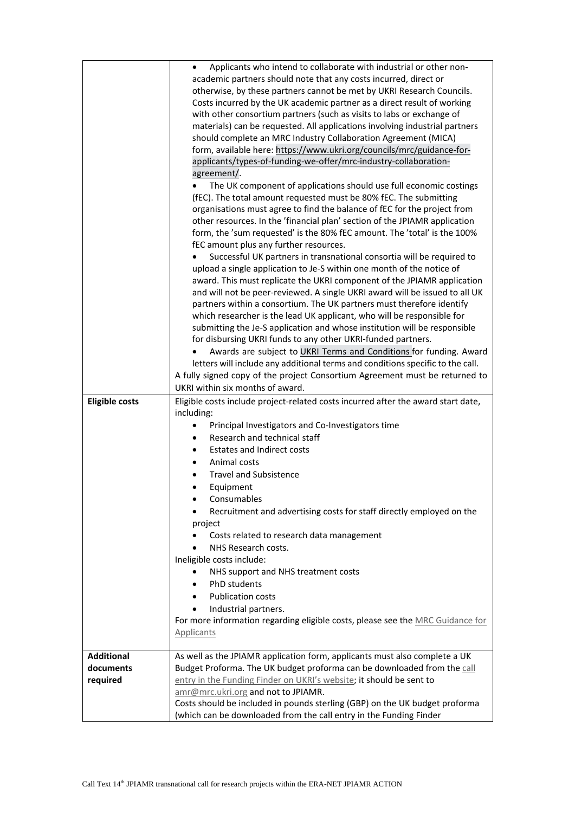| <b>Eligible costs</b>          | Applicants who intend to collaborate with industrial or other non-<br>$\bullet$<br>academic partners should note that any costs incurred, direct or<br>otherwise, by these partners cannot be met by UKRI Research Councils.<br>Costs incurred by the UK academic partner as a direct result of working<br>with other consortium partners (such as visits to labs or exchange of<br>materials) can be requested. All applications involving industrial partners<br>should complete an MRC Industry Collaboration Agreement (MICA)<br>form, available here: https://www.ukri.org/councils/mrc/guidance-for-<br>applicants/types-of-funding-we-offer/mrc-industry-collaboration-<br>agreement/.<br>The UK component of applications should use full economic costings<br>(fEC). The total amount requested must be 80% fEC. The submitting<br>organisations must agree to find the balance of fEC for the project from<br>other resources. In the 'financial plan' section of the JPIAMR application<br>form, the 'sum requested' is the 80% fEC amount. The 'total' is the 100%<br>fEC amount plus any further resources.<br>Successful UK partners in transnational consortia will be required to<br>upload a single application to Je-S within one month of the notice of<br>award. This must replicate the UKRI component of the JPIAMR application<br>and will not be peer-reviewed. A single UKRI award will be issued to all UK<br>partners within a consortium. The UK partners must therefore identify<br>which researcher is the lead UK applicant, who will be responsible for<br>submitting the Je-S application and whose institution will be responsible<br>for disbursing UKRI funds to any other UKRI-funded partners.<br>Awards are subject to UKRI Terms and Conditions for funding. Award<br>letters will include any additional terms and conditions specific to the call.<br>A fully signed copy of the project Consortium Agreement must be returned to<br>UKRI within six months of award.<br>Eligible costs include project-related costs incurred after the award start date,<br>including:<br>Principal Investigators and Co-Investigators time<br>Research and technical staff<br><b>Estates and Indirect costs</b><br>Animal costs<br>$\bullet$<br><b>Travel and Subsistence</b><br>Equipment<br>$\bullet$<br>Consumables<br>Recruitment and advertising costs for staff directly employed on the<br>project<br>Costs related to research data management<br>NHS Research costs.<br>Ineligible costs include:<br>NHS support and NHS treatment costs<br><b>PhD</b> students<br>٠<br><b>Publication costs</b> |
|--------------------------------|----------------------------------------------------------------------------------------------------------------------------------------------------------------------------------------------------------------------------------------------------------------------------------------------------------------------------------------------------------------------------------------------------------------------------------------------------------------------------------------------------------------------------------------------------------------------------------------------------------------------------------------------------------------------------------------------------------------------------------------------------------------------------------------------------------------------------------------------------------------------------------------------------------------------------------------------------------------------------------------------------------------------------------------------------------------------------------------------------------------------------------------------------------------------------------------------------------------------------------------------------------------------------------------------------------------------------------------------------------------------------------------------------------------------------------------------------------------------------------------------------------------------------------------------------------------------------------------------------------------------------------------------------------------------------------------------------------------------------------------------------------------------------------------------------------------------------------------------------------------------------------------------------------------------------------------------------------------------------------------------------------------------------------------------------------------------------------------------------------------------------------------------------------------------------------------------------------------------------------------------------------------------------------------------------------------------------------------------------------------------------------------------------------------------------------------------------------------------------------------------------------------------------------------------------------------------------------------------------------------------------------------|
|                                |                                                                                                                                                                                                                                                                                                                                                                                                                                                                                                                                                                                                                                                                                                                                                                                                                                                                                                                                                                                                                                                                                                                                                                                                                                                                                                                                                                                                                                                                                                                                                                                                                                                                                                                                                                                                                                                                                                                                                                                                                                                                                                                                                                                                                                                                                                                                                                                                                                                                                                                                                                                                                                        |
|                                | Industrial partners.<br>$\bullet$                                                                                                                                                                                                                                                                                                                                                                                                                                                                                                                                                                                                                                                                                                                                                                                                                                                                                                                                                                                                                                                                                                                                                                                                                                                                                                                                                                                                                                                                                                                                                                                                                                                                                                                                                                                                                                                                                                                                                                                                                                                                                                                                                                                                                                                                                                                                                                                                                                                                                                                                                                                                      |
|                                | For more information regarding eligible costs, please see the MRC Guidance for                                                                                                                                                                                                                                                                                                                                                                                                                                                                                                                                                                                                                                                                                                                                                                                                                                                                                                                                                                                                                                                                                                                                                                                                                                                                                                                                                                                                                                                                                                                                                                                                                                                                                                                                                                                                                                                                                                                                                                                                                                                                                                                                                                                                                                                                                                                                                                                                                                                                                                                                                         |
|                                | <b>Applicants</b>                                                                                                                                                                                                                                                                                                                                                                                                                                                                                                                                                                                                                                                                                                                                                                                                                                                                                                                                                                                                                                                                                                                                                                                                                                                                                                                                                                                                                                                                                                                                                                                                                                                                                                                                                                                                                                                                                                                                                                                                                                                                                                                                                                                                                                                                                                                                                                                                                                                                                                                                                                                                                      |
| <b>Additional</b><br>documents | As well as the JPIAMR application form, applicants must also complete a UK<br>Budget Proforma. The UK budget proforma can be downloaded from the call                                                                                                                                                                                                                                                                                                                                                                                                                                                                                                                                                                                                                                                                                                                                                                                                                                                                                                                                                                                                                                                                                                                                                                                                                                                                                                                                                                                                                                                                                                                                                                                                                                                                                                                                                                                                                                                                                                                                                                                                                                                                                                                                                                                                                                                                                                                                                                                                                                                                                  |
| required                       | entry in the Funding Finder on UKRI's website; it should be sent to                                                                                                                                                                                                                                                                                                                                                                                                                                                                                                                                                                                                                                                                                                                                                                                                                                                                                                                                                                                                                                                                                                                                                                                                                                                                                                                                                                                                                                                                                                                                                                                                                                                                                                                                                                                                                                                                                                                                                                                                                                                                                                                                                                                                                                                                                                                                                                                                                                                                                                                                                                    |
|                                | amr@mrc.ukri.org and not to JPIAMR.                                                                                                                                                                                                                                                                                                                                                                                                                                                                                                                                                                                                                                                                                                                                                                                                                                                                                                                                                                                                                                                                                                                                                                                                                                                                                                                                                                                                                                                                                                                                                                                                                                                                                                                                                                                                                                                                                                                                                                                                                                                                                                                                                                                                                                                                                                                                                                                                                                                                                                                                                                                                    |
|                                | Costs should be included in pounds sterling (GBP) on the UK budget proforma                                                                                                                                                                                                                                                                                                                                                                                                                                                                                                                                                                                                                                                                                                                                                                                                                                                                                                                                                                                                                                                                                                                                                                                                                                                                                                                                                                                                                                                                                                                                                                                                                                                                                                                                                                                                                                                                                                                                                                                                                                                                                                                                                                                                                                                                                                                                                                                                                                                                                                                                                            |
|                                | (which can be downloaded from the call entry in the Funding Finder                                                                                                                                                                                                                                                                                                                                                                                                                                                                                                                                                                                                                                                                                                                                                                                                                                                                                                                                                                                                                                                                                                                                                                                                                                                                                                                                                                                                                                                                                                                                                                                                                                                                                                                                                                                                                                                                                                                                                                                                                                                                                                                                                                                                                                                                                                                                                                                                                                                                                                                                                                     |